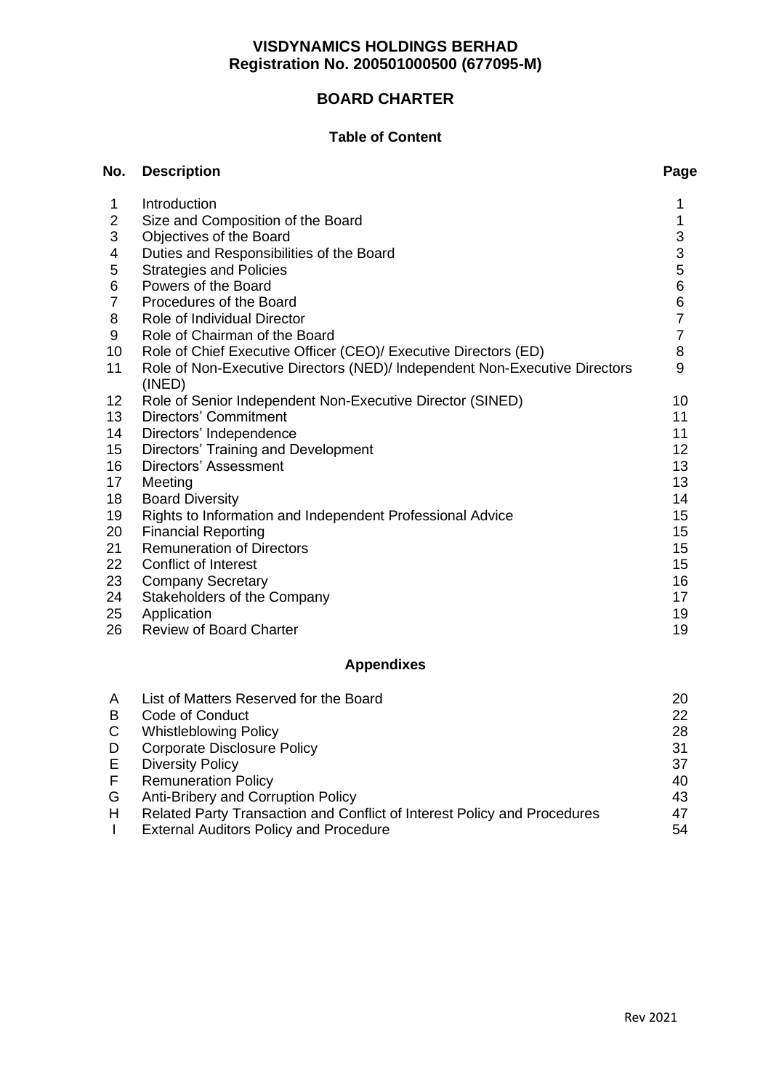# **BOARD CHARTER**

## **Table of Content**

| No.            | <b>Description</b>                                                         | Page |
|----------------|----------------------------------------------------------------------------|------|
| 1              | Introduction                                                               | 1    |
| $\overline{2}$ | Size and Composition of the Board                                          | 1    |
| 3              | Objectives of the Board                                                    | 3    |
| 4              | Duties and Responsibilities of the Board                                   | 3    |
| 5              | <b>Strategies and Policies</b>                                             | 5    |
| 6              | Powers of the Board                                                        | 6    |
| $\overline{7}$ | Procedures of the Board                                                    | 6    |
| 8              | Role of Individual Director                                                | 7    |
| 9              | Role of Chairman of the Board                                              | 7    |
| 10             | Role of Chief Executive Officer (CEO)/ Executive Directors (ED)            | 8    |
| 11             | Role of Non-Executive Directors (NED)/ Independent Non-Executive Directors | 9    |
|                | (INED)                                                                     |      |
| 12             | Role of Senior Independent Non-Executive Director (SINED)                  | 10   |
| 13             | Directors' Commitment                                                      | 11   |
| 14             | Directors' Independence                                                    | 11   |
| 15             | Directors' Training and Development                                        | 12   |
| 16             | Directors' Assessment                                                      | 13   |
| 17             | Meeting                                                                    | 13   |
| 18             | <b>Board Diversity</b>                                                     | 14   |
| 19             | Rights to Information and Independent Professional Advice                  | 15   |
| 20             | <b>Financial Reporting</b>                                                 | 15   |
| 21             | <b>Remuneration of Directors</b>                                           | 15   |
| 22             | <b>Conflict of Interest</b>                                                | 15   |
| 23             | <b>Company Secretary</b>                                                   | 16   |
| 24             | Stakeholders of the Company                                                | 17   |
| 25             | Application                                                                | 19   |
| 26             | <b>Review of Board Charter</b>                                             | 19   |

# **Appendixes**

| A | List of Matters Reserved for the Board                                   | 20 |
|---|--------------------------------------------------------------------------|----|
| B | Code of Conduct                                                          | 22 |
| C | <b>Whistleblowing Policy</b>                                             | 28 |
| D | <b>Corporate Disclosure Policy</b>                                       | 31 |
| E | <b>Diversity Policy</b>                                                  | 37 |
| E | <b>Remuneration Policy</b>                                               | 40 |
| G | Anti-Bribery and Corruption Policy                                       | 43 |
| H | Related Party Transaction and Conflict of Interest Policy and Procedures | 47 |
|   | <b>External Auditors Policy and Procedure</b>                            | 54 |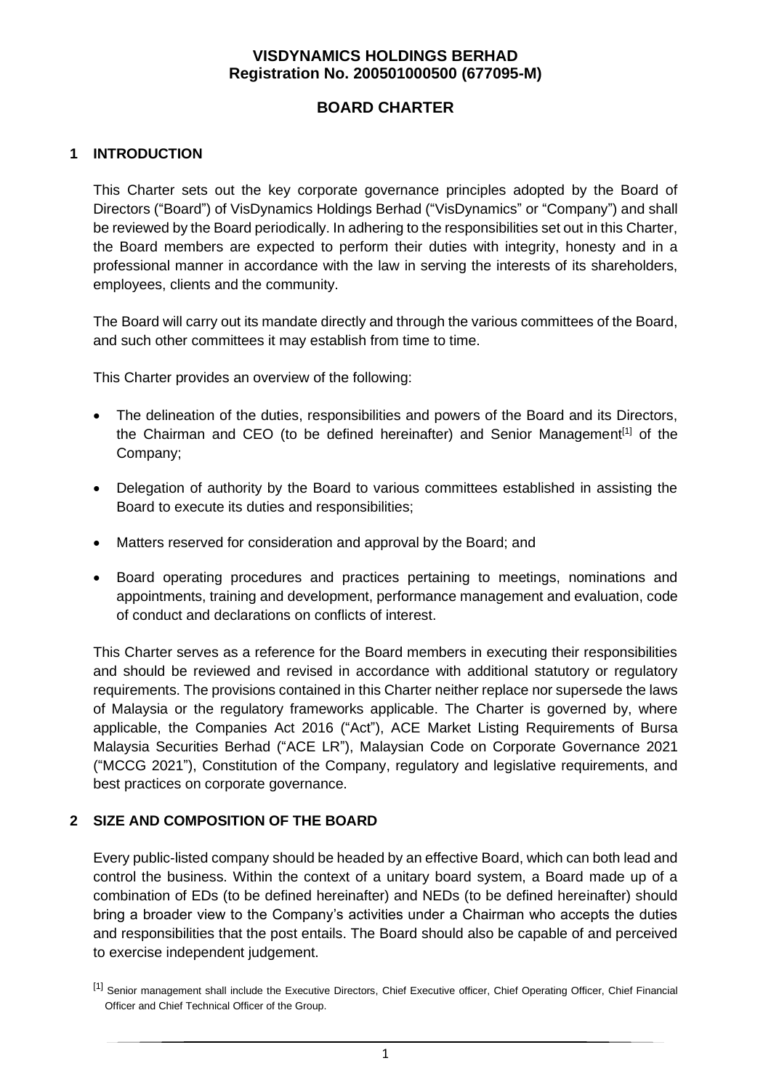## **BOARD CHARTER**

## **1 INTRODUCTION**

This Charter sets out the key corporate governance principles adopted by the Board of Directors ("Board") of VisDynamics Holdings Berhad ("VisDynamics" or "Company") and shall be reviewed by the Board periodically. In adhering to the responsibilities set out in this Charter, the Board members are expected to perform their duties with integrity, honesty and in a professional manner in accordance with the law in serving the interests of its shareholders, employees, clients and the community.

The Board will carry out its mandate directly and through the various committees of the Board, and such other committees it may establish from time to time.

This Charter provides an overview of the following:

- The delineation of the duties, responsibilities and powers of the Board and its Directors, the Chairman and CEO (to be defined hereinafter) and Senior Management<sup>[1]</sup> of the Company;
- Delegation of authority by the Board to various committees established in assisting the Board to execute its duties and responsibilities;
- Matters reserved for consideration and approval by the Board; and
- Board operating procedures and practices pertaining to meetings, nominations and appointments, training and development, performance management and evaluation, code of conduct and declarations on conflicts of interest.

This Charter serves as a reference for the Board members in executing their responsibilities and should be reviewed and revised in accordance with additional statutory or regulatory requirements. The provisions contained in this Charter neither replace nor supersede the laws of Malaysia or the regulatory frameworks applicable. The Charter is governed by, where applicable, the Companies Act 2016 ("Act"), ACE Market Listing Requirements of Bursa Malaysia Securities Berhad ("ACE LR"), Malaysian Code on Corporate Governance 2021 ("MCCG 2021"), Constitution of the Company, regulatory and legislative requirements, and best practices on corporate governance.

## **2 SIZE AND COMPOSITION OF THE BOARD**

Every public-listed company should be headed by an effective Board, which can both lead and control the business. Within the context of a unitary board system, a Board made up of a combination of EDs (to be defined hereinafter) and NEDs (to be defined hereinafter) should bring a broader view to the Company's activities under a Chairman who accepts the duties and responsibilities that the post entails. The Board should also be capable of and perceived to exercise independent judgement.

<sup>[1]</sup> Senior management shall include the Executive Directors, Chief Executive officer, Chief Operating Officer, Chief Financial Officer and Chief Technical Officer of the Group.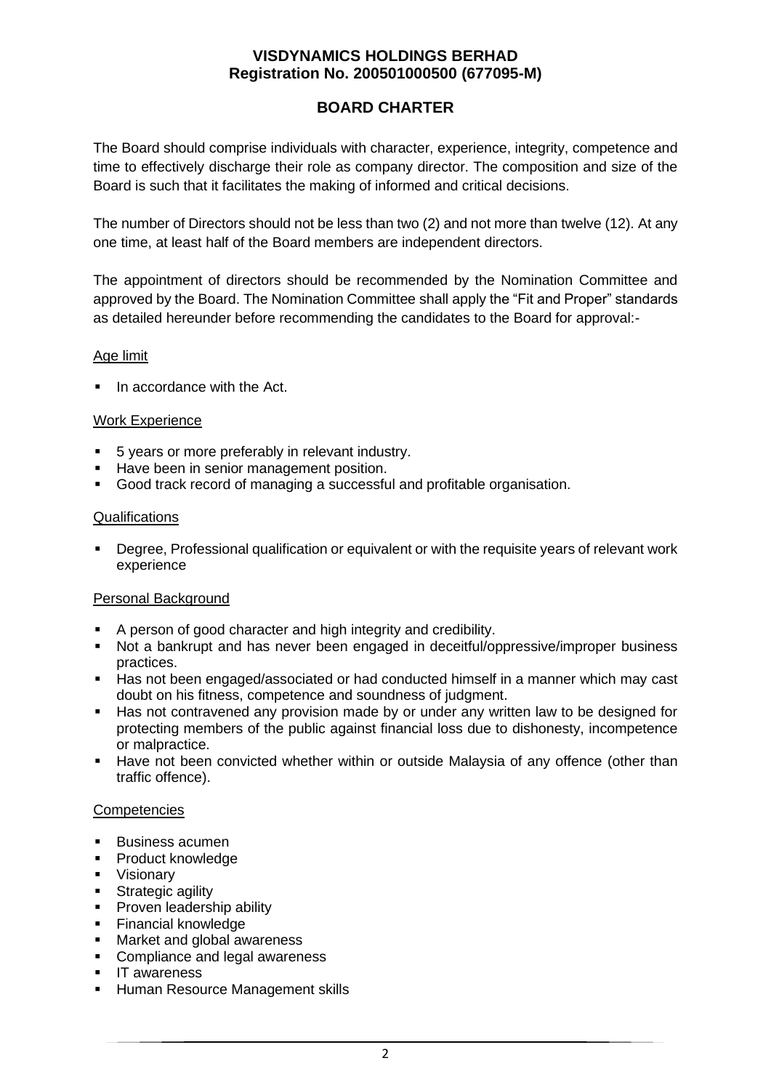# **BOARD CHARTER**

The Board should comprise individuals with character, experience, integrity, competence and time to effectively discharge their role as company director. The composition and size of the Board is such that it facilitates the making of informed and critical decisions.

The number of Directors should not be less than two (2) and not more than twelve (12). At any one time, at least half of the Board members are independent directors.

The appointment of directors should be recommended by the Nomination Committee and approved by the Board. The Nomination Committee shall apply the "Fit and Proper" standards as detailed hereunder before recommending the candidates to the Board for approval:-

### Age limit

■ In accordance with the Act.

### Work Experience

- 5 years or more preferably in relevant industry.
- **EXECT** Have been in senior management position.
- Good track record of managing a successful and profitable organisation.

#### **Qualifications**

■ Degree, Professional qualification or equivalent or with the requisite years of relevant work experience

#### Personal Background

- A person of good character and high integrity and credibility.
- Not a bankrupt and has never been engaged in deceitful/oppressive/improper business practices.
- Has not been engaged/associated or had conducted himself in a manner which may cast doubt on his fitness, competence and soundness of judgment.
- Has not contravened any provision made by or under any written law to be designed for protecting members of the public against financial loss due to dishonesty, incompetence or malpractice.
- **■** Have not been convicted whether within or outside Malaysia of any offence (other than traffic offence).

#### **Competencies**

- Business acumen
- Product knowledge
- Visionary
- **EXECUTE:** Strategic agility
- **•** Proven leadership ability
- **Einancial knowledge**
- Market and global awareness
- Compliance and legal awareness
- IT awareness
- **E** Human Resource Management skills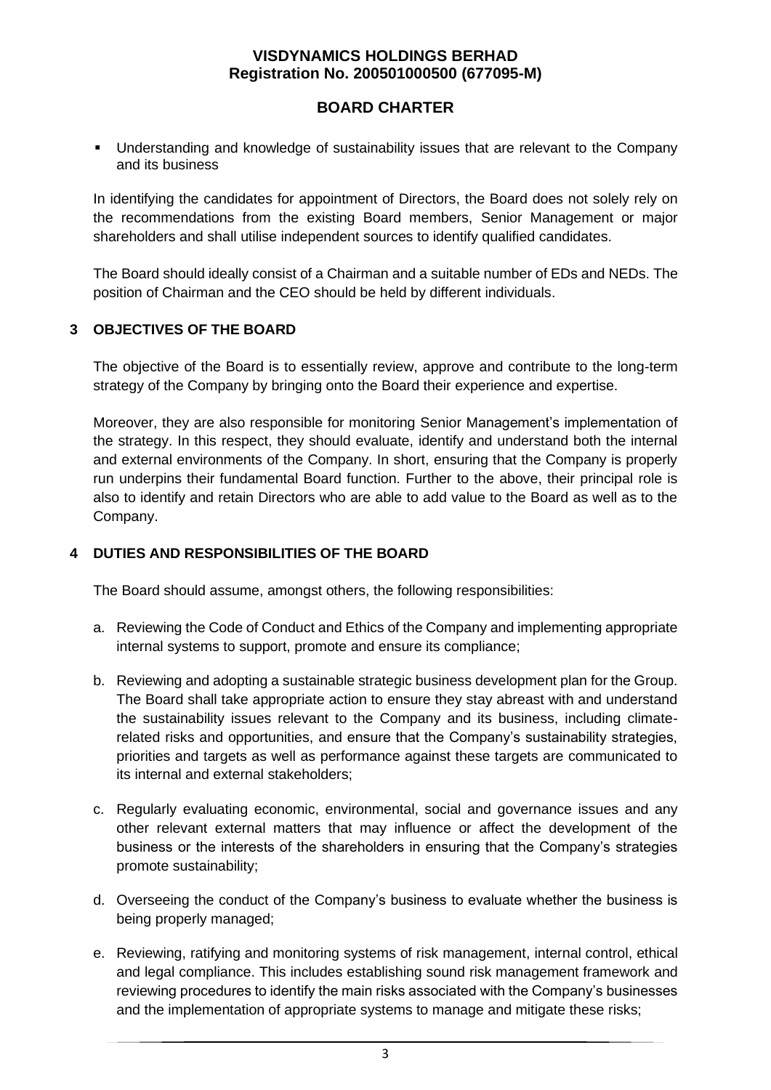## **BOARD CHARTER**

**■** Understanding and knowledge of sustainability issues that are relevant to the Company and its business

In identifying the candidates for appointment of Directors, the Board does not solely rely on the recommendations from the existing Board members, Senior Management or major shareholders and shall utilise independent sources to identify qualified candidates.

The Board should ideally consist of a Chairman and a suitable number of EDs and NEDs. The position of Chairman and the CEO should be held by different individuals.

## **3 OBJECTIVES OF THE BOARD**

The objective of the Board is to essentially review, approve and contribute to the long-term strategy of the Company by bringing onto the Board their experience and expertise.

Moreover, they are also responsible for monitoring Senior Management's implementation of the strategy. In this respect, they should evaluate, identify and understand both the internal and external environments of the Company. In short, ensuring that the Company is properly run underpins their fundamental Board function. Further to the above, their principal role is also to identify and retain Directors who are able to add value to the Board as well as to the Company.

## **4 DUTIES AND RESPONSIBILITIES OF THE BOARD**

The Board should assume, amongst others, the following responsibilities:

- a. Reviewing the Code of Conduct and Ethics of the Company and implementing appropriate internal systems to support, promote and ensure its compliance;
- b. Reviewing and adopting a sustainable strategic business development plan for the Group. The Board shall take appropriate action to ensure they stay abreast with and understand the sustainability issues relevant to the Company and its business, including climaterelated risks and opportunities, and ensure that the Company's sustainability strategies, priorities and targets as well as performance against these targets are communicated to its internal and external stakeholders;
- c. Regularly evaluating economic, environmental, social and governance issues and any other relevant external matters that may influence or affect the development of the business or the interests of the shareholders in ensuring that the Company's strategies promote sustainability;
- d. Overseeing the conduct of the Company's business to evaluate whether the business is being properly managed;
- e. Reviewing, ratifying and monitoring systems of risk management, internal control, ethical and legal compliance. This includes establishing sound risk management framework and reviewing procedures to identify the main risks associated with the Company's businesses and the implementation of appropriate systems to manage and mitigate these risks;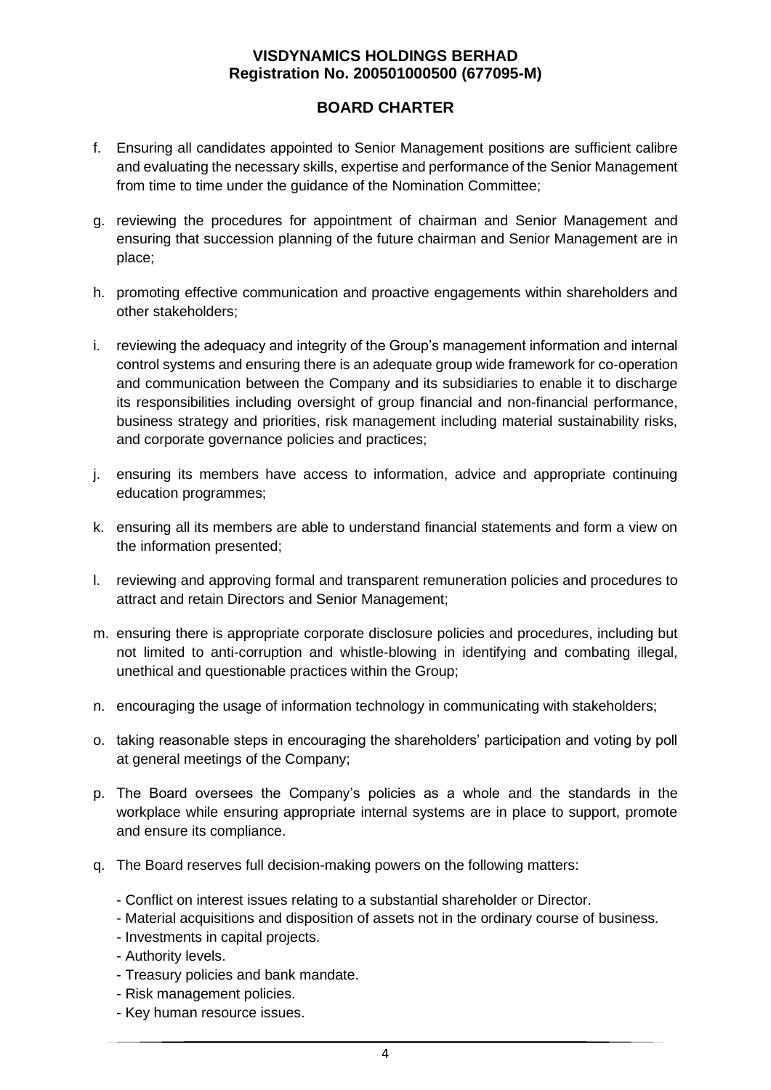## **BOARD CHARTER**

- f. Ensuring all candidates appointed to Senior Management positions are sufficient calibre and evaluating the necessary skills, expertise and performance of the Senior Management from time to time under the guidance of the Nomination Committee;
- g. reviewing the procedures for appointment of chairman and Senior Management and ensuring that succession planning of the future chairman and Senior Management are in place;
- h. promoting effective communication and proactive engagements within shareholders and other stakeholders;
- i. reviewing the adequacy and integrity of the Group's management information and internal control systems and ensuring there is an adequate group wide framework for co-operation and communication between the Company and its subsidiaries to enable it to discharge its responsibilities including oversight of group financial and non-financial performance, business strategy and priorities, risk management including material sustainability risks, and corporate governance policies and practices;
- j. ensuring its members have access to information, advice and appropriate continuing education programmes;
- k. ensuring all its members are able to understand financial statements and form a view on the information presented;
- l. reviewing and approving formal and transparent remuneration policies and procedures to attract and retain Directors and Senior Management;
- m. ensuring there is appropriate corporate disclosure policies and procedures, including but not limited to anti-corruption and whistle-blowing in identifying and combating illegal, unethical and questionable practices within the Group;
- n. encouraging the usage of information technology in communicating with stakeholders;
- o. taking reasonable steps in encouraging the shareholders' participation and voting by poll at general meetings of the Company;
- p. The Board oversees the Company's policies as a whole and the standards in the workplace while ensuring appropriate internal systems are in place to support, promote and ensure its compliance.
- q. The Board reserves full decision-making powers on the following matters:
	- Conflict on interest issues relating to a substantial shareholder or Director.
	- Material acquisitions and disposition of assets not in the ordinary course of business.
	- Investments in capital projects.
	- Authority levels.
	- Treasury policies and bank mandate.
	- Risk management policies.
	- Key human resource issues.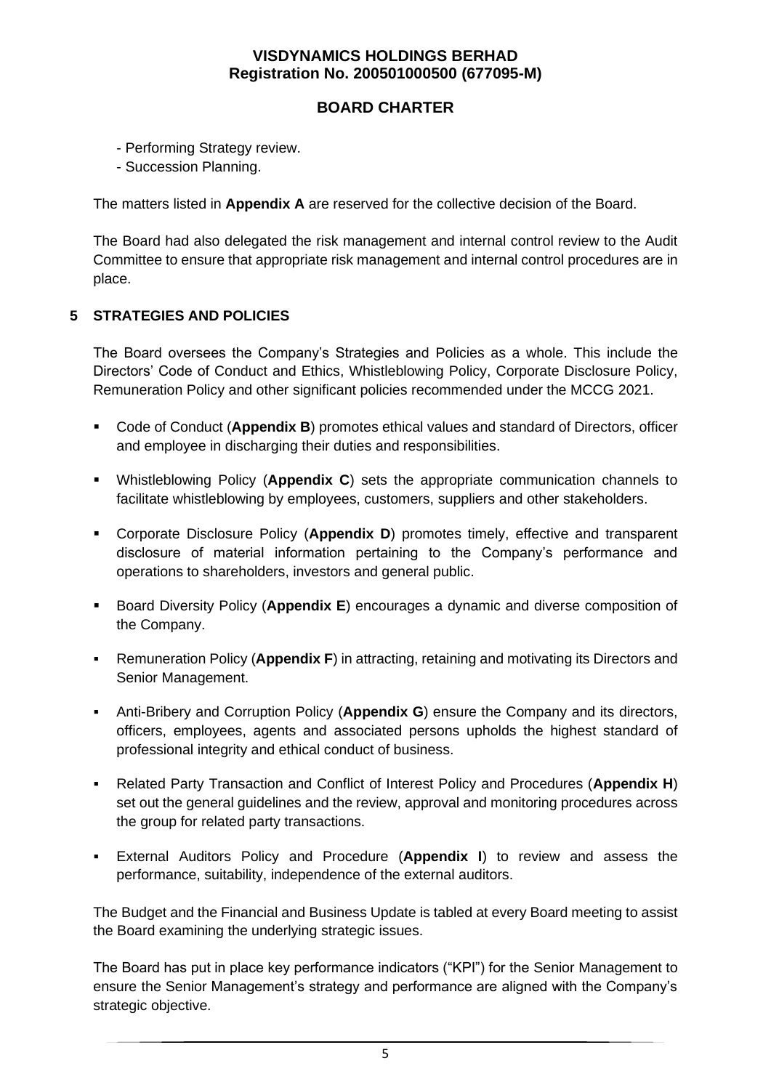## **BOARD CHARTER**

- Performing Strategy review.
- Succession Planning.

The matters listed in **Appendix A** are reserved for the collective decision of the Board.

The Board had also delegated the risk management and internal control review to the Audit Committee to ensure that appropriate risk management and internal control procedures are in place.

### **5 STRATEGIES AND POLICIES**

The Board oversees the Company's Strategies and Policies as a whole. This include the Directors' Code of Conduct and Ethics, Whistleblowing Policy, Corporate Disclosure Policy, Remuneration Policy and other significant policies recommended under the MCCG 2021.

- Code of Conduct (Appendix B) promotes ethical values and standard of Directors, officer and employee in discharging their duties and responsibilities.
- Whistleblowing Policy (**Appendix C**) sets the appropriate communication channels to facilitate whistleblowing by employees, customers, suppliers and other stakeholders.
- Corporate Disclosure Policy (**Appendix D**) promotes timely, effective and transparent disclosure of material information pertaining to the Company's performance and operations to shareholders, investors and general public.
- Board Diversity Policy (**Appendix E**) encourages a dynamic and diverse composition of the Company.
- Remuneration Policy (**Appendix F**) in attracting, retaining and motivating its Directors and Senior Management.
- **EXECT:** Anti-Bribery and Corruption Policy (**Appendix G**) ensure the Company and its directors, officers, employees, agents and associated persons upholds the highest standard of professional integrity and ethical conduct of business.
- Related Party Transaction and Conflict of Interest Policy and Procedures (**Appendix H**) set out the general guidelines and the review, approval and monitoring procedures across the group for related party transactions.
- External Auditors Policy and Procedure (**Appendix I**) to review and assess the performance, suitability, independence of the external auditors.

The Budget and the Financial and Business Update is tabled at every Board meeting to assist the Board examining the underlying strategic issues.

The Board has put in place key performance indicators ("KPI") for the Senior Management to ensure the Senior Management's strategy and performance are aligned with the Company's strategic objective.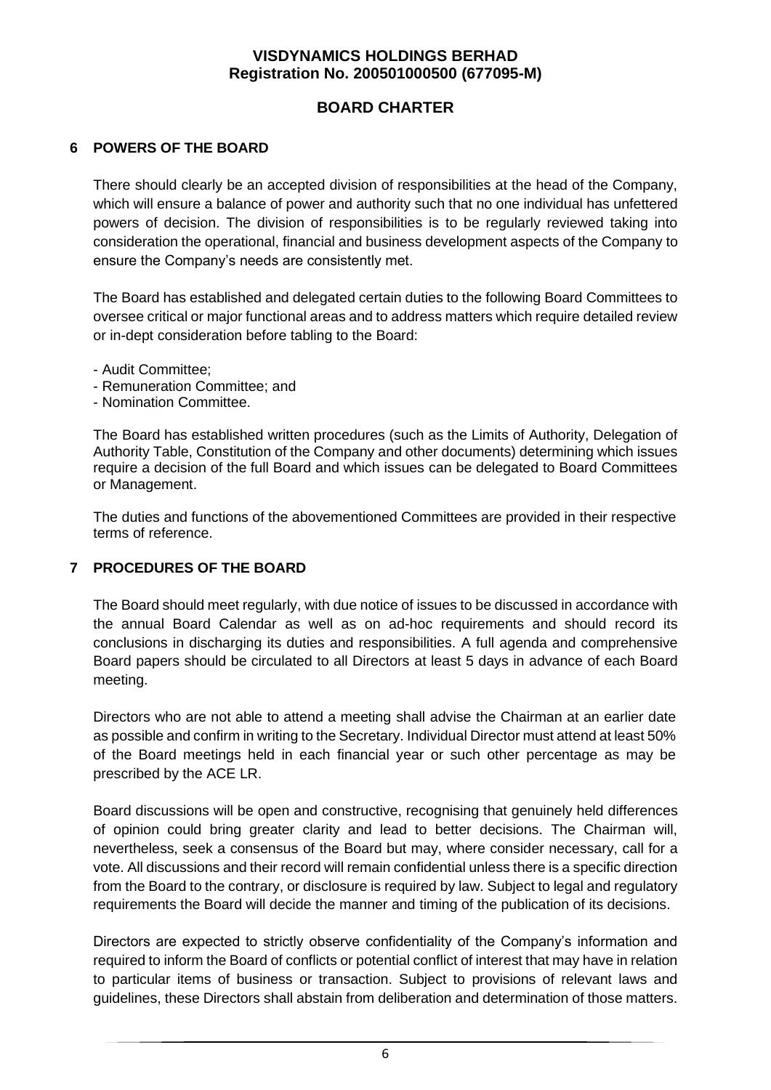## **BOARD CHARTER**

### **6 POWERS OF THE BOARD**

There should clearly be an accepted division of responsibilities at the head of the Company, which will ensure a balance of power and authority such that no one individual has unfettered powers of decision. The division of responsibilities is to be regularly reviewed taking into consideration the operational, financial and business development aspects of the Company to ensure the Company's needs are consistently met.

The Board has established and delegated certain duties to the following Board Committees to oversee critical or major functional areas and to address matters which require detailed review or in-dept consideration before tabling to the Board:

- Audit Committee;
- Remuneration Committee; and
- Nomination Committee.

The Board has established written procedures (such as the Limits of Authority, Delegation of Authority Table, Constitution of the Company and other documents) determining which issues require a decision of the full Board and which issues can be delegated to Board Committees or Management.

The duties and functions of the abovementioned Committees are provided in their respective terms of reference.

#### **7 PROCEDURES OF THE BOARD**

The Board should meet regularly, with due notice of issues to be discussed in accordance with the annual Board Calendar as well as on ad-hoc requirements and should record its conclusions in discharging its duties and responsibilities. A full agenda and comprehensive Board papers should be circulated to all Directors at least 5 days in advance of each Board meeting.

Directors who are not able to attend a meeting shall advise the Chairman at an earlier date as possible and confirm in writing to the Secretary. Individual Director must attend at least 50% of the Board meetings held in each financial year or such other percentage as may be prescribed by the ACE LR.

Board discussions will be open and constructive, recognising that genuinely held differences of opinion could bring greater clarity and lead to better decisions. The Chairman will, nevertheless, seek a consensus of the Board but may, where consider necessary, call for a vote. All discussions and their record will remain confidential unless there is a specific direction from the Board to the contrary, or disclosure is required by law. Subject to legal and regulatory requirements the Board will decide the manner and timing of the publication of its decisions.

Directors are expected to strictly observe confidentiality of the Company's information and required to inform the Board of conflicts or potential conflict of interest that may have in relation to particular items of business or transaction. Subject to provisions of relevant laws and guidelines, these Directors shall abstain from deliberation and determination of those matters.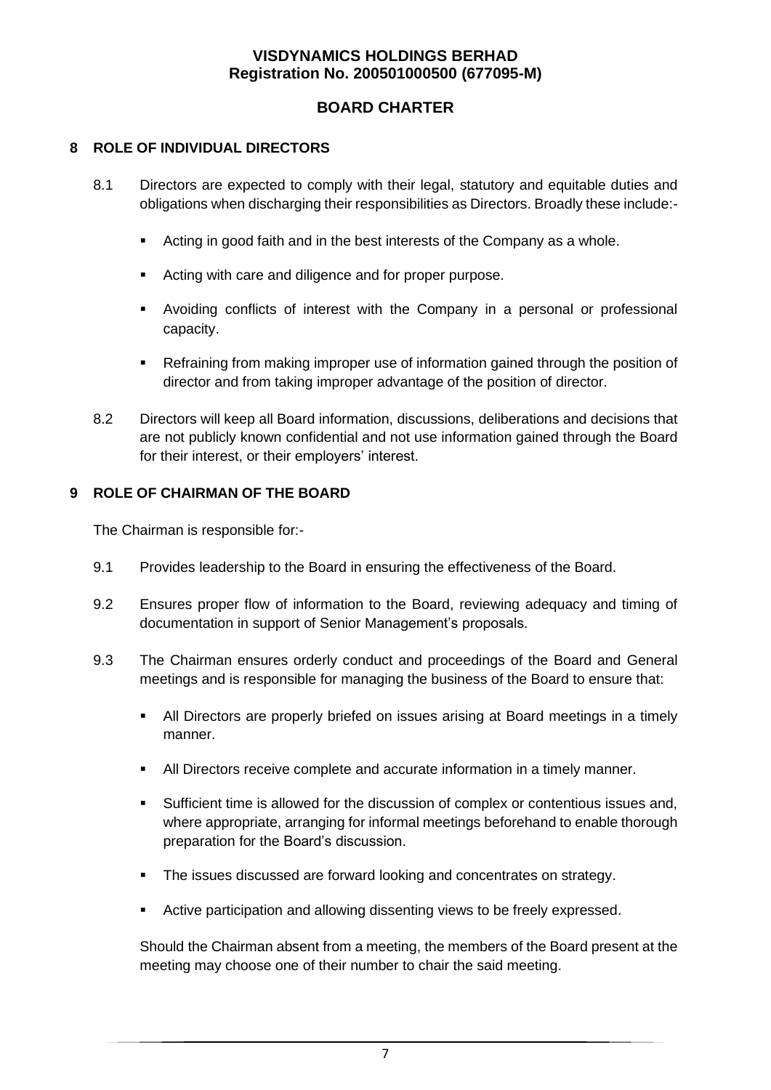## **BOARD CHARTER**

### **8 ROLE OF INDIVIDUAL DIRECTORS**

- 8.1 Directors are expected to comply with their legal, statutory and equitable duties and obligations when discharging their responsibilities as Directors. Broadly these include:-
	- Acting in good faith and in the best interests of the Company as a whole.
	- Acting with care and diligence and for proper purpose.
	- Avoiding conflicts of interest with the Company in a personal or professional capacity.
	- Refraining from making improper use of information gained through the position of director and from taking improper advantage of the position of director.
- 8.2 Directors will keep all Board information, discussions, deliberations and decisions that are not publicly known confidential and not use information gained through the Board for their interest, or their employers' interest.

## **9 ROLE OF CHAIRMAN OF THE BOARD**

The Chairman is responsible for:-

- 9.1 Provides leadership to the Board in ensuring the effectiveness of the Board.
- 9.2 Ensures proper flow of information to the Board, reviewing adequacy and timing of documentation in support of Senior Management's proposals.
- 9.3 The Chairman ensures orderly conduct and proceedings of the Board and General meetings and is responsible for managing the business of the Board to ensure that:
	- All Directors are properly briefed on issues arising at Board meetings in a timely manner.
	- All Directors receive complete and accurate information in a timely manner.
	- Sufficient time is allowed for the discussion of complex or contentious issues and, where appropriate, arranging for informal meetings beforehand to enable thorough preparation for the Board's discussion.
	- The issues discussed are forward looking and concentrates on strategy.
	- Active participation and allowing dissenting views to be freely expressed.

Should the Chairman absent from a meeting, the members of the Board present at the meeting may choose one of their number to chair the said meeting.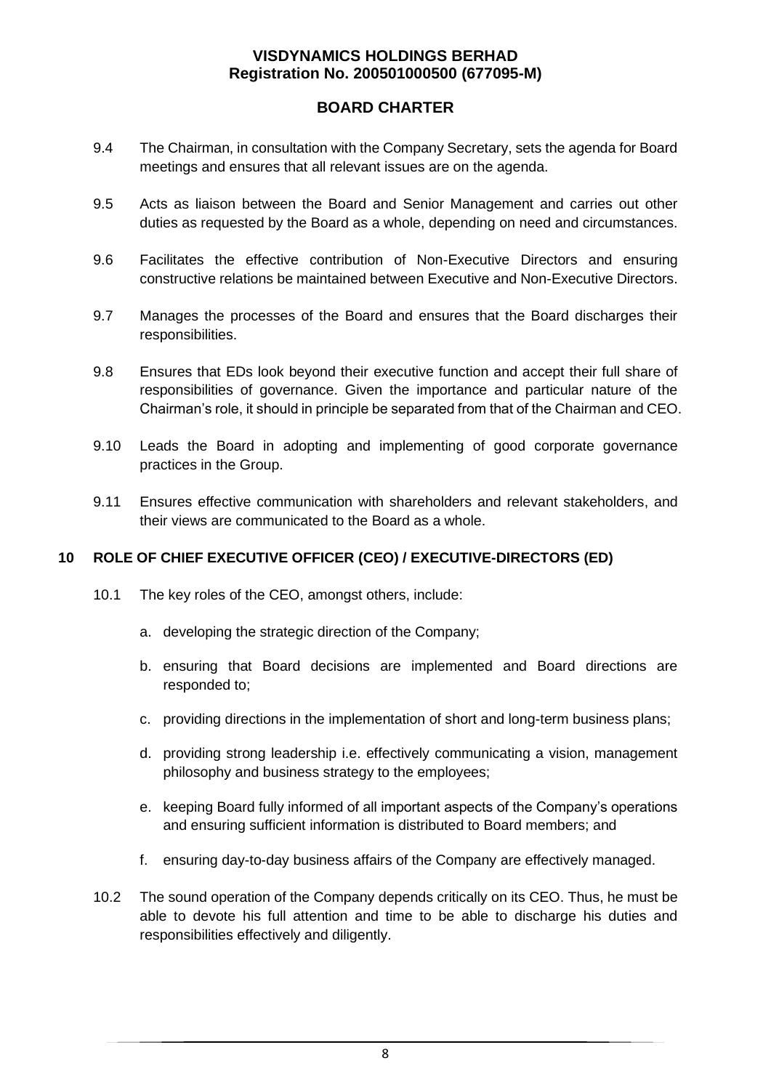## **BOARD CHARTER**

- 9.4 The Chairman, in consultation with the Company Secretary, sets the agenda for Board meetings and ensures that all relevant issues are on the agenda.
- 9.5 Acts as liaison between the Board and Senior Management and carries out other duties as requested by the Board as a whole, depending on need and circumstances.
- 9.6 Facilitates the effective contribution of Non-Executive Directors and ensuring constructive relations be maintained between Executive and Non-Executive Directors.
- 9.7 Manages the processes of the Board and ensures that the Board discharges their responsibilities.
- 9.8 Ensures that EDs look beyond their executive function and accept their full share of responsibilities of governance. Given the importance and particular nature of the Chairman's role, it should in principle be separated from that of the Chairman and CEO.
- 9.10 Leads the Board in adopting and implementing of good corporate governance practices in the Group.
- 9.11 Ensures effective communication with shareholders and relevant stakeholders, and their views are communicated to the Board as a whole.

## **10 ROLE OF CHIEF EXECUTIVE OFFICER (CEO) / EXECUTIVE-DIRECTORS (ED)**

- 10.1 The key roles of the CEO, amongst others, include:
	- a. developing the strategic direction of the Company;
	- b. ensuring that Board decisions are implemented and Board directions are responded to;
	- c. providing directions in the implementation of short and long-term business plans;
	- d. providing strong leadership i.e. effectively communicating a vision, management philosophy and business strategy to the employees;
	- e. keeping Board fully informed of all important aspects of the Company's operations and ensuring sufficient information is distributed to Board members; and
	- f. ensuring day-to-day business affairs of the Company are effectively managed.
- 10.2 The sound operation of the Company depends critically on its CEO. Thus, he must be able to devote his full attention and time to be able to discharge his duties and responsibilities effectively and diligently.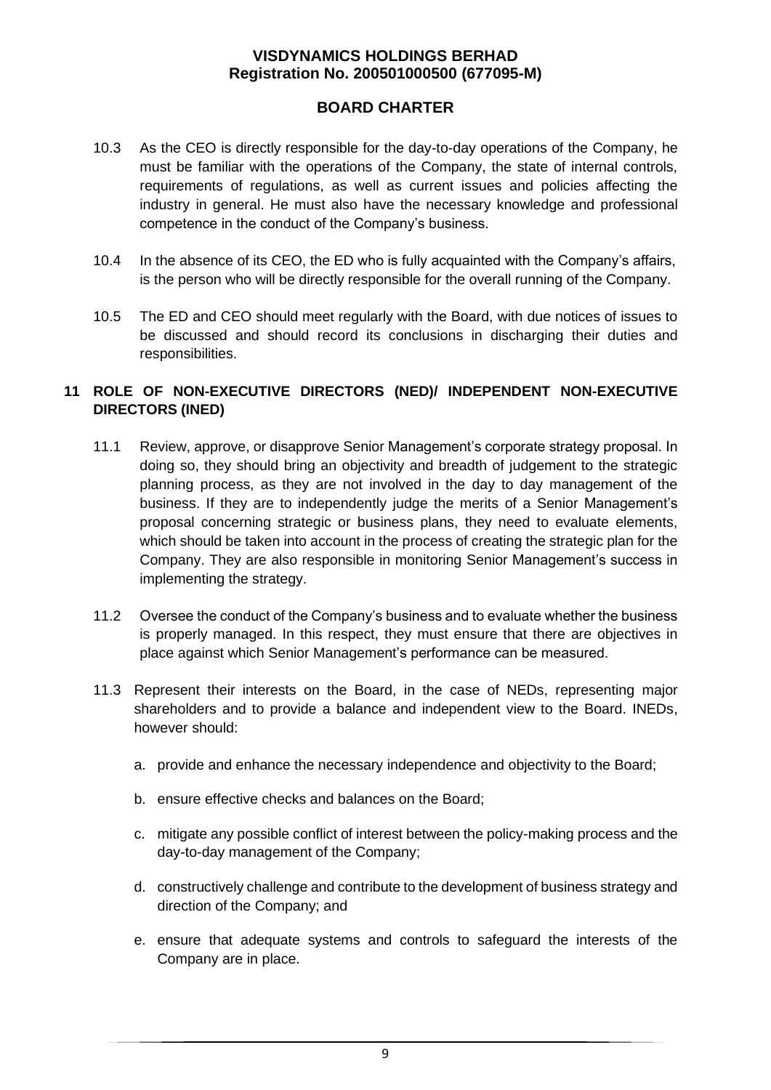## **BOARD CHARTER**

- 10.3 As the CEO is directly responsible for the day-to-day operations of the Company, he must be familiar with the operations of the Company, the state of internal controls, requirements of regulations, as well as current issues and policies affecting the industry in general. He must also have the necessary knowledge and professional competence in the conduct of the Company's business.
- 10.4 In the absence of its CEO, the ED who is fully acquainted with the Company's affairs, is the person who will be directly responsible for the overall running of the Company.
- 10.5 The ED and CEO should meet regularly with the Board, with due notices of issues to be discussed and should record its conclusions in discharging their duties and responsibilities.

## **11 ROLE OF NON-EXECUTIVE DIRECTORS (NED)/ INDEPENDENT NON-EXECUTIVE DIRECTORS (INED)**

- 11.1 Review, approve, or disapprove Senior Management's corporate strategy proposal. In doing so, they should bring an objectivity and breadth of judgement to the strategic planning process, as they are not involved in the day to day management of the business. If they are to independently judge the merits of a Senior Management's proposal concerning strategic or business plans, they need to evaluate elements, which should be taken into account in the process of creating the strategic plan for the Company. They are also responsible in monitoring Senior Management's success in implementing the strategy.
- 11.2 Oversee the conduct of the Company's business and to evaluate whether the business is properly managed. In this respect, they must ensure that there are objectives in place against which Senior Management's performance can be measured.
- 11.3 Represent their interests on the Board, in the case of NEDs, representing major shareholders and to provide a balance and independent view to the Board. INEDs, however should:
	- a. provide and enhance the necessary independence and objectivity to the Board;
	- b. ensure effective checks and balances on the Board;
	- c. mitigate any possible conflict of interest between the policy-making process and the day-to-day management of the Company;
	- d. constructively challenge and contribute to the development of business strategy and direction of the Company; and
	- e. ensure that adequate systems and controls to safeguard the interests of the Company are in place.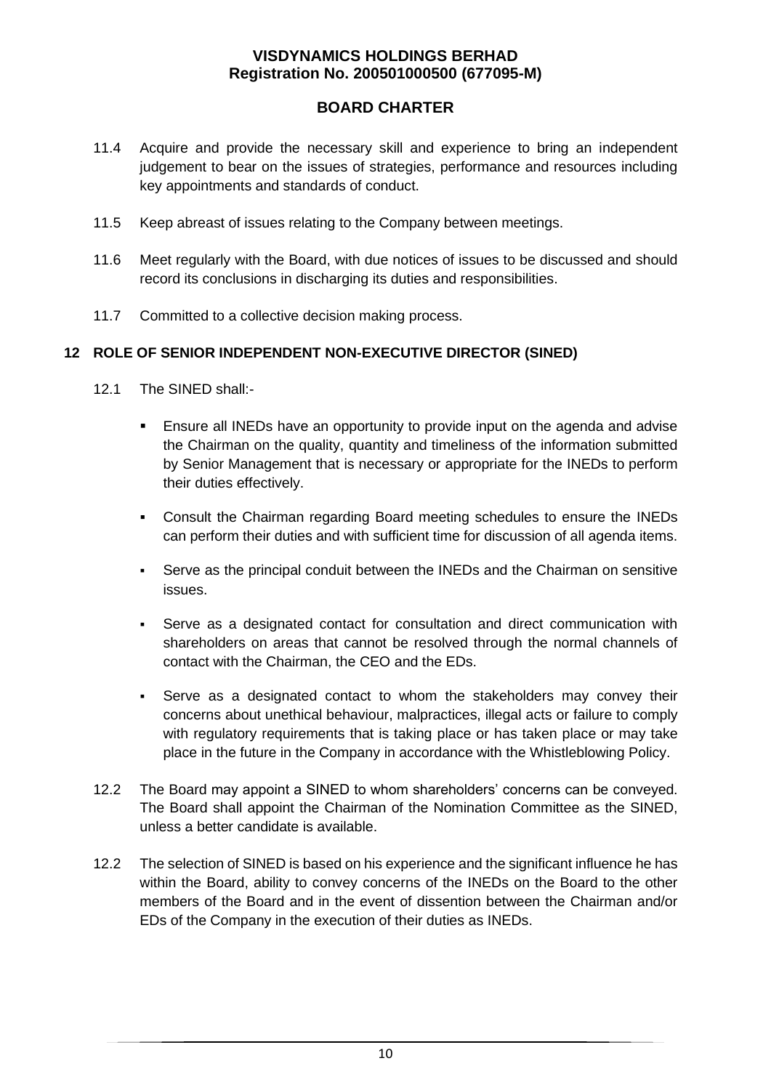## **BOARD CHARTER**

- 11.4 Acquire and provide the necessary skill and experience to bring an independent judgement to bear on the issues of strategies, performance and resources including key appointments and standards of conduct.
- 11.5 Keep abreast of issues relating to the Company between meetings.
- 11.6 Meet regularly with the Board, with due notices of issues to be discussed and should record its conclusions in discharging its duties and responsibilities.
- 11.7 Committed to a collective decision making process.

### **12 ROLE OF SENIOR INDEPENDENT NON-EXECUTIVE DIRECTOR (SINED)**

- 12.1 The SINED shall:-
	- Ensure all INEDs have an opportunity to provide input on the agenda and advise the Chairman on the quality, quantity and timeliness of the information submitted by Senior Management that is necessary or appropriate for the INEDs to perform their duties effectively.
	- Consult the Chairman regarding Board meeting schedules to ensure the INEDs can perform their duties and with sufficient time for discussion of all agenda items.
	- Serve as the principal conduit between the INEDs and the Chairman on sensitive issues.
	- Serve as a designated contact for consultation and direct communication with shareholders on areas that cannot be resolved through the normal channels of contact with the Chairman, the CEO and the EDs.
	- Serve as a designated contact to whom the stakeholders may convey their concerns about unethical behaviour, malpractices, illegal acts or failure to comply with regulatory requirements that is taking place or has taken place or may take place in the future in the Company in accordance with the Whistleblowing Policy.
- 12.2 The Board may appoint a SINED to whom shareholders' concerns can be conveyed. The Board shall appoint the Chairman of the Nomination Committee as the SINED, unless a better candidate is available.
- 12.2 The selection of SINED is based on his experience and the significant influence he has within the Board, ability to convey concerns of the INEDs on the Board to the other members of the Board and in the event of dissention between the Chairman and/or EDs of the Company in the execution of their duties as INEDs.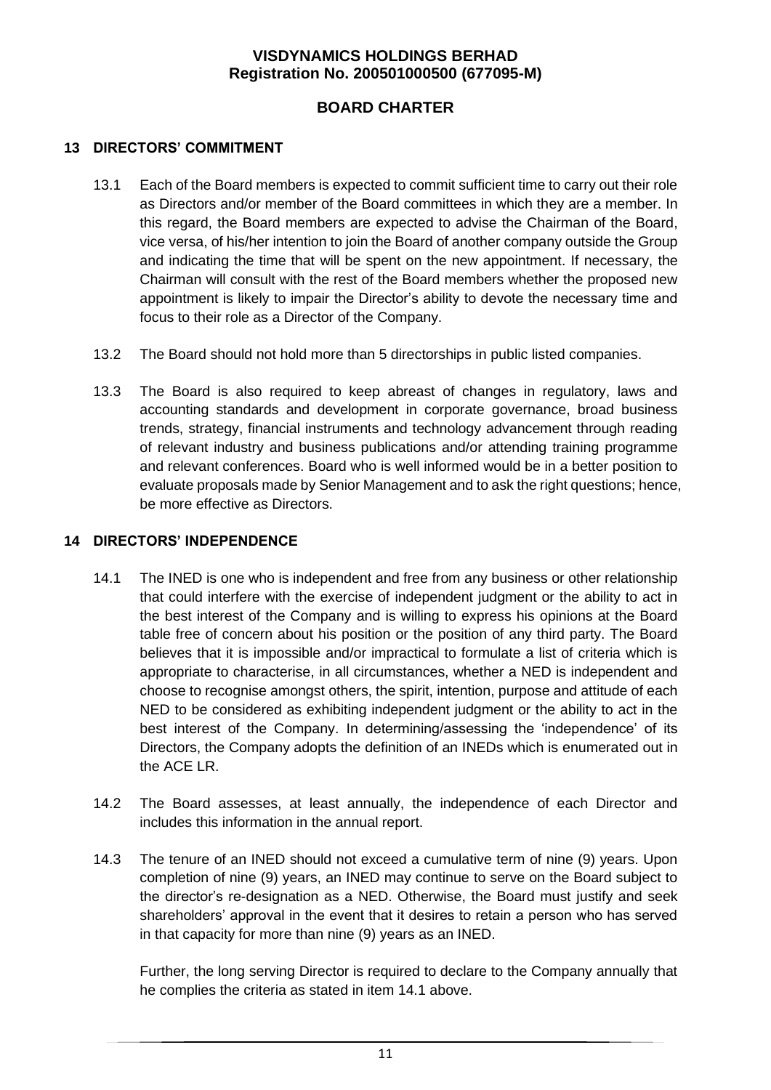## **BOARD CHARTER**

## **13 DIRECTORS' COMMITMENT**

- 13.1 Each of the Board members is expected to commit sufficient time to carry out their role as Directors and/or member of the Board committees in which they are a member. In this regard, the Board members are expected to advise the Chairman of the Board, vice versa, of his/her intention to join the Board of another company outside the Group and indicating the time that will be spent on the new appointment. If necessary, the Chairman will consult with the rest of the Board members whether the proposed new appointment is likely to impair the Director's ability to devote the necessary time and focus to their role as a Director of the Company.
- 13.2 The Board should not hold more than 5 directorships in public listed companies.
- 13.3 The Board is also required to keep abreast of changes in regulatory, laws and accounting standards and development in corporate governance, broad business trends, strategy, financial instruments and technology advancement through reading of relevant industry and business publications and/or attending training programme and relevant conferences. Board who is well informed would be in a better position to evaluate proposals made by Senior Management and to ask the right questions; hence, be more effective as Directors.

### **14 DIRECTORS' INDEPENDENCE**

- 14.1 The INED is one who is independent and free from any business or other relationship that could interfere with the exercise of independent judgment or the ability to act in the best interest of the Company and is willing to express his opinions at the Board table free of concern about his position or the position of any third party. The Board believes that it is impossible and/or impractical to formulate a list of criteria which is appropriate to characterise, in all circumstances, whether a NED is independent and choose to recognise amongst others, the spirit, intention, purpose and attitude of each NED to be considered as exhibiting independent judgment or the ability to act in the best interest of the Company. In determining/assessing the 'independence' of its Directors, the Company adopts the definition of an INEDs which is enumerated out in the ACE LR.
- 14.2 The Board assesses, at least annually, the independence of each Director and includes this information in the annual report.
- 14.3 The tenure of an INED should not exceed a cumulative term of nine (9) years. Upon completion of nine (9) years, an INED may continue to serve on the Board subject to the director's re-designation as a NED. Otherwise, the Board must justify and seek shareholders' approval in the event that it desires to retain a person who has served in that capacity for more than nine (9) years as an INED.

Further, the long serving Director is required to declare to the Company annually that he complies the criteria as stated in item 14.1 above.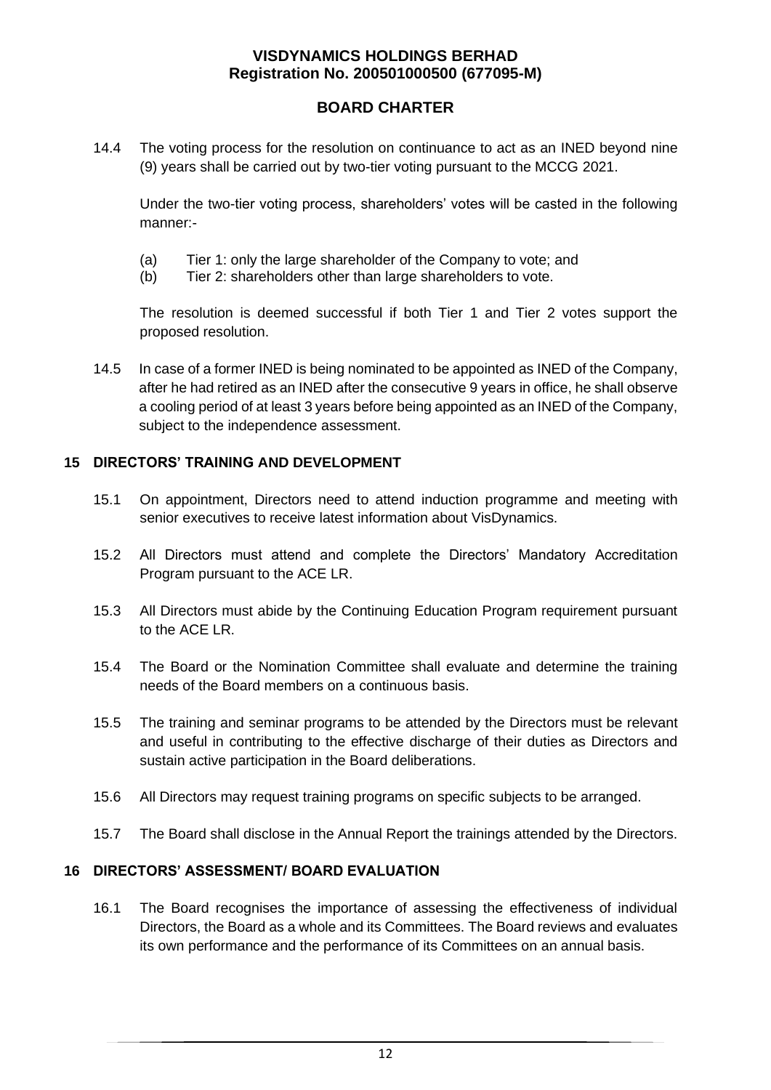## **BOARD CHARTER**

14.4 The voting process for the resolution on continuance to act as an INED beyond nine (9) years shall be carried out by two-tier voting pursuant to the MCCG 2021.

Under the two-tier voting process, shareholders' votes will be casted in the following manner:-

- (a) Tier 1: only the large shareholder of the Company to vote; and
- (b) Tier 2: shareholders other than large shareholders to vote.

The resolution is deemed successful if both Tier 1 and Tier 2 votes support the proposed resolution.

14.5 In case of a former INED is being nominated to be appointed as INED of the Company, after he had retired as an INED after the consecutive 9 years in office, he shall observe a cooling period of at least 3 years before being appointed as an INED of the Company, subject to the independence assessment.

### **15 DIRECTORS' TRAINING AND DEVELOPMENT**

- 15.1 On appointment, Directors need to attend induction programme and meeting with senior executives to receive latest information about VisDynamics.
- 15.2 All Directors must attend and complete the Directors' Mandatory Accreditation Program pursuant to the ACE LR.
- 15.3 All Directors must abide by the Continuing Education Program requirement pursuant to the ACE LR.
- 15.4 The Board or the Nomination Committee shall evaluate and determine the training needs of the Board members on a continuous basis.
- 15.5 The training and seminar programs to be attended by the Directors must be relevant and useful in contributing to the effective discharge of their duties as Directors and sustain active participation in the Board deliberations.
- 15.6 All Directors may request training programs on specific subjects to be arranged.
- 15.7 The Board shall disclose in the Annual Report the trainings attended by the Directors.

#### **16 DIRECTORS' ASSESSMENT/ BOARD EVALUATION**

16.1 The Board recognises the importance of assessing the effectiveness of individual Directors, the Board as a whole and its Committees. The Board reviews and evaluates its own performance and the performance of its Committees on an annual basis.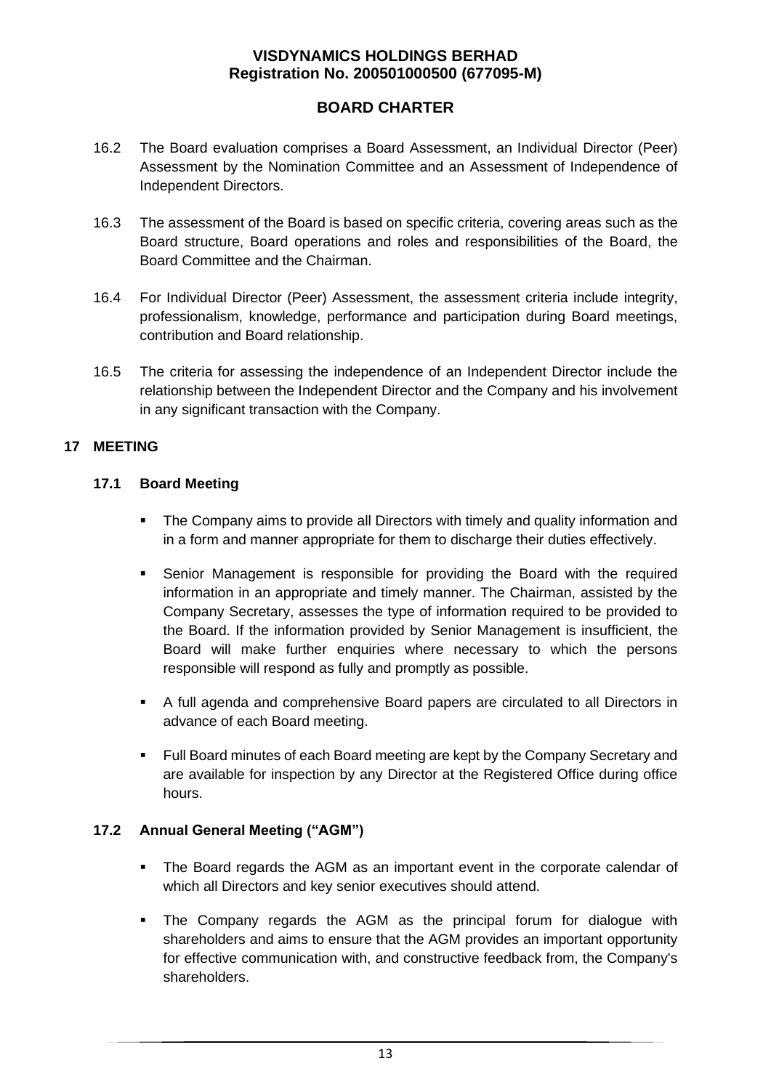## **BOARD CHARTER**

- 16.2 The Board evaluation comprises a Board Assessment, an Individual Director (Peer) Assessment by the Nomination Committee and an Assessment of Independence of Independent Directors.
- 16.3 The assessment of the Board is based on specific criteria, covering areas such as the Board structure, Board operations and roles and responsibilities of the Board, the Board Committee and the Chairman.
- 16.4 For Individual Director (Peer) Assessment, the assessment criteria include integrity, professionalism, knowledge, performance and participation during Board meetings, contribution and Board relationship.
- 16.5 The criteria for assessing the independence of an Independent Director include the relationship between the Independent Director and the Company and his involvement in any significant transaction with the Company.

### **17 MEETING**

### **17.1 Board Meeting**

- The Company aims to provide all Directors with timely and quality information and in a form and manner appropriate for them to discharge their duties effectively.
- Senior Management is responsible for providing the Board with the required information in an appropriate and timely manner. The Chairman, assisted by the Company Secretary, assesses the type of information required to be provided to the Board. If the information provided by Senior Management is insufficient, the Board will make further enquiries where necessary to which the persons responsible will respond as fully and promptly as possible.
- A full agenda and comprehensive Board papers are circulated to all Directors in advance of each Board meeting.
- Full Board minutes of each Board meeting are kept by the Company Secretary and are available for inspection by any Director at the Registered Office during office hours.

## **17.2 Annual General Meeting ("AGM")**

- The Board regards the AGM as an important event in the corporate calendar of which all Directors and key senior executives should attend.
- The Company regards the AGM as the principal forum for dialogue with shareholders and aims to ensure that the AGM provides an important opportunity for effective communication with, and constructive feedback from, the Company's shareholders.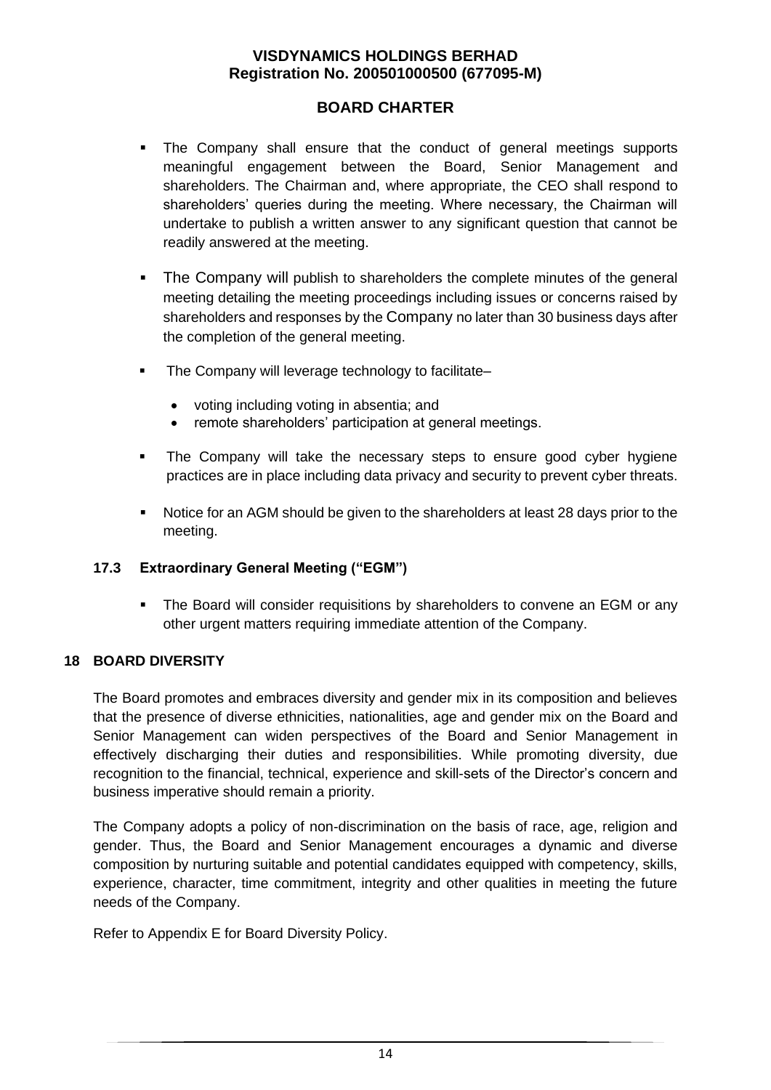## **BOARD CHARTER**

- The Company shall ensure that the conduct of general meetings supports meaningful engagement between the Board, Senior Management and shareholders. The Chairman and, where appropriate, the CEO shall respond to shareholders' queries during the meeting. Where necessary, the Chairman will undertake to publish a written answer to any significant question that cannot be readily answered at the meeting.
- **•** The Company will publish to shareholders the complete minutes of the general meeting detailing the meeting proceedings including issues or concerns raised by shareholders and responses by the Company no later than 30 business days after the completion of the general meeting.
- The Company will leverage technology to facilitate–
	- voting including voting in absentia; and
	- remote shareholders' participation at general meetings.
- The Company will take the necessary steps to ensure good cyber hygiene practices are in place including data privacy and security to prevent cyber threats.
- Notice for an AGM should be given to the shareholders at least 28 days prior to the meeting.

#### **17.3 Extraordinary General Meeting ("EGM")**

**•** The Board will consider requisitions by shareholders to convene an EGM or any other urgent matters requiring immediate attention of the Company.

#### **18 BOARD DIVERSITY**

The Board promotes and embraces diversity and gender mix in its composition and believes that the presence of diverse ethnicities, nationalities, age and gender mix on the Board and Senior Management can widen perspectives of the Board and Senior Management in effectively discharging their duties and responsibilities. While promoting diversity, due recognition to the financial, technical, experience and skill-sets of the Director's concern and business imperative should remain a priority.

The Company adopts a policy of non-discrimination on the basis of race, age, religion and gender. Thus, the Board and Senior Management encourages a dynamic and diverse composition by nurturing suitable and potential candidates equipped with competency, skills, experience, character, time commitment, integrity and other qualities in meeting the future needs of the Company.

Refer to Appendix E for Board Diversity Policy.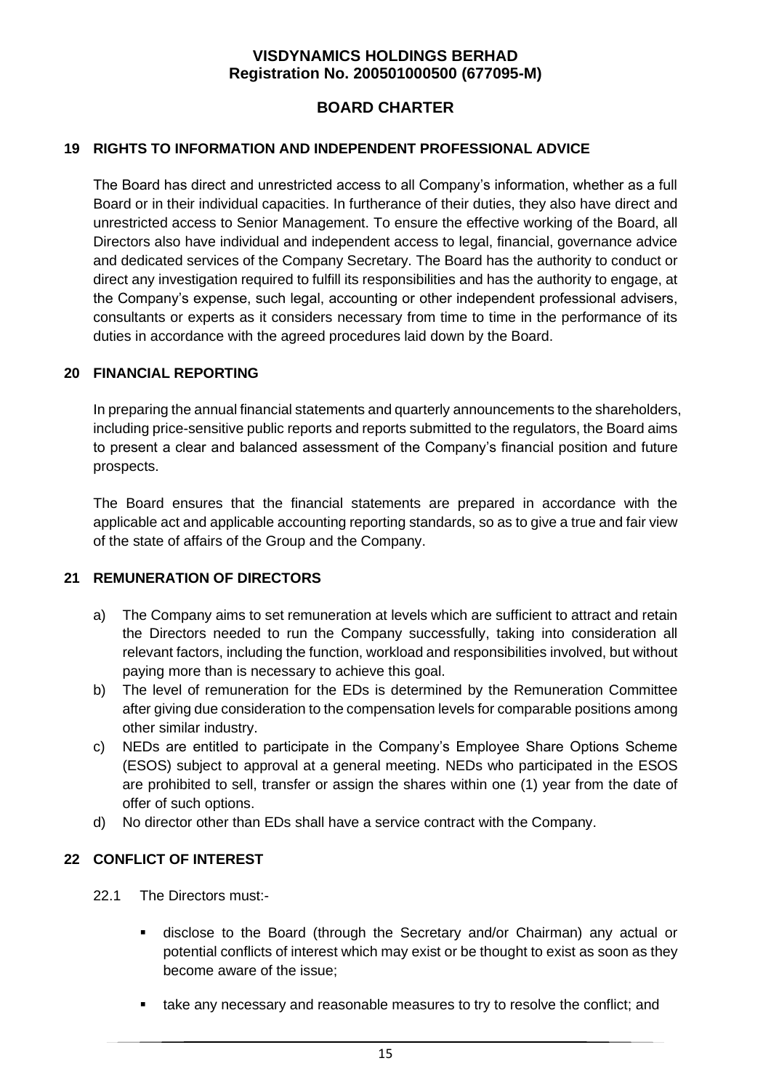## **BOARD CHARTER**

#### **19 RIGHTS TO INFORMATION AND INDEPENDENT PROFESSIONAL ADVICE**

The Board has direct and unrestricted access to all Company's information, whether as a full Board or in their individual capacities. In furtherance of their duties, they also have direct and unrestricted access to Senior Management. To ensure the effective working of the Board, all Directors also have individual and independent access to legal, financial, governance advice and dedicated services of the Company Secretary. The Board has the authority to conduct or direct any investigation required to fulfill its responsibilities and has the authority to engage, at the Company's expense, such legal, accounting or other independent professional advisers, consultants or experts as it considers necessary from time to time in the performance of its duties in accordance with the agreed procedures laid down by the Board.

### **20 FINANCIAL REPORTING**

In preparing the annual financial statements and quarterly announcements to the shareholders, including price-sensitive public reports and reports submitted to the regulators, the Board aims to present a clear and balanced assessment of the Company's financial position and future prospects.

The Board ensures that the financial statements are prepared in accordance with the applicable act and applicable accounting reporting standards, so as to give a true and fair view of the state of affairs of the Group and the Company.

## **21 REMUNERATION OF DIRECTORS**

- a) The Company aims to set remuneration at levels which are sufficient to attract and retain the Directors needed to run the Company successfully, taking into consideration all relevant factors, including the function, workload and responsibilities involved, but without paying more than is necessary to achieve this goal.
- b) The level of remuneration for the EDs is determined by the Remuneration Committee after giving due consideration to the compensation levels for comparable positions among other similar industry.
- c) NEDs are entitled to participate in the Company's Employee Share Options Scheme (ESOS) subject to approval at a general meeting. NEDs who participated in the ESOS are prohibited to sell, transfer or assign the shares within one (1) year from the date of offer of such options.
- d) No director other than EDs shall have a service contract with the Company.

## **22 CONFLICT OF INTEREST**

- 22.1 The Directors must:-
	- disclose to the Board (through the Secretary and/or Chairman) any actual or potential conflicts of interest which may exist or be thought to exist as soon as they become aware of the issue;
	- take any necessary and reasonable measures to try to resolve the conflict; and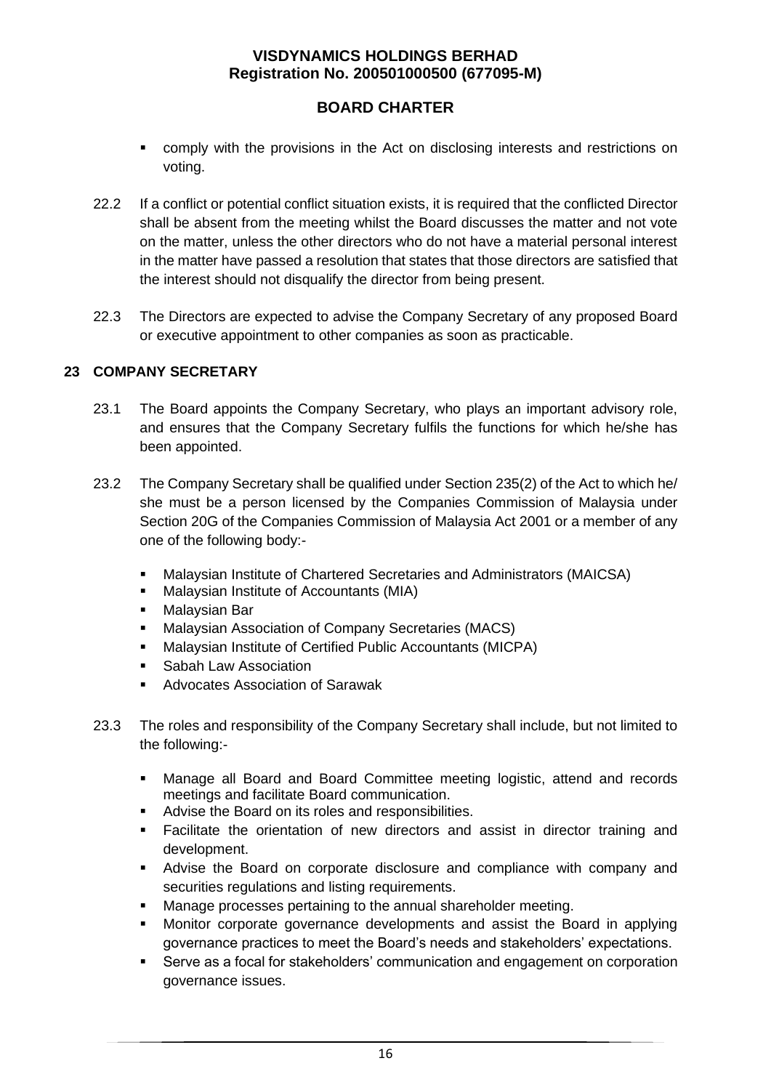## **BOARD CHARTER**

- comply with the provisions in the Act on disclosing interests and restrictions on voting.
- 22.2 If a conflict or potential conflict situation exists, it is required that the conflicted Director shall be absent from the meeting whilst the Board discusses the matter and not vote on the matter, unless the other directors who do not have a material personal interest in the matter have passed a resolution that states that those directors are satisfied that the interest should not disqualify the director from being present.
- 22.3 The Directors are expected to advise the Company Secretary of any proposed Board or executive appointment to other companies as soon as practicable.

### **23 COMPANY SECRETARY**

- 23.1 The Board appoints the Company Secretary, who plays an important advisory role, and ensures that the Company Secretary fulfils the functions for which he/she has been appointed.
- 23.2 The Company Secretary shall be qualified under Section 235(2) of the Act to which he/ she must be a person licensed by the Companies Commission of Malaysia under Section 20G of the Companies Commission of Malaysia Act 2001 or a member of any one of the following body:-
	- Malaysian Institute of Chartered Secretaries and Administrators (MAICSA)
	- Malaysian Institute of Accountants (MIA)
	- Malaysian Bar
	- Malaysian Association of Company Secretaries (MACS)
	- Malaysian Institute of Certified Public Accountants (MICPA)
	- Sabah Law Association
	- Advocates Association of Sarawak
- 23.3 The roles and responsibility of the Company Secretary shall include, but not limited to the following:-
	- Manage all Board and Board Committee meeting logistic, attend and records meetings and facilitate Board communication.
	- Advise the Board on its roles and responsibilities.
	- Facilitate the orientation of new directors and assist in director training and development.
	- Advise the Board on corporate disclosure and compliance with company and securities regulations and listing requirements.
	- Manage processes pertaining to the annual shareholder meeting.
	- Monitor corporate governance developments and assist the Board in applying governance practices to meet the Board's needs and stakeholders' expectations.
	- Serve as a focal for stakeholders' communication and engagement on corporation governance issues.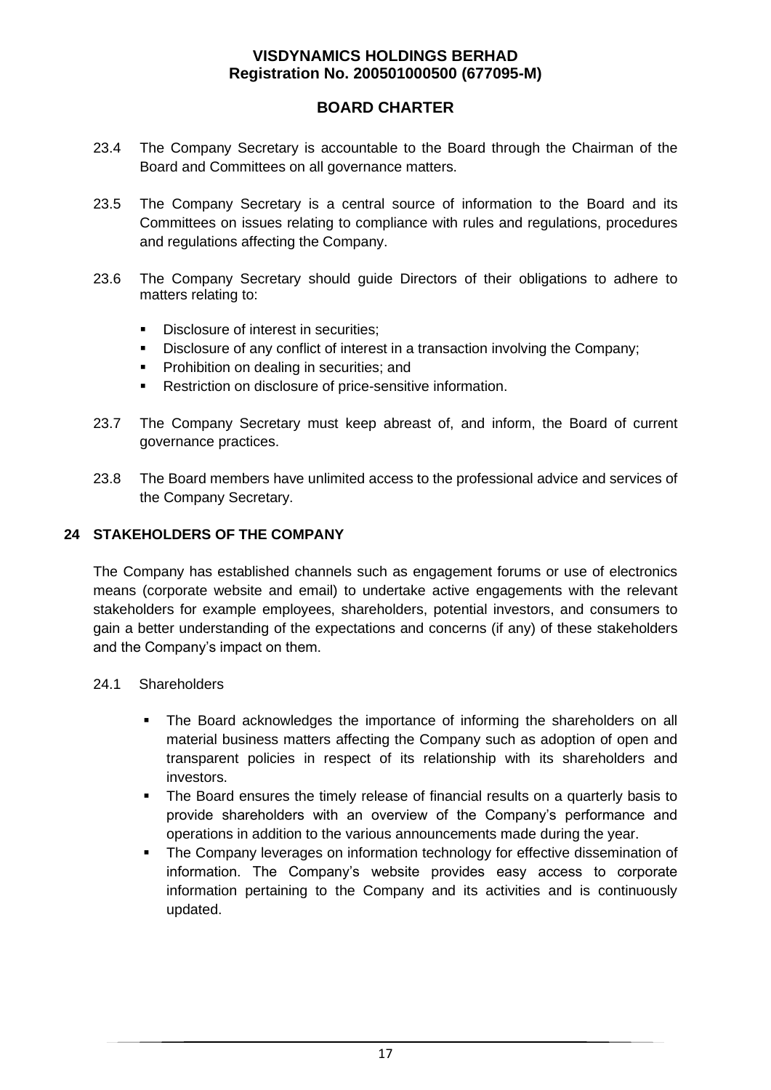## **BOARD CHARTER**

- 23.4 The Company Secretary is accountable to the Board through the Chairman of the Board and Committees on all governance matters.
- 23.5 The Company Secretary is a central source of information to the Board and its Committees on issues relating to compliance with rules and regulations, procedures and regulations affecting the Company.
- 23.6 The Company Secretary should guide Directors of their obligations to adhere to matters relating to:
	- Disclosure of interest in securities:
	- **•** Disclosure of any conflict of interest in a transaction involving the Company;
	- Prohibition on dealing in securities; and
	- Restriction on disclosure of price-sensitive information.
- 23.7 The Company Secretary must keep abreast of, and inform, the Board of current governance practices.
- 23.8 The Board members have unlimited access to the professional advice and services of the Company Secretary.

#### **24 STAKEHOLDERS OF THE COMPANY**

The Company has established channels such as engagement forums or use of electronics means (corporate website and email) to undertake active engagements with the relevant stakeholders for example employees, shareholders, potential investors, and consumers to gain a better understanding of the expectations and concerns (if any) of these stakeholders and the Company's impact on them.

#### 24.1 Shareholders

- **•** The Board acknowledges the importance of informing the shareholders on all material business matters affecting the Company such as adoption of open and transparent policies in respect of its relationship with its shareholders and investors.
- The Board ensures the timely release of financial results on a quarterly basis to provide shareholders with an overview of the Company's performance and operations in addition to the various announcements made during the year.
- The Company leverages on information technology for effective dissemination of information. The Company's website provides easy access to corporate information pertaining to the Company and its activities and is continuously updated.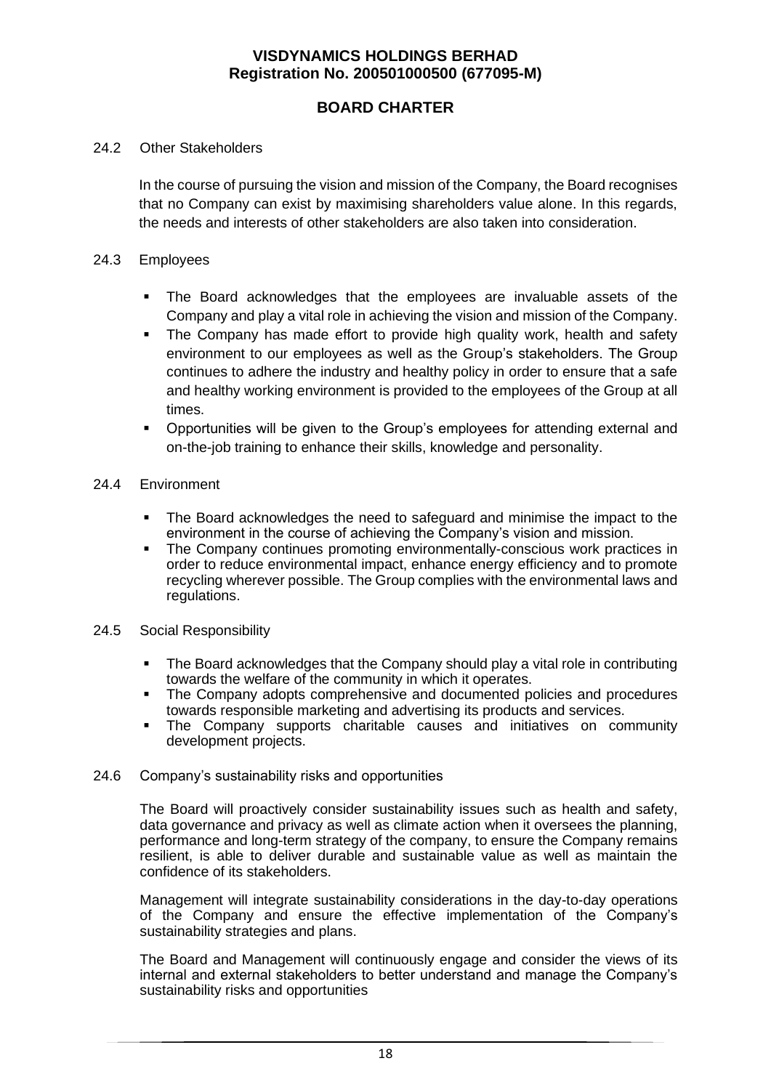## **BOARD CHARTER**

#### 24.2 Other Stakeholders

In the course of pursuing the vision and mission of the Company, the Board recognises that no Company can exist by maximising shareholders value alone. In this regards, the needs and interests of other stakeholders are also taken into consideration.

#### 24.3 Employees

- The Board acknowledges that the employees are invaluable assets of the Company and play a vital role in achieving the vision and mission of the Company.
- The Company has made effort to provide high quality work, health and safety environment to our employees as well as the Group's stakeholders. The Group continues to adhere the industry and healthy policy in order to ensure that a safe and healthy working environment is provided to the employees of the Group at all times.
- Opportunities will be given to the Group's employees for attending external and on-the-job training to enhance their skills, knowledge and personality.
- 24.4 Environment
	- The Board acknowledges the need to safeguard and minimise the impact to the environment in the course of achieving the Company's vision and mission.
	- The Company continues promoting environmentally-conscious work practices in order to reduce environmental impact, enhance energy efficiency and to promote recycling wherever possible. The Group complies with the environmental laws and regulations.
- 24.5 Social Responsibility
	- The Board acknowledges that the Company should play a vital role in contributing towards the welfare of the community in which it operates.
	- The Company adopts comprehensive and documented policies and procedures towards responsible marketing and advertising its products and services.
	- **·** The Company supports charitable causes and initiatives on community development projects.

#### 24.6 Company's sustainability risks and opportunities

The Board will proactively consider sustainability issues such as health and safety, data governance and privacy as well as climate action when it oversees the planning, performance and long-term strategy of the company, to ensure the Company remains resilient, is able to deliver durable and sustainable value as well as maintain the confidence of its stakeholders.

Management will integrate sustainability considerations in the day-to-day operations of the Company and ensure the effective implementation of the Company's sustainability strategies and plans.

The Board and Management will continuously engage and consider the views of its internal and external stakeholders to better understand and manage the Company's sustainability risks and opportunities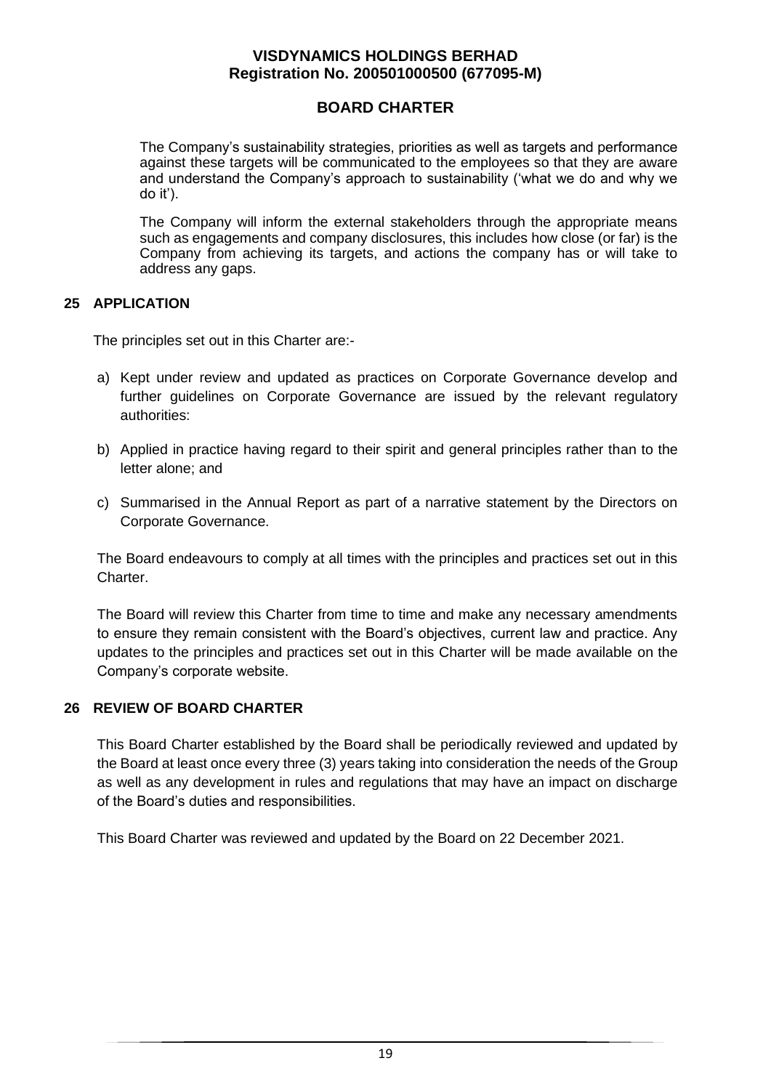## **BOARD CHARTER**

The Company's sustainability strategies, priorities as well as targets and performance against these targets will be communicated to the employees so that they are aware and understand the Company's approach to sustainability ('what we do and why we do it').

The Company will inform the external stakeholders through the appropriate means such as engagements and company disclosures, this includes how close (or far) is the Company from achieving its targets, and actions the company has or will take to address any gaps.

#### **25 APPLICATION**

The principles set out in this Charter are:-

- a) Kept under review and updated as practices on Corporate Governance develop and further guidelines on Corporate Governance are issued by the relevant regulatory authorities:
- b) Applied in practice having regard to their spirit and general principles rather than to the letter alone; and
- c) Summarised in the Annual Report as part of a narrative statement by the Directors on Corporate Governance.

The Board endeavours to comply at all times with the principles and practices set out in this Charter.

The Board will review this Charter from time to time and make any necessary amendments to ensure they remain consistent with the Board's objectives, current law and practice. Any updates to the principles and practices set out in this Charter will be made available on the Company's corporate website.

## **26 REVIEW OF BOARD CHARTER**

This Board Charter established by the Board shall be periodically reviewed and updated by the Board at least once every three (3) years taking into consideration the needs of the Group as well as any development in rules and regulations that may have an impact on discharge of the Board's duties and responsibilities.

This Board Charter was reviewed and updated by the Board on 22 December 2021.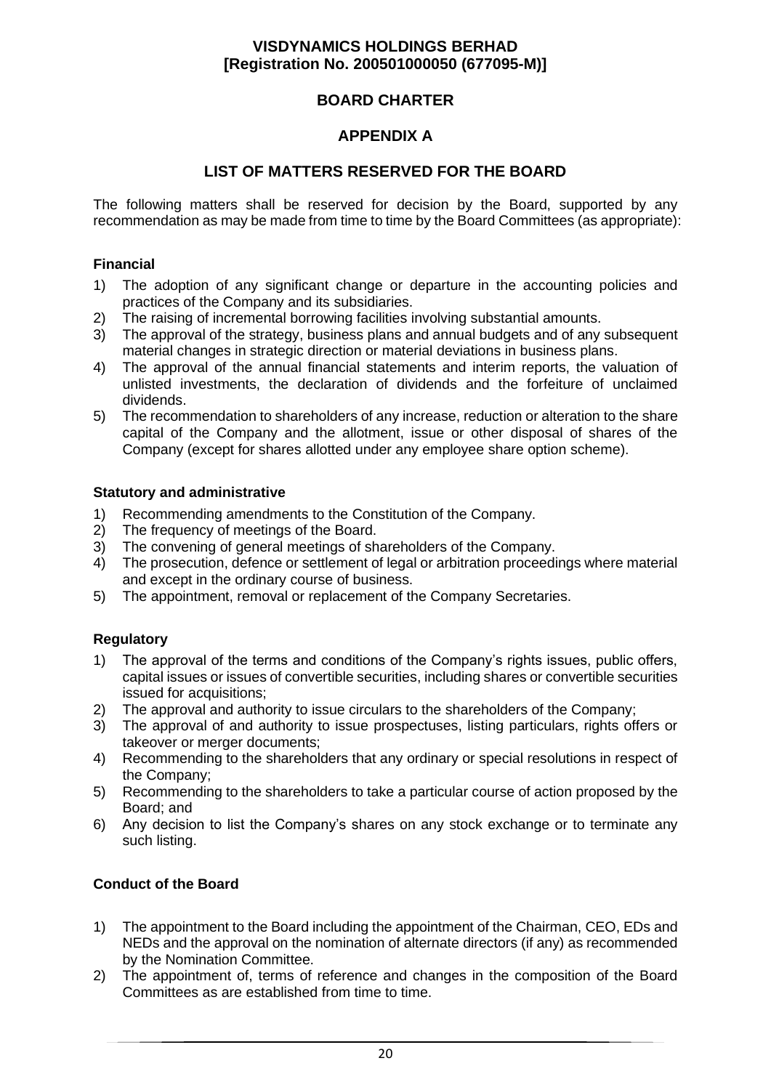## **BOARD CHARTER**

## **APPENDIX A**

### **LIST OF MATTERS RESERVED FOR THE BOARD**

The following matters shall be reserved for decision by the Board, supported by any recommendation as may be made from time to time by the Board Committees (as appropriate):

#### **Financial**

- 1) The adoption of any significant change or departure in the accounting policies and practices of the Company and its subsidiaries.
- 2) The raising of incremental borrowing facilities involving substantial amounts.
- 3) The approval of the strategy, business plans and annual budgets and of any subsequent material changes in strategic direction or material deviations in business plans.
- 4) The approval of the annual financial statements and interim reports, the valuation of unlisted investments, the declaration of dividends and the forfeiture of unclaimed dividends.
- 5) The recommendation to shareholders of any increase, reduction or alteration to the share capital of the Company and the allotment, issue or other disposal of shares of the Company (except for shares allotted under any employee share option scheme).

#### **Statutory and administrative**

- 1) Recommending amendments to the Constitution of the Company.
- 2) The frequency of meetings of the Board.
- 3) The convening of general meetings of shareholders of the Company.
- 4) The prosecution, defence or settlement of legal or arbitration proceedings where material and except in the ordinary course of business.
- 5) The appointment, removal or replacement of the Company Secretaries.

#### **Regulatory**

- 1) The approval of the terms and conditions of the Company's rights issues, public offers, capital issues or issues of convertible securities, including shares or convertible securities issued for acquisitions:
- 2) The approval and authority to issue circulars to the shareholders of the Company;
- 3) The approval of and authority to issue prospectuses, listing particulars, rights offers or takeover or merger documents;
- 4) Recommending to the shareholders that any ordinary or special resolutions in respect of the Company;
- 5) Recommending to the shareholders to take a particular course of action proposed by the Board; and
- 6) Any decision to list the Company's shares on any stock exchange or to terminate any such listing.

#### **Conduct of the Board**

- 1) The appointment to the Board including the appointment of the Chairman, CEO, EDs and NEDs and the approval on the nomination of alternate directors (if any) as recommended by the Nomination Committee.
- 2) The appointment of, terms of reference and changes in the composition of the Board Committees as are established from time to time.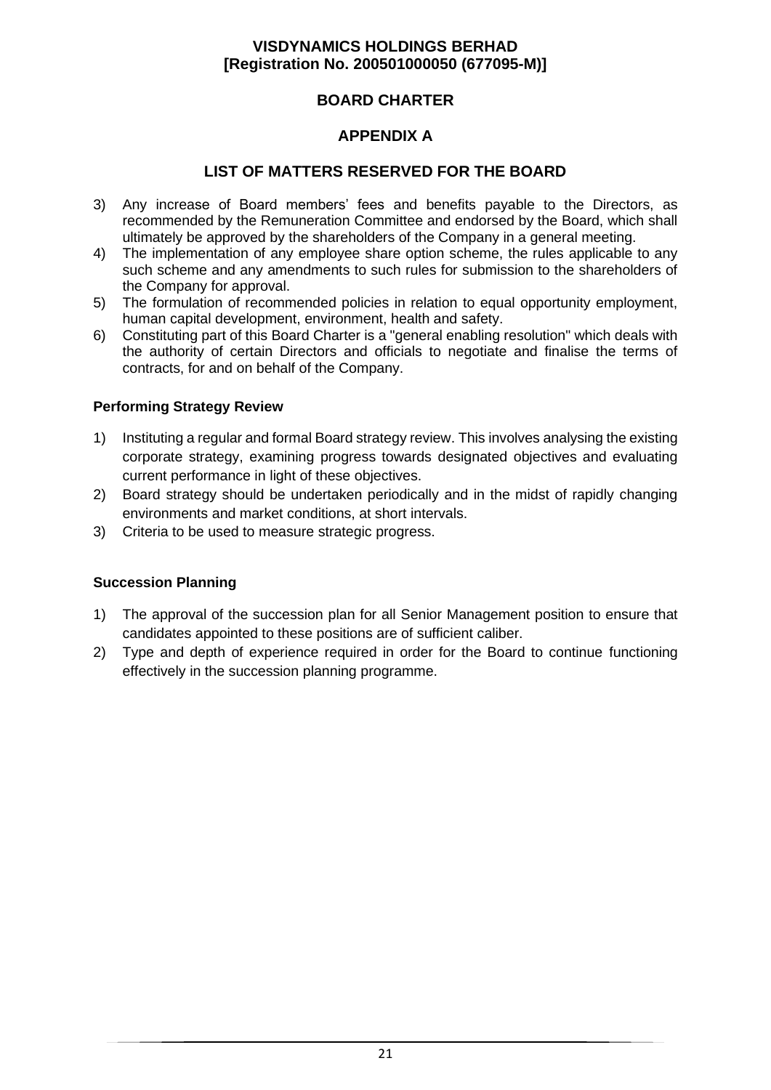## **BOARD CHARTER**

## **APPENDIX A**

### **LIST OF MATTERS RESERVED FOR THE BOARD**

- 3) Any increase of Board members' fees and benefits payable to the Directors, as recommended by the Remuneration Committee and endorsed by the Board, which shall ultimately be approved by the shareholders of the Company in a general meeting.
- 4) The implementation of any employee share option scheme, the rules applicable to any such scheme and any amendments to such rules for submission to the shareholders of the Company for approval.
- 5) The formulation of recommended policies in relation to equal opportunity employment, human capital development, environment, health and safety.
- 6) Constituting part of this Board Charter is a "general enabling resolution" which deals with the authority of certain Directors and officials to negotiate and finalise the terms of contracts, for and on behalf of the Company.

#### **Performing Strategy Review**

- 1) Instituting a regular and formal Board strategy review. This involves analysing the existing corporate strategy, examining progress towards designated objectives and evaluating current performance in light of these objectives.
- 2) Board strategy should be undertaken periodically and in the midst of rapidly changing environments and market conditions, at short intervals.
- 3) Criteria to be used to measure strategic progress.

#### **Succession Planning**

- 1) The approval of the succession plan for all Senior Management position to ensure that candidates appointed to these positions are of sufficient caliber.
- 2) Type and depth of experience required in order for the Board to continue functioning effectively in the succession planning programme.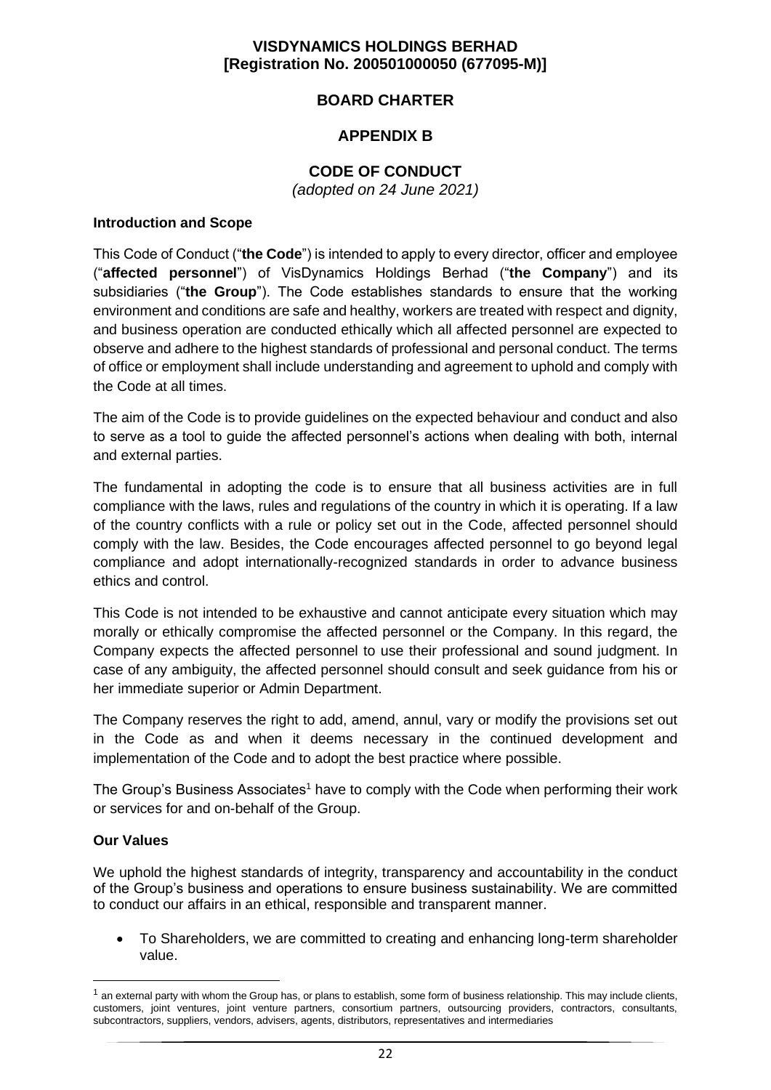## **BOARD CHARTER**

## **APPENDIX B**

## **CODE OF CONDUCT**

*(adopted on 24 June 2021)*

#### **Introduction and Scope**

This Code of Conduct ("**the Code**") is intended to apply to every director, officer and employee ("**affected personnel**") of VisDynamics Holdings Berhad ("**the Company**") and its subsidiaries ("**the Group**"). The Code establishes standards to ensure that the working environment and conditions are safe and healthy, workers are treated with respect and dignity, and business operation are conducted ethically which all affected personnel are expected to observe and adhere to the highest standards of professional and personal conduct. The terms of office or employment shall include understanding and agreement to uphold and comply with the Code at all times.

The aim of the Code is to provide guidelines on the expected behaviour and conduct and also to serve as a tool to guide the affected personnel's actions when dealing with both, internal and external parties.

The fundamental in adopting the code is to ensure that all business activities are in full compliance with the laws, rules and regulations of the country in which it is operating. If a law of the country conflicts with a rule or policy set out in the Code, affected personnel should comply with the law. Besides, the Code encourages affected personnel to go beyond legal compliance and adopt internationally-recognized standards in order to advance business ethics and control.

This Code is not intended to be exhaustive and cannot anticipate every situation which may morally or ethically compromise the affected personnel or the Company. In this regard, the Company expects the affected personnel to use their professional and sound judgment. In case of any ambiguity, the affected personnel should consult and seek guidance from his or her immediate superior or Admin Department.

The Company reserves the right to add, amend, annul, vary or modify the provisions set out in the Code as and when it deems necessary in the continued development and implementation of the Code and to adopt the best practice where possible.

The Group's Business Associates<sup>1</sup> have to comply with the Code when performing their work or services for and on-behalf of the Group.

#### **Our Values**

We uphold the highest standards of integrity, transparency and accountability in the conduct of the Group's business and operations to ensure business sustainability. We are committed to conduct our affairs in an ethical, responsible and transparent manner.

• To Shareholders, we are committed to creating and enhancing long-term shareholder value.

 $<sup>1</sup>$  an external party with whom the Group has, or plans to establish, some form of business relationship. This may include clients,</sup> customers, joint ventures, joint venture partners, consortium partners, outsourcing providers, contractors, consultants, subcontractors, suppliers, vendors, advisers, agents, distributors, representatives and intermediaries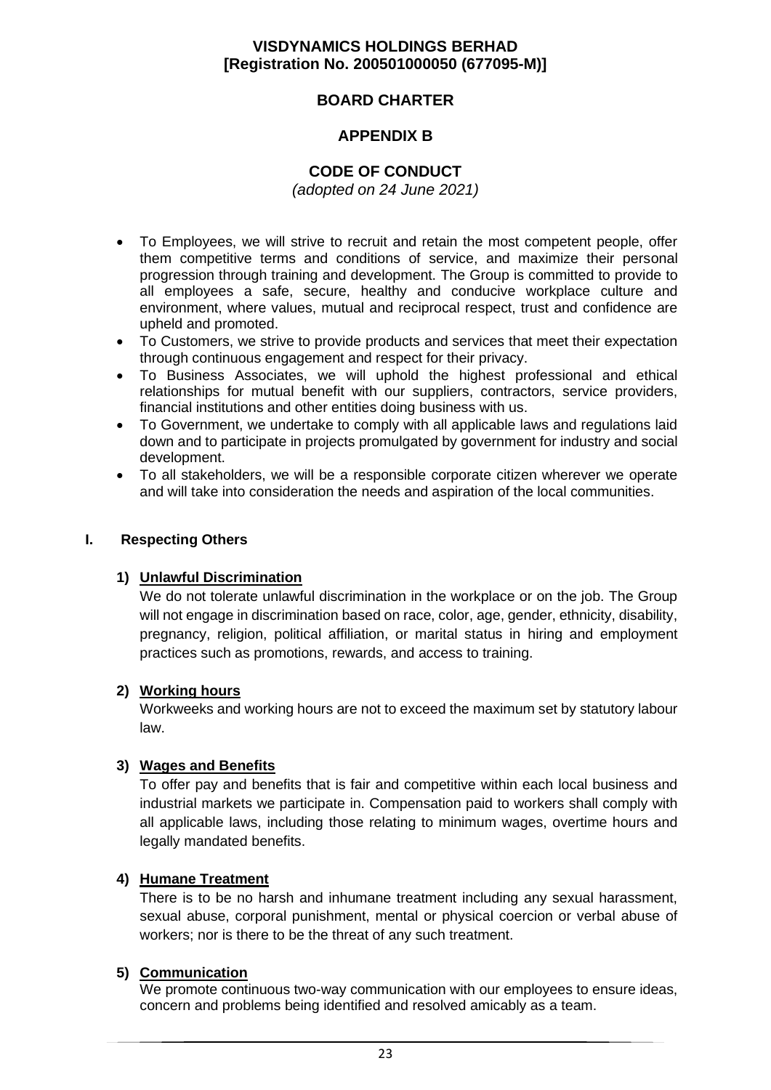## **BOARD CHARTER**

## **APPENDIX B**

## **CODE OF CONDUCT**

*(adopted on 24 June 2021)*

- To Employees, we will strive to recruit and retain the most competent people, offer them competitive terms and conditions of service, and maximize their personal progression through training and development. The Group is committed to provide to all employees a safe, secure, healthy and conducive workplace culture and environment, where values, mutual and reciprocal respect, trust and confidence are upheld and promoted.
- To Customers, we strive to provide products and services that meet their expectation through continuous engagement and respect for their privacy.
- To Business Associates, we will uphold the highest professional and ethical relationships for mutual benefit with our suppliers, contractors, service providers, financial institutions and other entities doing business with us.
- To Government, we undertake to comply with all applicable laws and regulations laid down and to participate in projects promulgated by government for industry and social development.
- To all stakeholders, we will be a responsible corporate citizen wherever we operate and will take into consideration the needs and aspiration of the local communities.

#### **I. Respecting Others**

#### **1) Unlawful Discrimination**

We do not tolerate unlawful discrimination in the workplace or on the job. The Group will not engage in discrimination based on race, color, age, gender, ethnicity, disability, pregnancy, religion, political affiliation, or marital status in hiring and employment practices such as promotions, rewards, and access to training.

#### **2) Working hours**

Workweeks and working hours are not to exceed the maximum set by statutory labour law.

## **3) Wages and Benefits**

To offer pay and benefits that is fair and competitive within each local business and industrial markets we participate in. Compensation paid to workers shall comply with all applicable laws, including those relating to minimum wages, overtime hours and legally mandated benefits.

#### **4) Humane Treatment**

There is to be no harsh and inhumane treatment including any sexual harassment, sexual abuse, corporal punishment, mental or physical coercion or verbal abuse of workers; nor is there to be the threat of any such treatment.

#### **5) Communication**

We promote continuous two-way communication with our employees to ensure ideas, concern and problems being identified and resolved amicably as a team.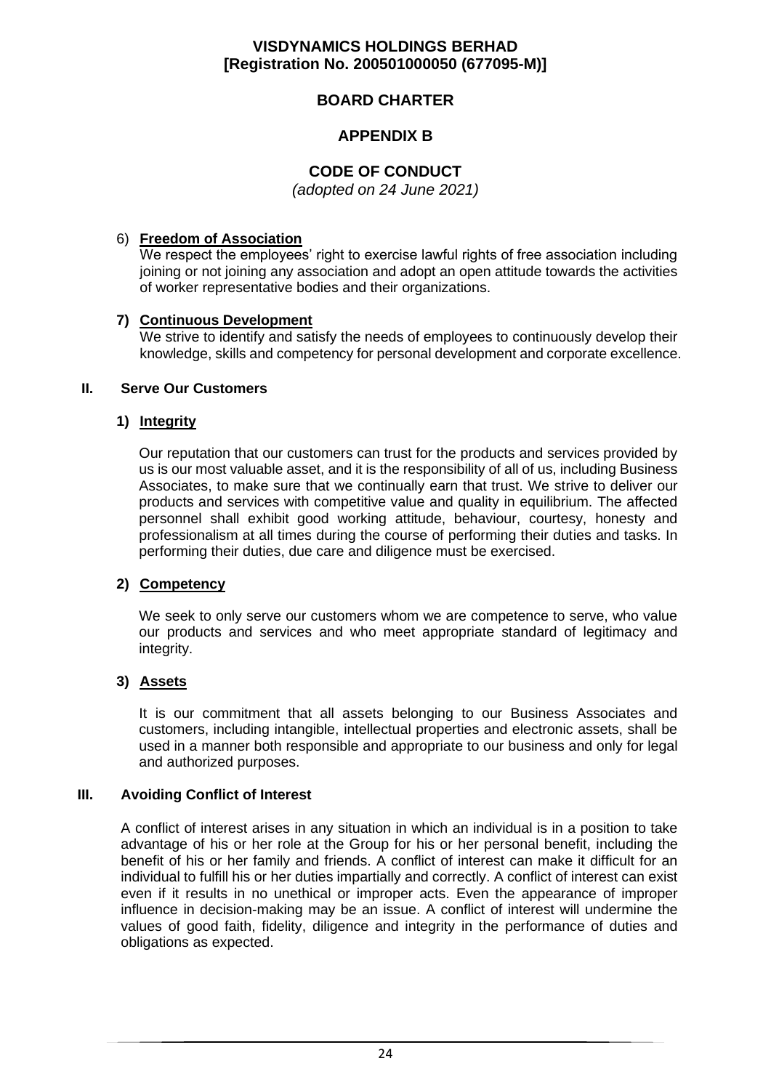## **BOARD CHARTER**

## **APPENDIX B**

## **CODE OF CONDUCT**

*(adopted on 24 June 2021)*

### 6) **Freedom of Association**

We respect the employees' right to exercise lawful rights of free association including joining or not joining any association and adopt an open attitude towards the activities of worker representative bodies and their organizations.

## **7) Continuous Development**

We strive to identify and satisfy the needs of employees to continuously develop their knowledge, skills and competency for personal development and corporate excellence.

#### **II. Serve Our Customers**

#### **1) Integrity**

Our reputation that our customers can trust for the products and services provided by us is our most valuable asset, and it is the responsibility of all of us, including Business Associates, to make sure that we continually earn that trust. We strive to deliver our products and services with competitive value and quality in equilibrium. The affected personnel shall exhibit good working attitude, behaviour, courtesy, honesty and professionalism at all times during the course of performing their duties and tasks. In performing their duties, due care and diligence must be exercised.

#### **2) Competency**

We seek to only serve our customers whom we are competence to serve, who value our products and services and who meet appropriate standard of legitimacy and integrity.

## **3) Assets**

It is our commitment that all assets belonging to our Business Associates and customers, including intangible, intellectual properties and electronic assets, shall be used in a manner both responsible and appropriate to our business and only for legal and authorized purposes.

#### **III. Avoiding Conflict of Interest**

A conflict of interest arises in any situation in which an individual is in a position to take advantage of his or her role at the Group for his or her personal benefit, including the benefit of his or her family and friends. A conflict of interest can make it difficult for an individual to fulfill his or her duties impartially and correctly. A conflict of interest can exist even if it results in no unethical or improper acts. Even the appearance of improper influence in decision-making may be an issue. A conflict of interest will undermine the values of good faith, fidelity, diligence and integrity in the performance of duties and obligations as expected.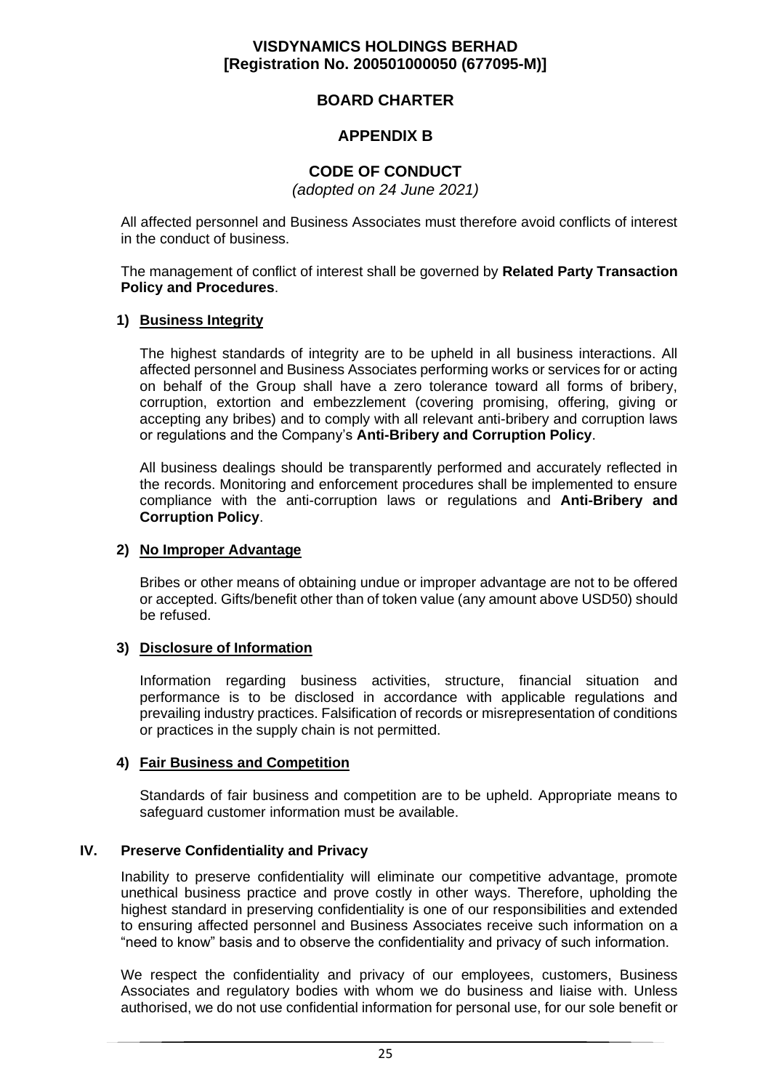## **BOARD CHARTER**

## **APPENDIX B**

## **CODE OF CONDUCT**

*(adopted on 24 June 2021)*

All affected personnel and Business Associates must therefore avoid conflicts of interest in the conduct of business.

The management of conflict of interest shall be governed by **Related Party Transaction Policy and Procedures**.

### **1) Business Integrity**

The highest standards of integrity are to be upheld in all business interactions. All affected personnel and Business Associates performing works or services for or acting on behalf of the Group shall have a zero tolerance toward all forms of bribery, corruption, extortion and embezzlement (covering promising, offering, giving or accepting any bribes) and to comply with all relevant anti-bribery and corruption laws or regulations and the Company's **Anti-Bribery and Corruption Policy**.

All business dealings should be transparently performed and accurately reflected in the records. Monitoring and enforcement procedures shall be implemented to ensure compliance with the anti-corruption laws or regulations and **Anti-Bribery and Corruption Policy**.

#### **2) No Improper Advantage**

Bribes or other means of obtaining undue or improper advantage are not to be offered or accepted. Gifts/benefit other than of token value (any amount above USD50) should be refused.

#### **3) Disclosure of Information**

Information regarding business activities, structure, financial situation and performance is to be disclosed in accordance with applicable regulations and prevailing industry practices. Falsification of records or misrepresentation of conditions or practices in the supply chain is not permitted.

#### **4) Fair Business and Competition**

Standards of fair business and competition are to be upheld. Appropriate means to safeguard customer information must be available.

## **IV. Preserve Confidentiality and Privacy**

Inability to preserve confidentiality will eliminate our competitive advantage, promote unethical business practice and prove costly in other ways. Therefore, upholding the highest standard in preserving confidentiality is one of our responsibilities and extended to ensuring affected personnel and Business Associates receive such information on a "need to know" basis and to observe the confidentiality and privacy of such information.

We respect the confidentiality and privacy of our employees, customers, Business Associates and regulatory bodies with whom we do business and liaise with. Unless authorised, we do not use confidential information for personal use, for our sole benefit or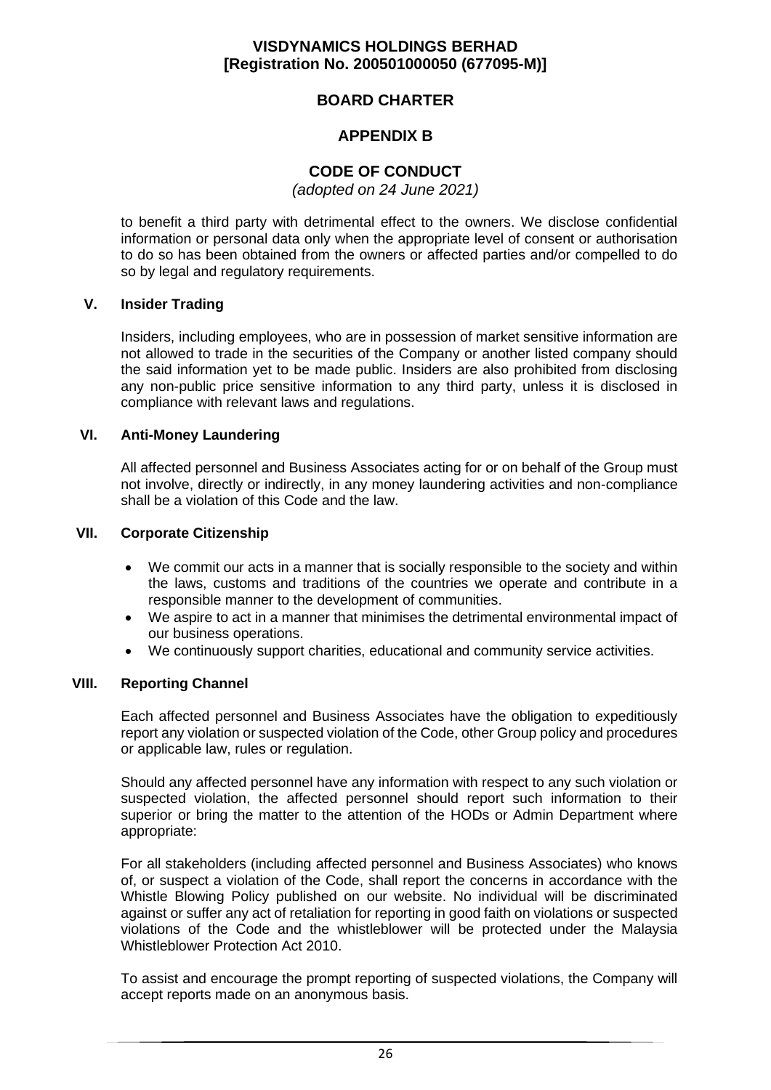### **BOARD CHARTER**

### **APPENDIX B**

## **CODE OF CONDUCT**

*(adopted on 24 June 2021)*

to benefit a third party with detrimental effect to the owners. We disclose confidential information or personal data only when the appropriate level of consent or authorisation to do so has been obtained from the owners or affected parties and/or compelled to do so by legal and regulatory requirements.

#### **V. Insider Trading**

Insiders, including employees, who are in possession of market sensitive information are not allowed to trade in the securities of the Company or another listed company should the said information yet to be made public. Insiders are also prohibited from disclosing any non-public price sensitive information to any third party, unless it is disclosed in compliance with relevant laws and regulations.

#### **VI. Anti-Money Laundering**

All affected personnel and Business Associates acting for or on behalf of the Group must not involve, directly or indirectly, in any money laundering activities and non-compliance shall be a violation of this Code and the law.

#### **VII. Corporate Citizenship**

- We commit our acts in a manner that is socially responsible to the society and within the laws, customs and traditions of the countries we operate and contribute in a responsible manner to the development of communities.
- We aspire to act in a manner that minimises the detrimental environmental impact of our business operations.
- We continuously support charities, educational and community service activities.

#### **VIII. Reporting Channel**

Each affected personnel and Business Associates have the obligation to expeditiously report any violation or suspected violation of the Code, other Group policy and procedures or applicable law, rules or regulation.

Should any affected personnel have any information with respect to any such violation or suspected violation, the affected personnel should report such information to their superior or bring the matter to the attention of the HODs or Admin Department where appropriate:

For all stakeholders (including affected personnel and Business Associates) who knows of, or suspect a violation of the Code, shall report the concerns in accordance with the Whistle Blowing Policy published on our website. No individual will be discriminated against or suffer any act of retaliation for reporting in good faith on violations or suspected violations of the Code and the whistleblower will be protected under the Malaysia Whistleblower Protection Act 2010.

To assist and encourage the prompt reporting of suspected violations, the Company will accept reports made on an anonymous basis.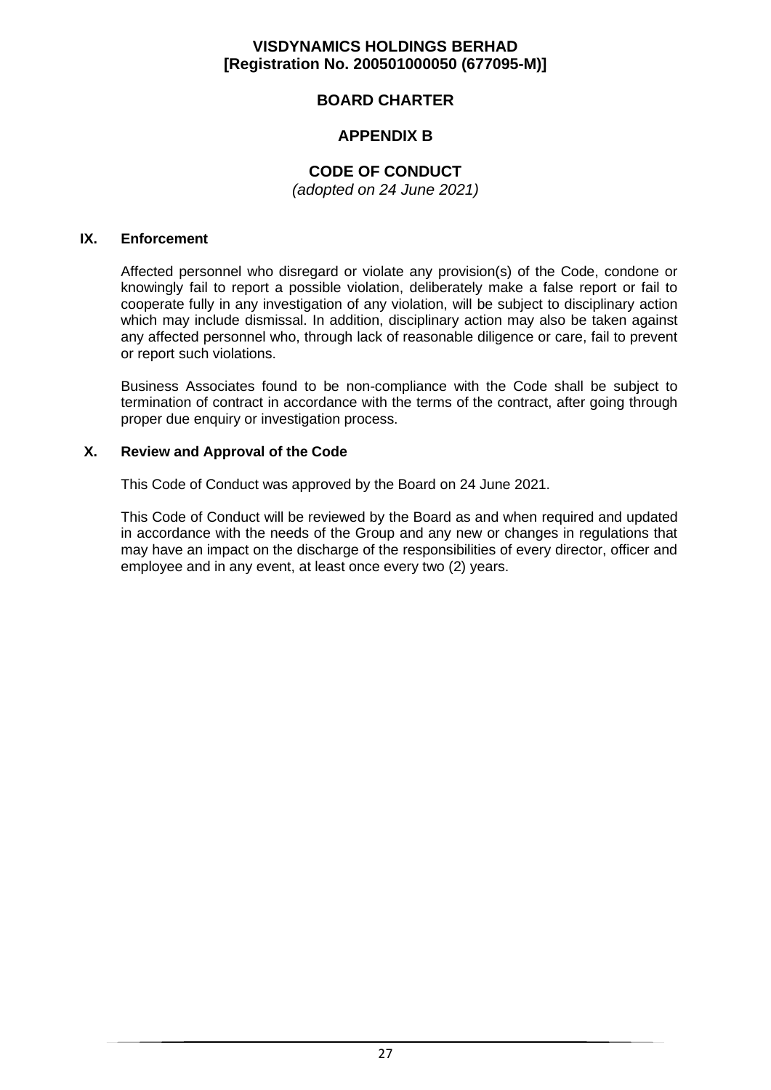## **BOARD CHARTER**

## **APPENDIX B**

## **CODE OF CONDUCT**

*(adopted on 24 June 2021)*

#### **IX. Enforcement**

Affected personnel who disregard or violate any provision(s) of the Code, condone or knowingly fail to report a possible violation, deliberately make a false report or fail to cooperate fully in any investigation of any violation, will be subject to disciplinary action which may include dismissal. In addition, disciplinary action may also be taken against any affected personnel who, through lack of reasonable diligence or care, fail to prevent or report such violations.

Business Associates found to be non-compliance with the Code shall be subject to termination of contract in accordance with the terms of the contract, after going through proper due enquiry or investigation process.

#### **X. Review and Approval of the Code**

This Code of Conduct was approved by the Board on 24 June 2021.

This Code of Conduct will be reviewed by the Board as and when required and updated in accordance with the needs of the Group and any new or changes in regulations that may have an impact on the discharge of the responsibilities of every director, officer and employee and in any event, at least once every two (2) years.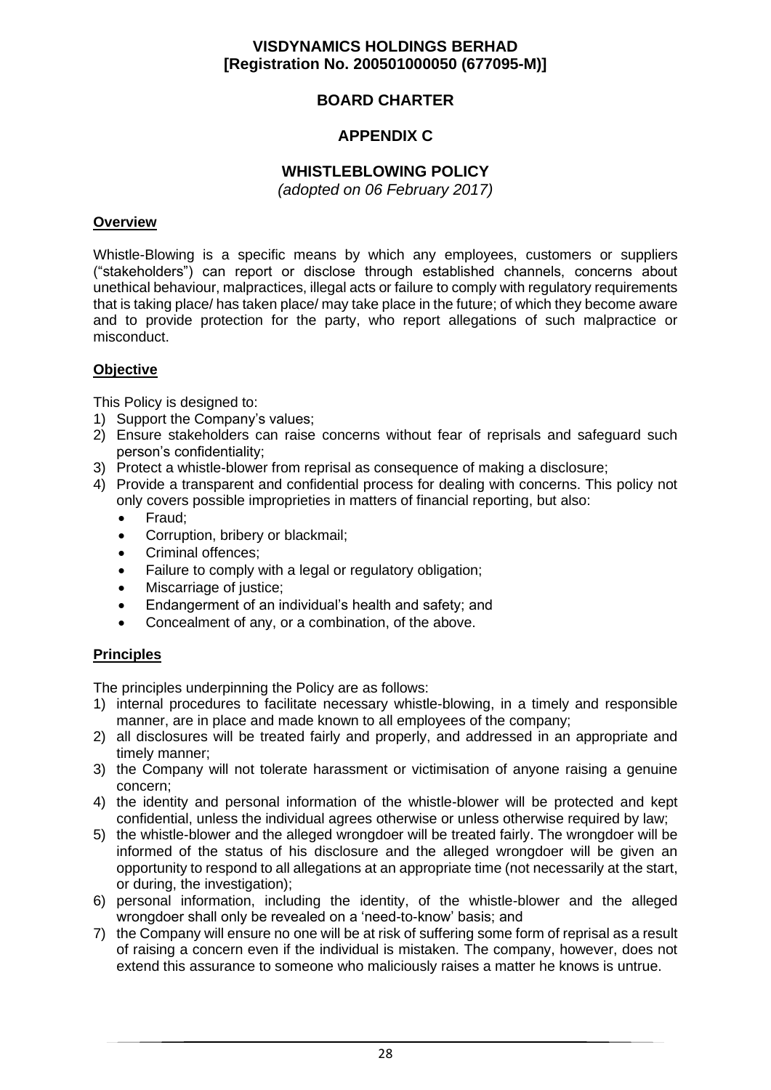## **BOARD CHARTER**

## **APPENDIX C**

### **WHISTLEBLOWING POLICY**

*(adopted on 06 February 2017)*

#### **Overview**

Whistle-Blowing is a specific means by which any employees, customers or suppliers ("stakeholders") can report or disclose through established channels, concerns about unethical behaviour, malpractices, illegal acts or failure to comply with regulatory requirements that is taking place/ has taken place/ may take place in the future; of which they become aware and to provide protection for the party, who report allegations of such malpractice or misconduct.

#### **Objective**

This Policy is designed to:

- 1) Support the Company's values;
- 2) Ensure stakeholders can raise concerns without fear of reprisals and safeguard such person's confidentiality;
- 3) Protect a whistle-blower from reprisal as consequence of making a disclosure;
- 4) Provide a transparent and confidential process for dealing with concerns. This policy not only covers possible improprieties in matters of financial reporting, but also:
	- Fraud;
	- Corruption, bribery or blackmail;
	- Criminal offences;
	- Failure to comply with a legal or regulatory obligation;
	- Miscarriage of justice:
	- Endangerment of an individual's health and safety; and
	- Concealment of any, or a combination, of the above.

#### **Principles**

The principles underpinning the Policy are as follows:

- 1) internal procedures to facilitate necessary whistle-blowing, in a timely and responsible manner, are in place and made known to all employees of the company;
- 2) all disclosures will be treated fairly and properly, and addressed in an appropriate and timely manner;
- 3) the Company will not tolerate harassment or victimisation of anyone raising a genuine concern;
- 4) the identity and personal information of the whistle-blower will be protected and kept confidential, unless the individual agrees otherwise or unless otherwise required by law;
- 5) the whistle-blower and the alleged wrongdoer will be treated fairly. The wrongdoer will be informed of the status of his disclosure and the alleged wrongdoer will be given an opportunity to respond to all allegations at an appropriate time (not necessarily at the start, or during, the investigation);
- 6) personal information, including the identity, of the whistle-blower and the alleged wrongdoer shall only be revealed on a 'need-to-know' basis; and
- 7) the Company will ensure no one will be at risk of suffering some form of reprisal as a result of raising a concern even if the individual is mistaken. The company, however, does not extend this assurance to someone who maliciously raises a matter he knows is untrue.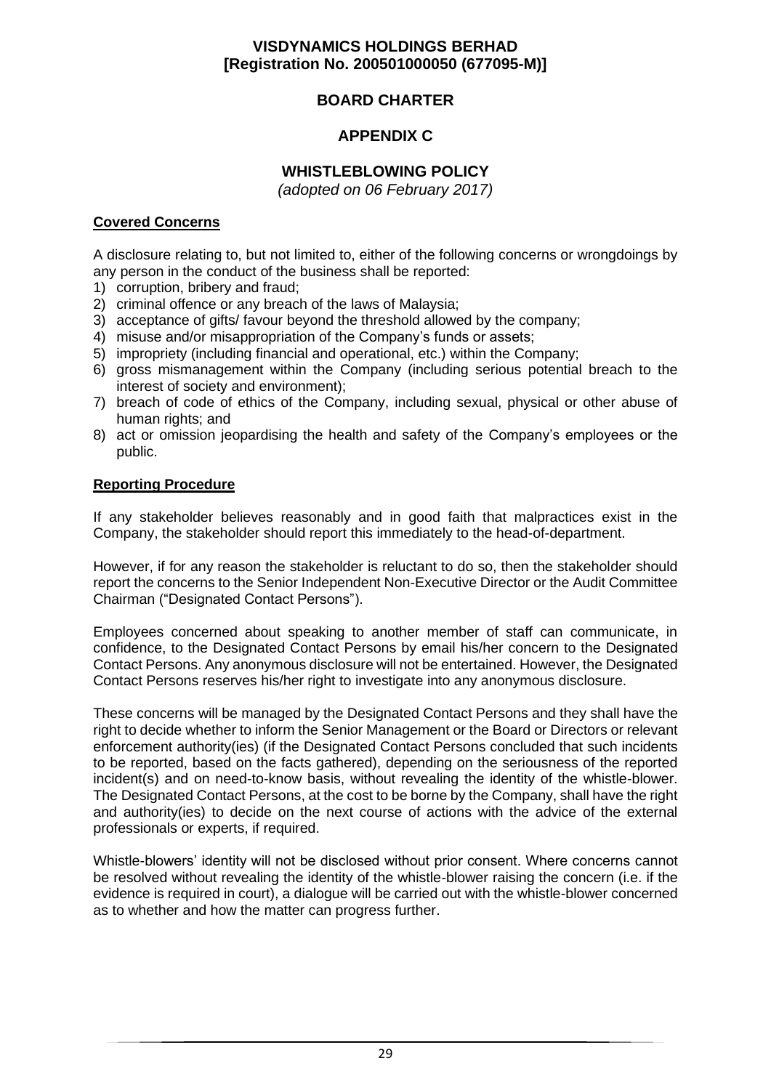## **BOARD CHARTER**

## **APPENDIX C**

## **WHISTLEBLOWING POLICY**

*(adopted on 06 February 2017)*

#### **Covered Concerns**

A disclosure relating to, but not limited to, either of the following concerns or wrongdoings by any person in the conduct of the business shall be reported:

- 1) corruption, bribery and fraud;
- 2) criminal offence or any breach of the laws of Malaysia;
- 3) acceptance of gifts/ favour beyond the threshold allowed by the company;
- 4) misuse and/or misappropriation of the Company's funds or assets;
- 5) impropriety (including financial and operational, etc.) within the Company;
- 6) gross mismanagement within the Company (including serious potential breach to the interest of society and environment);
- 7) breach of code of ethics of the Company, including sexual, physical or other abuse of human rights; and
- 8) act or omission jeopardising the health and safety of the Company's employees or the public.

#### **Reporting Procedure**

If any stakeholder believes reasonably and in good faith that malpractices exist in the Company, the stakeholder should report this immediately to the head-of-department.

However, if for any reason the stakeholder is reluctant to do so, then the stakeholder should report the concerns to the Senior Independent Non-Executive Director or the Audit Committee Chairman ("Designated Contact Persons").

Employees concerned about speaking to another member of staff can communicate, in confidence, to the Designated Contact Persons by email his/her concern to the Designated Contact Persons. Any anonymous disclosure will not be entertained. However, the Designated Contact Persons reserves his/her right to investigate into any anonymous disclosure.

These concerns will be managed by the Designated Contact Persons and they shall have the right to decide whether to inform the Senior Management or the Board or Directors or relevant enforcement authority(ies) (if the Designated Contact Persons concluded that such incidents to be reported, based on the facts gathered), depending on the seriousness of the reported incident(s) and on need-to-know basis, without revealing the identity of the whistle-blower. The Designated Contact Persons, at the cost to be borne by the Company, shall have the right and authority(ies) to decide on the next course of actions with the advice of the external professionals or experts, if required.

Whistle-blowers' identity will not be disclosed without prior consent. Where concerns cannot be resolved without revealing the identity of the whistle-blower raising the concern (i.e. if the evidence is required in court), a dialogue will be carried out with the whistle-blower concerned as to whether and how the matter can progress further.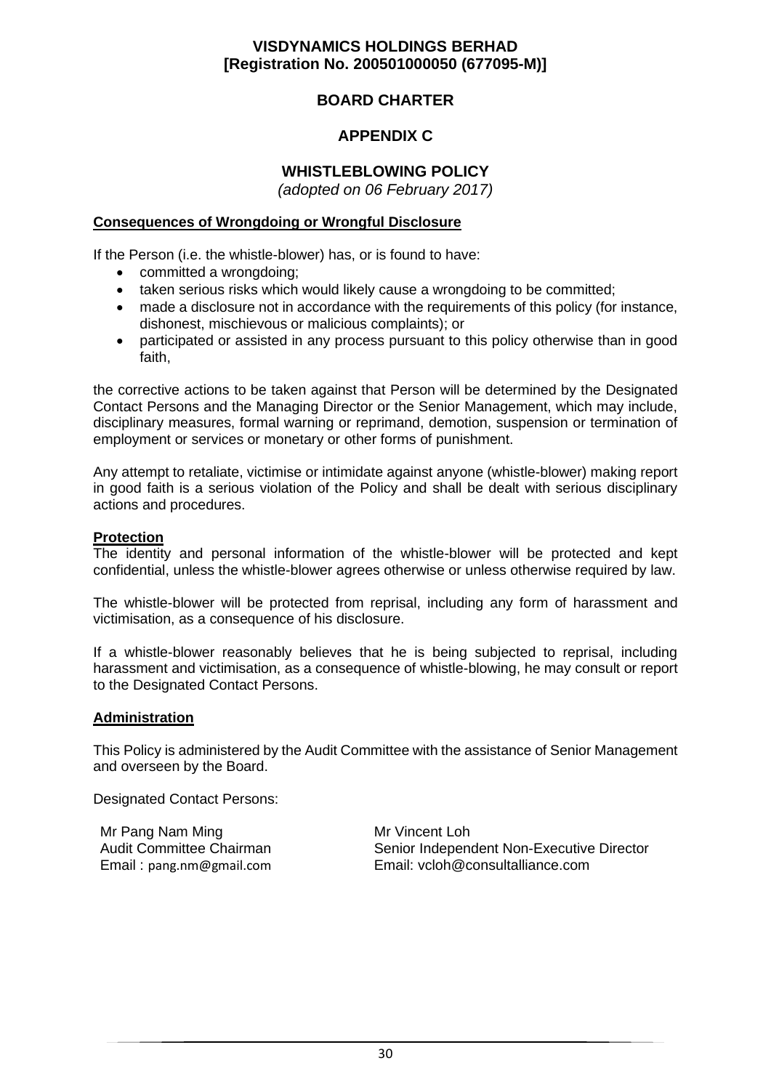## **BOARD CHARTER**

## **APPENDIX C**

## **WHISTLEBLOWING POLICY**

*(adopted on 06 February 2017)*

#### **Consequences of Wrongdoing or Wrongful Disclosure**

If the Person (i.e. the whistle-blower) has, or is found to have:

- committed a wrongdoing;
- taken serious risks which would likely cause a wrongdoing to be committed;
- made a disclosure not in accordance with the requirements of this policy (for instance, dishonest, mischievous or malicious complaints); or
- participated or assisted in any process pursuant to this policy otherwise than in good faith,

the corrective actions to be taken against that Person will be determined by the Designated Contact Persons and the Managing Director or the Senior Management, which may include, disciplinary measures, formal warning or reprimand, demotion, suspension or termination of employment or services or monetary or other forms of punishment.

Any attempt to retaliate, victimise or intimidate against anyone (whistle-blower) making report in good faith is a serious violation of the Policy and shall be dealt with serious disciplinary actions and procedures.

#### **Protection**

The identity and personal information of the whistle-blower will be protected and kept confidential, unless the whistle-blower agrees otherwise or unless otherwise required by law.

The whistle-blower will be protected from reprisal, including any form of harassment and victimisation, as a consequence of his disclosure.

If a whistle-blower reasonably believes that he is being subjected to reprisal, including harassment and victimisation, as a consequence of whistle-blowing, he may consult or report to the Designated Contact Persons.

#### **Administration**

This Policy is administered by the Audit Committee with the assistance of Senior Management and overseen by the Board.

Designated Contact Persons:

Mr Pang Nam Ming Audit Committee Chairman Email : pang.nm@gmail.com

Mr Vincent Loh Senior Independent Non-Executive Director Email: vcloh@consultalliance.com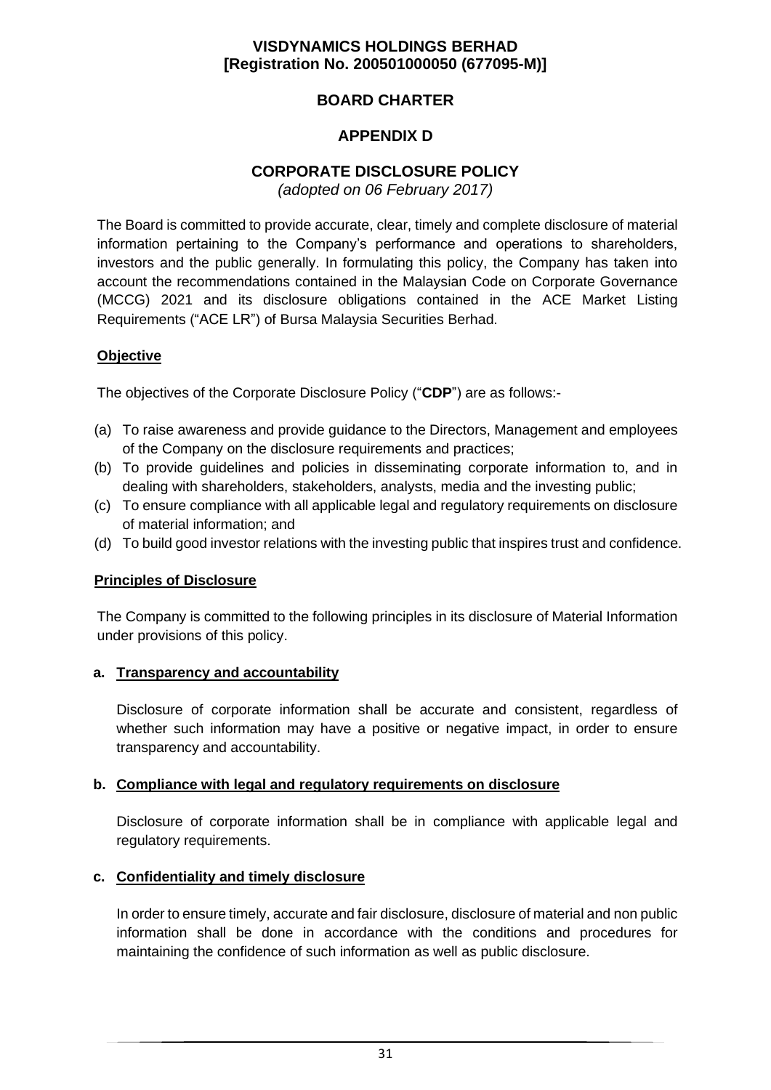## **BOARD CHARTER**

## **APPENDIX D**

## **CORPORATE DISCLOSURE POLICY**

*(adopted on 06 February 2017)*

The Board is committed to provide accurate, clear, timely and complete disclosure of material information pertaining to the Company's performance and operations to shareholders, investors and the public generally. In formulating this policy, the Company has taken into account the recommendations contained in the Malaysian Code on Corporate Governance (MCCG) 2021 and its disclosure obligations contained in the ACE Market Listing Requirements ("ACE LR") of Bursa Malaysia Securities Berhad.

### **Objective**

The objectives of the Corporate Disclosure Policy ("**CDP**") are as follows:-

- (a) To raise awareness and provide guidance to the Directors, Management and employees of the Company on the disclosure requirements and practices;
- (b) To provide guidelines and policies in disseminating corporate information to, and in dealing with shareholders, stakeholders, analysts, media and the investing public;
- (c) To ensure compliance with all applicable legal and regulatory requirements on disclosure of material information; and
- (d) To build good investor relations with the investing public that inspires trust and confidence.

#### **Principles of Disclosure**

The Company is committed to the following principles in its disclosure of Material Information under provisions of this policy.

#### **a. Transparency and accountability**

Disclosure of corporate information shall be accurate and consistent, regardless of whether such information may have a positive or negative impact, in order to ensure transparency and accountability.

#### **b. Compliance with legal and regulatory requirements on disclosure**

Disclosure of corporate information shall be in compliance with applicable legal and regulatory requirements.

## **c. Confidentiality and timely disclosure**

In order to ensure timely, accurate and fair disclosure, disclosure of material and non public information shall be done in accordance with the conditions and procedures for maintaining the confidence of such information as well as public disclosure.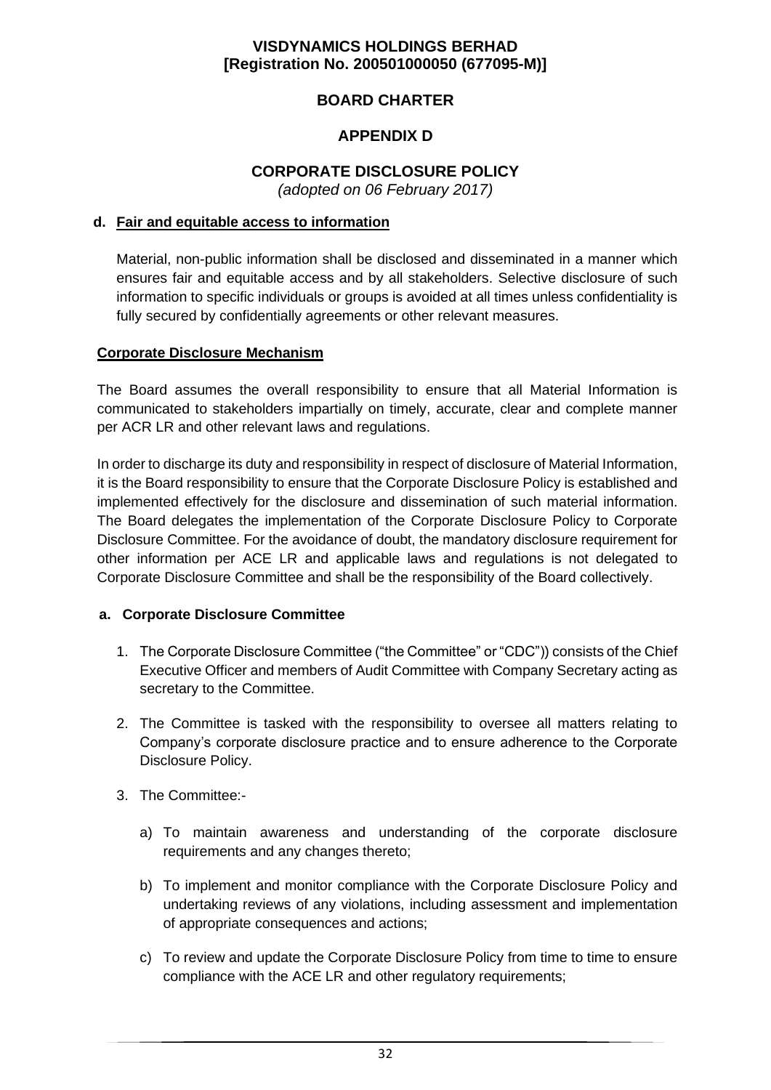## **BOARD CHARTER**

## **APPENDIX D**

## **CORPORATE DISCLOSURE POLICY**

*(adopted on 06 February 2017)*

#### **d. Fair and equitable access to information**

Material, non-public information shall be disclosed and disseminated in a manner which ensures fair and equitable access and by all stakeholders. Selective disclosure of such information to specific individuals or groups is avoided at all times unless confidentiality is fully secured by confidentially agreements or other relevant measures.

#### **Corporate Disclosure Mechanism**

The Board assumes the overall responsibility to ensure that all Material Information is communicated to stakeholders impartially on timely, accurate, clear and complete manner per ACR LR and other relevant laws and regulations.

In order to discharge its duty and responsibility in respect of disclosure of Material Information, it is the Board responsibility to ensure that the Corporate Disclosure Policy is established and implemented effectively for the disclosure and dissemination of such material information. The Board delegates the implementation of the Corporate Disclosure Policy to Corporate Disclosure Committee. For the avoidance of doubt, the mandatory disclosure requirement for other information per ACE LR and applicable laws and regulations is not delegated to Corporate Disclosure Committee and shall be the responsibility of the Board collectively.

#### **a. Corporate Disclosure Committee**

- 1. The Corporate Disclosure Committee ("the Committee" or "CDC")) consists of the Chief Executive Officer and members of Audit Committee with Company Secretary acting as secretary to the Committee.
- 2. The Committee is tasked with the responsibility to oversee all matters relating to Company's corporate disclosure practice and to ensure adherence to the Corporate Disclosure Policy.
- 3. The Committee:
	- a) To maintain awareness and understanding of the corporate disclosure requirements and any changes thereto;
	- b) To implement and monitor compliance with the Corporate Disclosure Policy and undertaking reviews of any violations, including assessment and implementation of appropriate consequences and actions;
	- c) To review and update the Corporate Disclosure Policy from time to time to ensure compliance with the ACE LR and other regulatory requirements;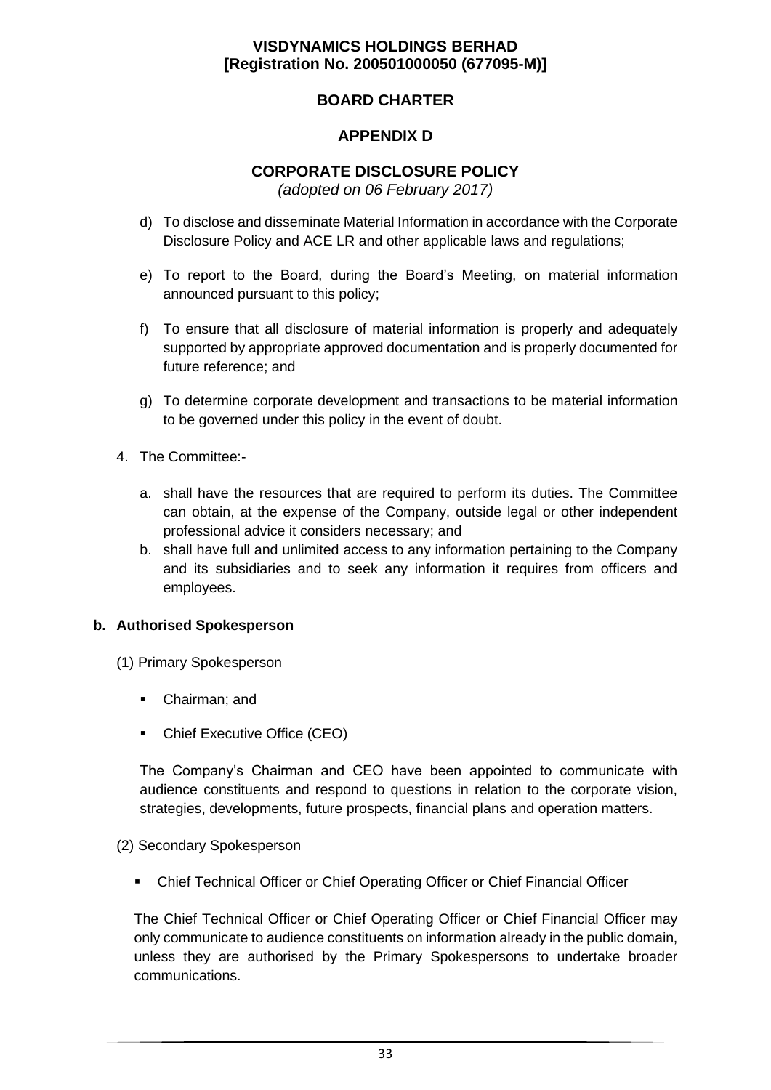## **BOARD CHARTER**

## **APPENDIX D**

# **CORPORATE DISCLOSURE POLICY**

*(adopted on 06 February 2017)*

- d) To disclose and disseminate Material Information in accordance with the Corporate Disclosure Policy and ACE LR and other applicable laws and regulations;
- e) To report to the Board, during the Board's Meeting, on material information announced pursuant to this policy;
- f) To ensure that all disclosure of material information is properly and adequately supported by appropriate approved documentation and is properly documented for future reference; and
- g) To determine corporate development and transactions to be material information to be governed under this policy in the event of doubt.
- 4. The Committee:
	- a. shall have the resources that are required to perform its duties. The Committee can obtain, at the expense of the Company, outside legal or other independent professional advice it considers necessary; and
	- b. shall have full and unlimited access to any information pertaining to the Company and its subsidiaries and to seek any information it requires from officers and employees.

#### **b. Authorised Spokesperson**

- (1) Primary Spokesperson
	- Chairman; and
	- Chief Executive Office (CEO)

The Company's Chairman and CEO have been appointed to communicate with audience constituents and respond to questions in relation to the corporate vision, strategies, developments, future prospects, financial plans and operation matters.

#### (2) Secondary Spokesperson

▪ Chief Technical Officer or Chief Operating Officer or Chief Financial Officer

The Chief Technical Officer or Chief Operating Officer or Chief Financial Officer may only communicate to audience constituents on information already in the public domain, unless they are authorised by the Primary Spokespersons to undertake broader communications.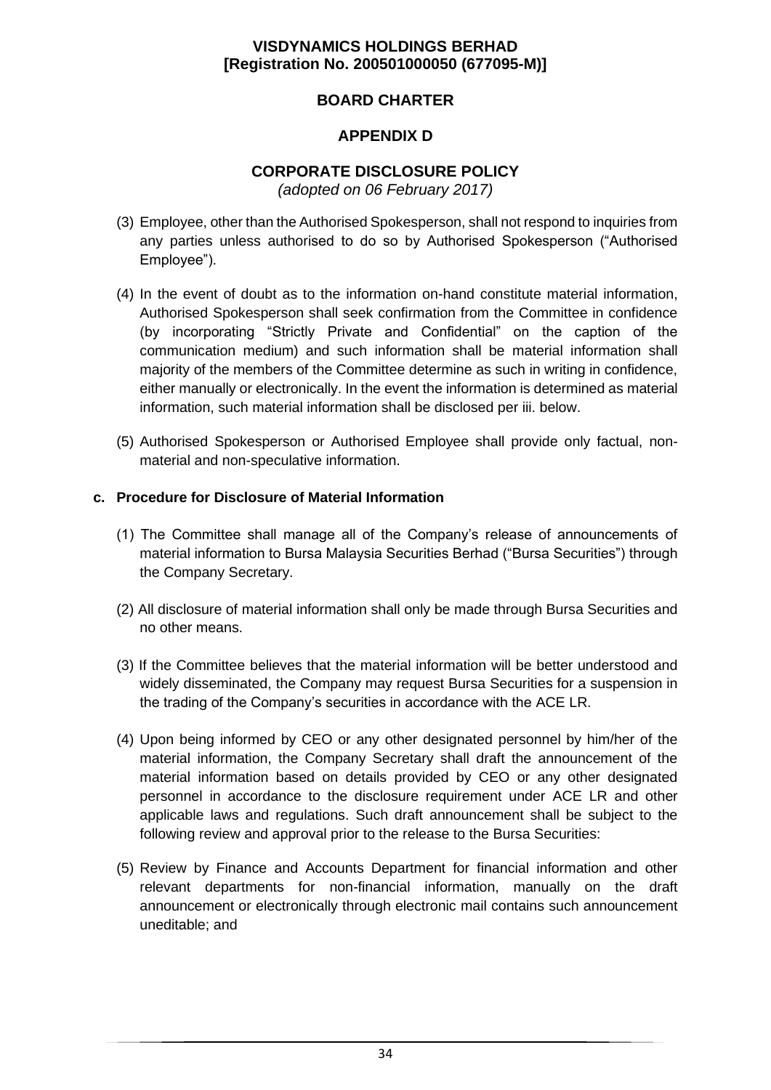## **BOARD CHARTER**

## **APPENDIX D**

## **CORPORATE DISCLOSURE POLICY**

*(adopted on 06 February 2017)*

- (3) Employee, other than the Authorised Spokesperson, shall not respond to inquiries from any parties unless authorised to do so by Authorised Spokesperson ("Authorised Employee").
- (4) In the event of doubt as to the information on-hand constitute material information, Authorised Spokesperson shall seek confirmation from the Committee in confidence (by incorporating "Strictly Private and Confidential" on the caption of the communication medium) and such information shall be material information shall majority of the members of the Committee determine as such in writing in confidence, either manually or electronically. In the event the information is determined as material information, such material information shall be disclosed per iii. below.
- (5) Authorised Spokesperson or Authorised Employee shall provide only factual, nonmaterial and non-speculative information.

### **c. Procedure for Disclosure of Material Information**

- (1) The Committee shall manage all of the Company's release of announcements of material information to Bursa Malaysia Securities Berhad ("Bursa Securities") through the Company Secretary.
- (2) All disclosure of material information shall only be made through Bursa Securities and no other means.
- (3) If the Committee believes that the material information will be better understood and widely disseminated, the Company may request Bursa Securities for a suspension in the trading of the Company's securities in accordance with the ACE LR.
- (4) Upon being informed by CEO or any other designated personnel by him/her of the material information, the Company Secretary shall draft the announcement of the material information based on details provided by CEO or any other designated personnel in accordance to the disclosure requirement under ACE LR and other applicable laws and regulations. Such draft announcement shall be subject to the following review and approval prior to the release to the Bursa Securities:
- (5) Review by Finance and Accounts Department for financial information and other relevant departments for non-financial information, manually on the draft announcement or electronically through electronic mail contains such announcement uneditable; and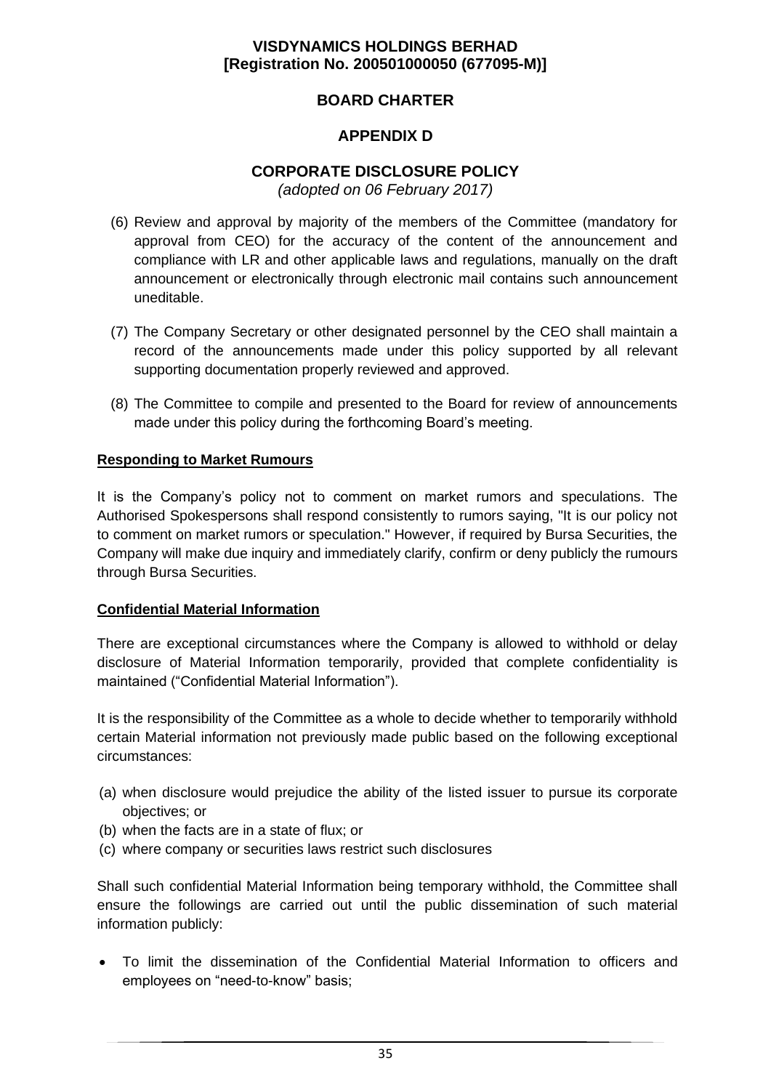## **BOARD CHARTER**

## **APPENDIX D**

# **CORPORATE DISCLOSURE POLICY**

*(adopted on 06 February 2017)*

- (6) Review and approval by majority of the members of the Committee (mandatory for approval from CEO) for the accuracy of the content of the announcement and compliance with LR and other applicable laws and regulations, manually on the draft announcement or electronically through electronic mail contains such announcement uneditable.
- (7) The Company Secretary or other designated personnel by the CEO shall maintain a record of the announcements made under this policy supported by all relevant supporting documentation properly reviewed and approved.
- (8) The Committee to compile and presented to the Board for review of announcements made under this policy during the forthcoming Board's meeting.

### **Responding to Market Rumours**

It is the Company's policy not to comment on market rumors and speculations. The Authorised Spokespersons shall respond consistently to rumors saying, "It is our policy not to comment on market rumors or speculation." However, if required by Bursa Securities, the Company will make due inquiry and immediately clarify, confirm or deny publicly the rumours through Bursa Securities.

#### **Confidential Material Information**

There are exceptional circumstances where the Company is allowed to withhold or delay disclosure of Material Information temporarily, provided that complete confidentiality is maintained ("Confidential Material Information").

It is the responsibility of the Committee as a whole to decide whether to temporarily withhold certain Material information not previously made public based on the following exceptional circumstances:

- (a) when disclosure would prejudice the ability of the listed issuer to pursue its corporate objectives; or
- (b) when the facts are in a state of flux; or
- (c) where company or securities laws restrict such disclosures

Shall such confidential Material Information being temporary withhold, the Committee shall ensure the followings are carried out until the public dissemination of such material information publicly:

• To limit the dissemination of the Confidential Material Information to officers and employees on "need-to-know" basis;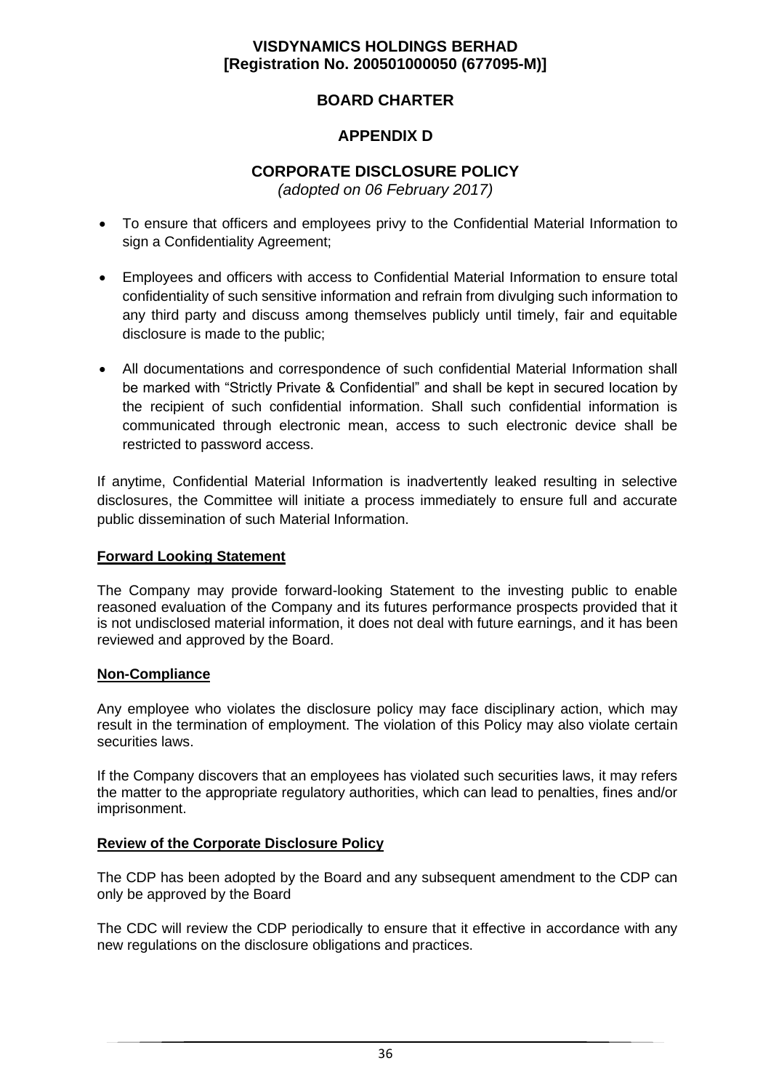## **BOARD CHARTER**

## **APPENDIX D**

# **CORPORATE DISCLOSURE POLICY**

*(adopted on 06 February 2017)*

- To ensure that officers and employees privy to the Confidential Material Information to sign a Confidentiality Agreement;
- Employees and officers with access to Confidential Material Information to ensure total confidentiality of such sensitive information and refrain from divulging such information to any third party and discuss among themselves publicly until timely, fair and equitable disclosure is made to the public;
- All documentations and correspondence of such confidential Material Information shall be marked with "Strictly Private & Confidential" and shall be kept in secured location by the recipient of such confidential information. Shall such confidential information is communicated through electronic mean, access to such electronic device shall be restricted to password access.

If anytime, Confidential Material Information is inadvertently leaked resulting in selective disclosures, the Committee will initiate a process immediately to ensure full and accurate public dissemination of such Material Information.

#### **Forward Looking Statement**

The Company may provide forward-looking Statement to the investing public to enable reasoned evaluation of the Company and its futures performance prospects provided that it is not undisclosed material information, it does not deal with future earnings, and it has been reviewed and approved by the Board.

#### **Non-Compliance**

Any employee who violates the disclosure policy may face disciplinary action, which may result in the termination of employment. The violation of this Policy may also violate certain securities laws.

If the Company discovers that an employees has violated such securities laws, it may refers the matter to the appropriate regulatory authorities, which can lead to penalties, fines and/or imprisonment.

#### **Review of the Corporate Disclosure Policy**

The CDP has been adopted by the Board and any subsequent amendment to the CDP can only be approved by the Board

The CDC will review the CDP periodically to ensure that it effective in accordance with any new regulations on the disclosure obligations and practices.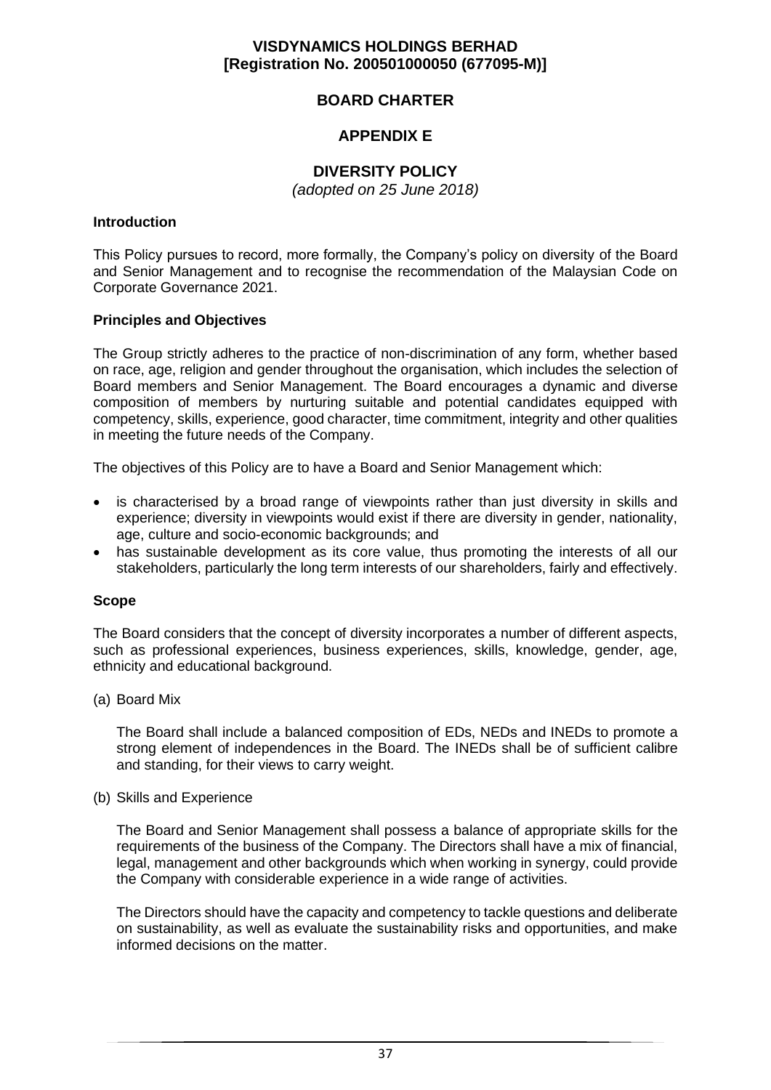## **BOARD CHARTER**

## **APPENDIX E**

## **DIVERSITY POLICY**

*(adopted on 25 June 2018)*

#### **Introduction**

This Policy pursues to record, more formally, the Company's policy on diversity of the Board and Senior Management and to recognise the recommendation of the Malaysian Code on Corporate Governance 2021.

#### **Principles and Objectives**

The Group strictly adheres to the practice of non-discrimination of any form, whether based on race, age, religion and gender throughout the organisation, which includes the selection of Board members and Senior Management. The Board encourages a dynamic and diverse composition of members by nurturing suitable and potential candidates equipped with competency, skills, experience, good character, time commitment, integrity and other qualities in meeting the future needs of the Company.

The objectives of this Policy are to have a Board and Senior Management which:

- is characterised by a broad range of viewpoints rather than just diversity in skills and experience; diversity in viewpoints would exist if there are diversity in gender, nationality, age, culture and socio-economic backgrounds; and
- has sustainable development as its core value, thus promoting the interests of all our stakeholders, particularly the long term interests of our shareholders, fairly and effectively.

#### **Scope**

The Board considers that the concept of diversity incorporates a number of different aspects, such as professional experiences, business experiences, skills, knowledge, gender, age, ethnicity and educational background.

#### (a) Board Mix

The Board shall include a balanced composition of EDs, NEDs and INEDs to promote a strong element of independences in the Board. The INEDs shall be of sufficient calibre and standing, for their views to carry weight.

#### (b) Skills and Experience

The Board and Senior Management shall possess a balance of appropriate skills for the requirements of the business of the Company. The Directors shall have a mix of financial, legal, management and other backgrounds which when working in synergy, could provide the Company with considerable experience in a wide range of activities.

The Directors should have the capacity and competency to tackle questions and deliberate on sustainability, as well as evaluate the sustainability risks and opportunities, and make informed decisions on the matter.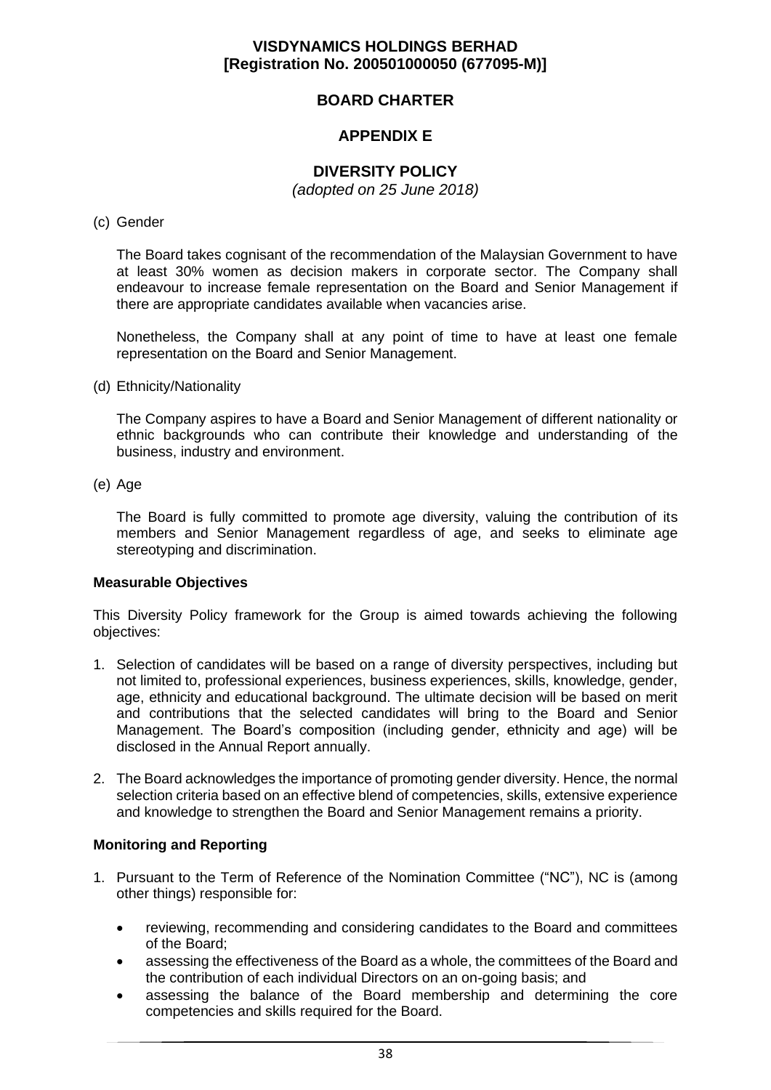## **BOARD CHARTER**

## **APPENDIX E**

## **DIVERSITY POLICY**

*(adopted on 25 June 2018)*

#### (c) Gender

The Board takes cognisant of the recommendation of the Malaysian Government to have at least 30% women as decision makers in corporate sector. The Company shall endeavour to increase female representation on the Board and Senior Management if there are appropriate candidates available when vacancies arise.

Nonetheless, the Company shall at any point of time to have at least one female representation on the Board and Senior Management.

#### (d) Ethnicity/Nationality

The Company aspires to have a Board and Senior Management of different nationality or ethnic backgrounds who can contribute their knowledge and understanding of the business, industry and environment.

#### (e) Age

The Board is fully committed to promote age diversity, valuing the contribution of its members and Senior Management regardless of age, and seeks to eliminate age stereotyping and discrimination.

#### **Measurable Objectives**

This Diversity Policy framework for the Group is aimed towards achieving the following objectives:

- 1. Selection of candidates will be based on a range of diversity perspectives, including but not limited to, professional experiences, business experiences, skills, knowledge, gender, age, ethnicity and educational background. The ultimate decision will be based on merit and contributions that the selected candidates will bring to the Board and Senior Management. The Board's composition (including gender, ethnicity and age) will be disclosed in the Annual Report annually.
- 2. The Board acknowledges the importance of promoting gender diversity. Hence, the normal selection criteria based on an effective blend of competencies, skills, extensive experience and knowledge to strengthen the Board and Senior Management remains a priority.

### **Monitoring and Reporting**

- 1. Pursuant to the Term of Reference of the Nomination Committee ("NC"), NC is (among other things) responsible for:
	- reviewing, recommending and considering candidates to the Board and committees of the Board;
	- assessing the effectiveness of the Board as a whole, the committees of the Board and the contribution of each individual Directors on an on-going basis; and
	- assessing the balance of the Board membership and determining the core competencies and skills required for the Board.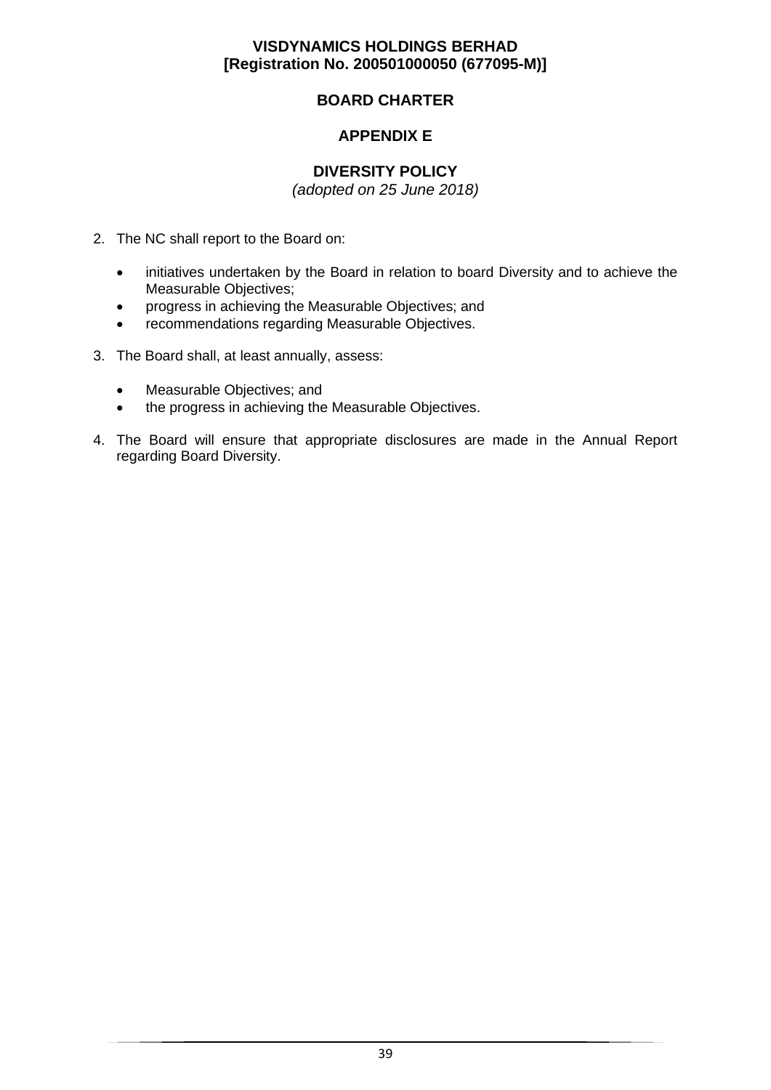## **BOARD CHARTER**

## **APPENDIX E**

## **DIVERSITY POLICY**

*(adopted on 25 June 2018)*

- 2. The NC shall report to the Board on:
	- initiatives undertaken by the Board in relation to board Diversity and to achieve the Measurable Objectives;
	- progress in achieving the Measurable Objectives; and
	- recommendations regarding Measurable Objectives.
- 3. The Board shall, at least annually, assess:
	- Measurable Objectives; and
	- the progress in achieving the Measurable Objectives.
- 4. The Board will ensure that appropriate disclosures are made in the Annual Report regarding Board Diversity.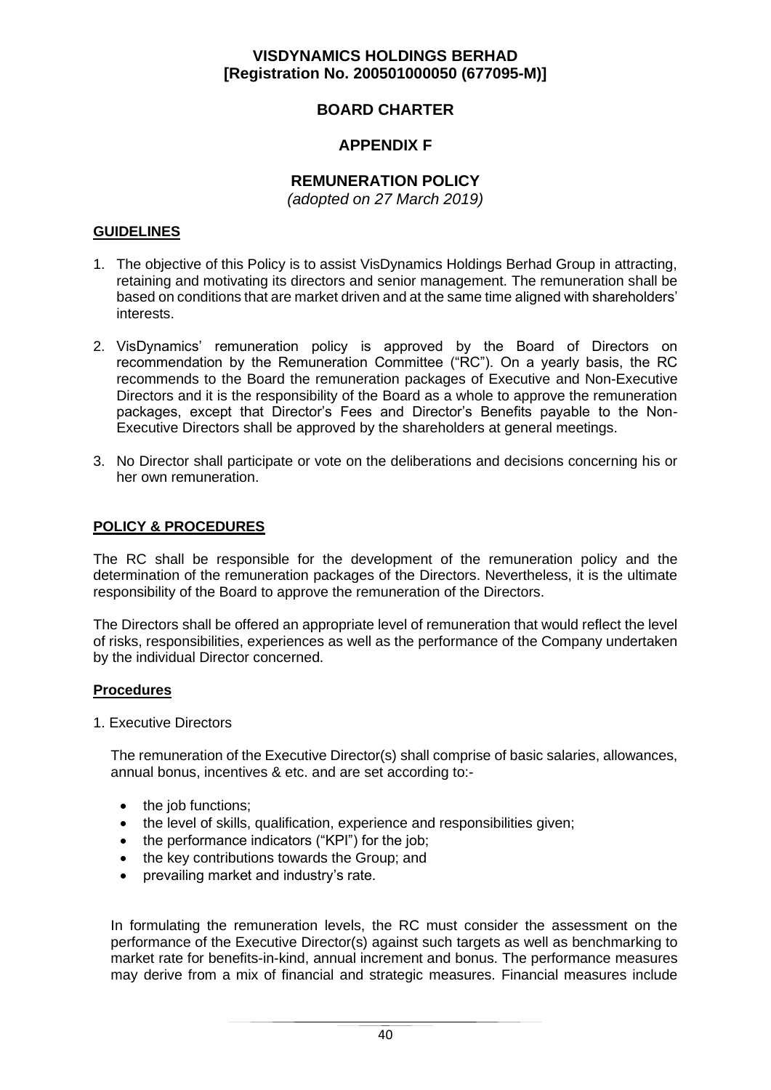# **BOARD CHARTER**

## **APPENDIX F**

# **REMUNERATION POLICY**

*(adopted on 27 March 2019)*

### **GUIDELINES**

- 1. The objective of this Policy is to assist VisDynamics Holdings Berhad Group in attracting, retaining and motivating its directors and senior management. The remuneration shall be based on conditions that are market driven and at the same time aligned with shareholders' interests.
- 2. VisDynamics' remuneration policy is approved by the Board of Directors on recommendation by the Remuneration Committee ("RC"). On a yearly basis, the RC recommends to the Board the remuneration packages of Executive and Non-Executive Directors and it is the responsibility of the Board as a whole to approve the remuneration packages, except that Director's Fees and Director's Benefits payable to the Non-Executive Directors shall be approved by the shareholders at general meetings.
- 3. No Director shall participate or vote on the deliberations and decisions concerning his or her own remuneration.

## **POLICY & PROCEDURES**

The RC shall be responsible for the development of the remuneration policy and the determination of the remuneration packages of the Directors. Nevertheless, it is the ultimate responsibility of the Board to approve the remuneration of the Directors.

The Directors shall be offered an appropriate level of remuneration that would reflect the level of risks, responsibilities, experiences as well as the performance of the Company undertaken by the individual Director concerned.

#### **Procedures**

1. Executive Directors

The remuneration of the Executive Director(s) shall comprise of basic salaries, allowances, annual bonus, incentives & etc. and are set according to:-

- the job functions;
- the level of skills, qualification, experience and responsibilities given;
- the performance indicators ("KPI") for the job;
- the key contributions towards the Group; and
- prevailing market and industry's rate.

In formulating the remuneration levels, the RC must consider the assessment on the performance of the Executive Director(s) against such targets as well as benchmarking to market rate for benefits-in-kind, annual increment and bonus. The performance measures may derive from a mix of financial and strategic measures. Financial measures include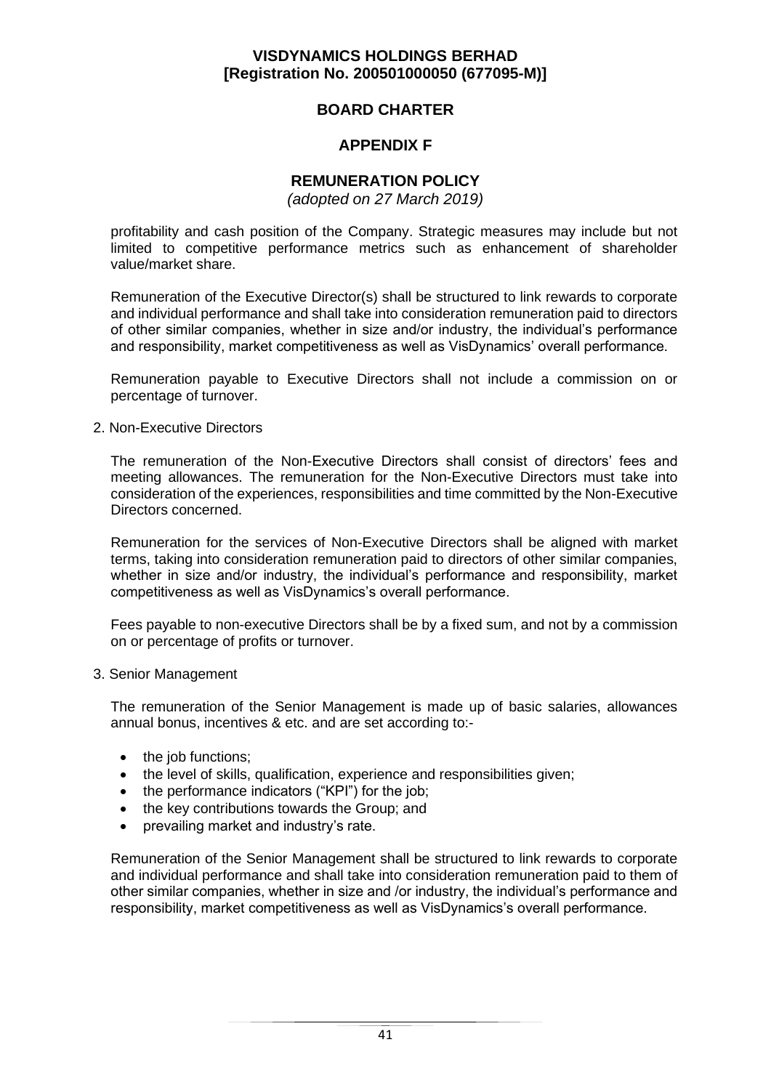## **BOARD CHARTER**

## **APPENDIX F**

## **REMUNERATION POLICY**

*(adopted on 27 March 2019)*

profitability and cash position of the Company. Strategic measures may include but not limited to competitive performance metrics such as enhancement of shareholder value/market share.

Remuneration of the Executive Director(s) shall be structured to link rewards to corporate and individual performance and shall take into consideration remuneration paid to directors of other similar companies, whether in size and/or industry, the individual's performance and responsibility, market competitiveness as well as VisDynamics' overall performance.

Remuneration payable to Executive Directors shall not include a commission on or percentage of turnover.

#### 2. Non-Executive Directors

The remuneration of the Non-Executive Directors shall consist of directors' fees and meeting allowances. The remuneration for the Non-Executive Directors must take into consideration of the experiences, responsibilities and time committed by the Non-Executive Directors concerned.

Remuneration for the services of Non-Executive Directors shall be aligned with market terms, taking into consideration remuneration paid to directors of other similar companies, whether in size and/or industry, the individual's performance and responsibility, market competitiveness as well as VisDynamics's overall performance.

Fees payable to non-executive Directors shall be by a fixed sum, and not by a commission on or percentage of profits or turnover.

#### 3. Senior Management

The remuneration of the Senior Management is made up of basic salaries, allowances annual bonus, incentives & etc. and are set according to:-

- the job functions;
- the level of skills, qualification, experience and responsibilities given;
- the performance indicators ("KPI") for the job:
- the key contributions towards the Group; and
- prevailing market and industry's rate.

Remuneration of the Senior Management shall be structured to link rewards to corporate and individual performance and shall take into consideration remuneration paid to them of other similar companies, whether in size and /or industry, the individual's performance and responsibility, market competitiveness as well as VisDynamics's overall performance.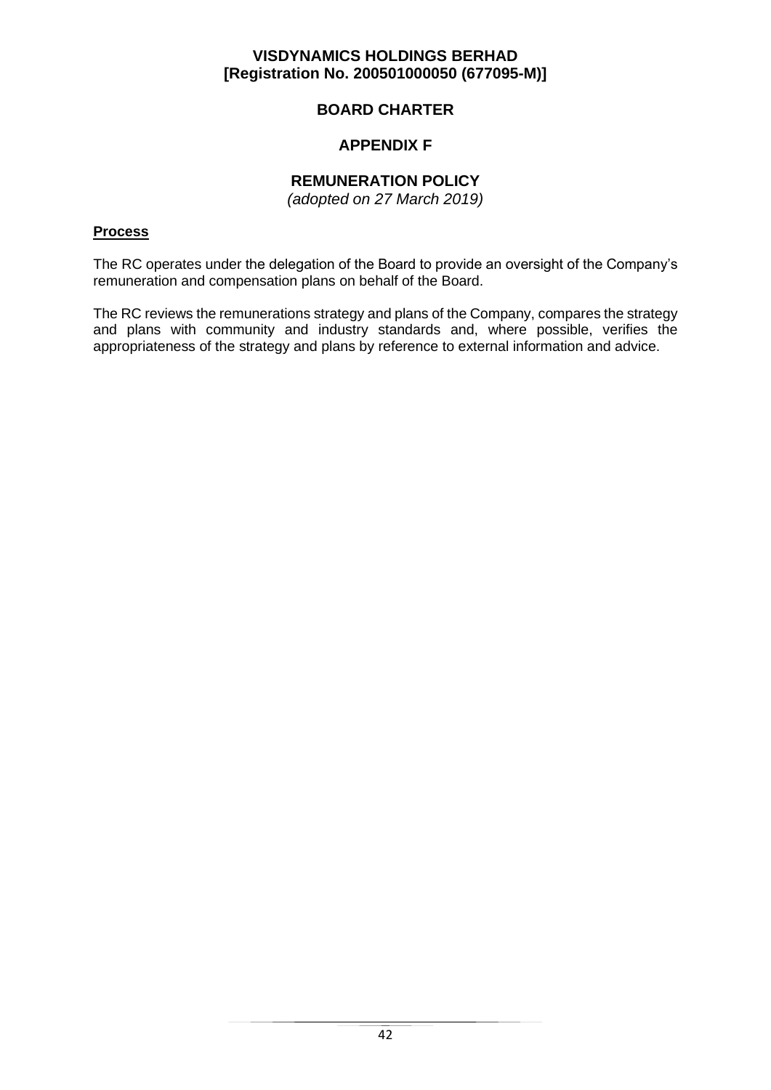# **BOARD CHARTER**

# **APPENDIX F**

# **REMUNERATION POLICY**

*(adopted on 27 March 2019)*

## **Process**

The RC operates under the delegation of the Board to provide an oversight of the Company's remuneration and compensation plans on behalf of the Board.

The RC reviews the remunerations strategy and plans of the Company, compares the strategy and plans with community and industry standards and, where possible, verifies the appropriateness of the strategy and plans by reference to external information and advice.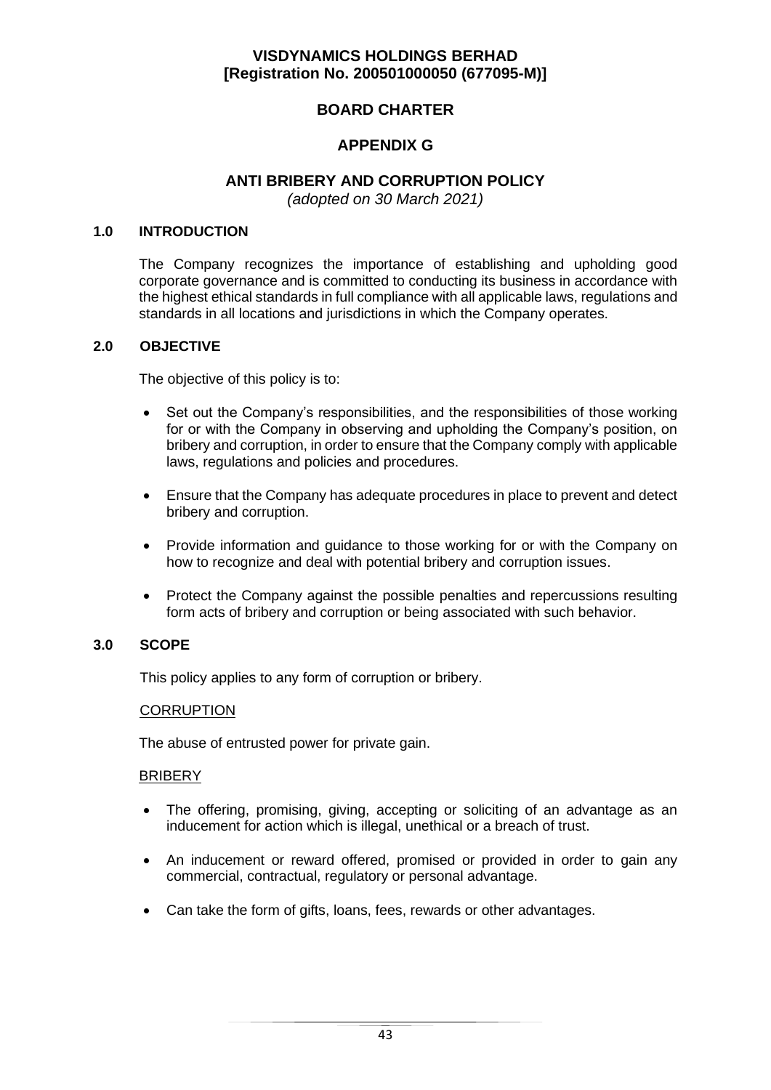# **BOARD CHARTER**

# **APPENDIX G**

## **ANTI BRIBERY AND CORRUPTION POLICY**

*(adopted on 30 March 2021)*

#### **1.0 INTRODUCTION**

The Company recognizes the importance of establishing and upholding good corporate governance and is committed to conducting its business in accordance with the highest ethical standards in full compliance with all applicable laws, regulations and standards in all locations and jurisdictions in which the Company operates.

#### **2.0 OBJECTIVE**

The objective of this policy is to:

- Set out the Company's responsibilities, and the responsibilities of those working for or with the Company in observing and upholding the Company's position, on bribery and corruption, in order to ensure that the Company comply with applicable laws, regulations and policies and procedures.
- Ensure that the Company has adequate procedures in place to prevent and detect bribery and corruption.
- Provide information and guidance to those working for or with the Company on how to recognize and deal with potential bribery and corruption issues.
- Protect the Company against the possible penalties and repercussions resulting form acts of bribery and corruption or being associated with such behavior.

## **3.0 SCOPE**

This policy applies to any form of corruption or bribery.

#### **CORRUPTION**

The abuse of entrusted power for private gain.

#### **BRIBERY**

- The offering, promising, giving, accepting or soliciting of an advantage as an inducement for action which is illegal, unethical or a breach of trust.
- An inducement or reward offered, promised or provided in order to gain any commercial, contractual, regulatory or personal advantage.
- Can take the form of gifts, loans, fees, rewards or other advantages.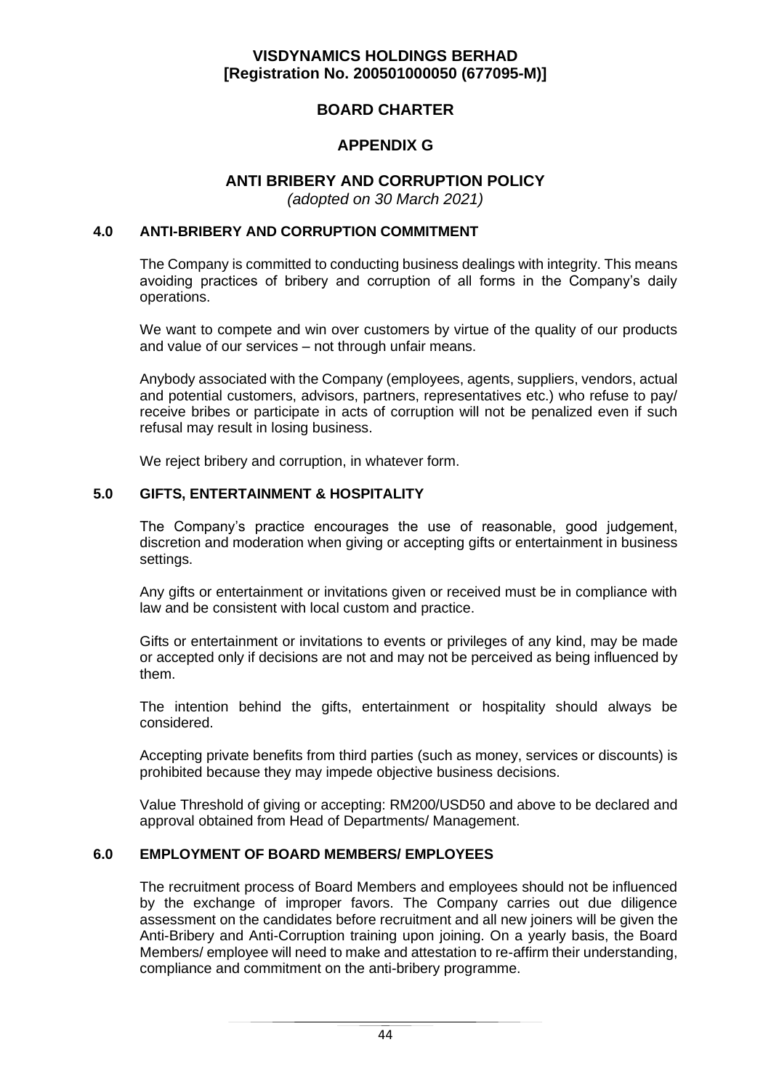## **BOARD CHARTER**

# **APPENDIX G**

## **ANTI BRIBERY AND CORRUPTION POLICY**

*(adopted on 30 March 2021)*

#### **4.0 ANTI-BRIBERY AND CORRUPTION COMMITMENT**

The Company is committed to conducting business dealings with integrity. This means avoiding practices of bribery and corruption of all forms in the Company's daily operations.

We want to compete and win over customers by virtue of the quality of our products and value of our services – not through unfair means.

Anybody associated with the Company (employees, agents, suppliers, vendors, actual and potential customers, advisors, partners, representatives etc.) who refuse to pay/ receive bribes or participate in acts of corruption will not be penalized even if such refusal may result in losing business.

We reject bribery and corruption, in whatever form.

### **5.0 GIFTS, ENTERTAINMENT & HOSPITALITY**

The Company's practice encourages the use of reasonable, good judgement, discretion and moderation when giving or accepting gifts or entertainment in business settings.

Any gifts or entertainment or invitations given or received must be in compliance with law and be consistent with local custom and practice.

Gifts or entertainment or invitations to events or privileges of any kind, may be made or accepted only if decisions are not and may not be perceived as being influenced by them.

The intention behind the gifts, entertainment or hospitality should always be considered.

Accepting private benefits from third parties (such as money, services or discounts) is prohibited because they may impede objective business decisions.

Value Threshold of giving or accepting: RM200/USD50 and above to be declared and approval obtained from Head of Departments/ Management.

#### **6.0 EMPLOYMENT OF BOARD MEMBERS/ EMPLOYEES**

The recruitment process of Board Members and employees should not be influenced by the exchange of improper favors. The Company carries out due diligence assessment on the candidates before recruitment and all new joiners will be given the Anti-Bribery and Anti-Corruption training upon joining. On a yearly basis, the Board Members/ employee will need to make and attestation to re-affirm their understanding, compliance and commitment on the anti-bribery programme.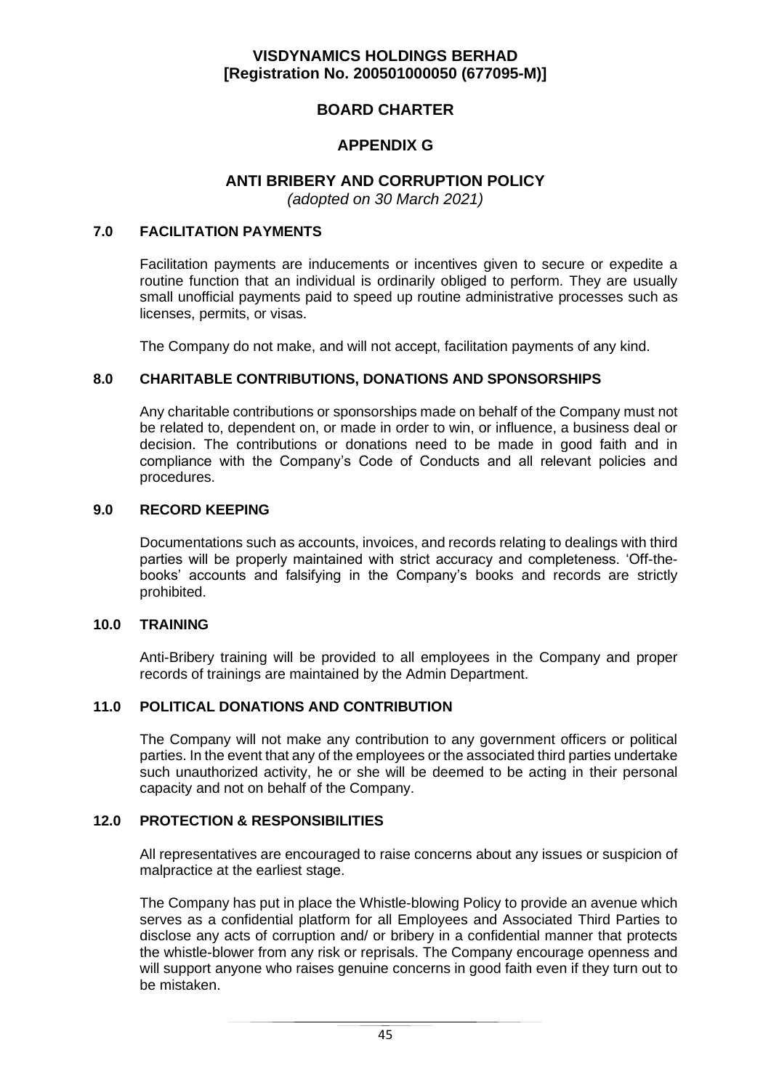# **BOARD CHARTER**

# **APPENDIX G**

## **ANTI BRIBERY AND CORRUPTION POLICY**

*(adopted on 30 March 2021)*

#### **7.0 FACILITATION PAYMENTS**

Facilitation payments are inducements or incentives given to secure or expedite a routine function that an individual is ordinarily obliged to perform. They are usually small unofficial payments paid to speed up routine administrative processes such as licenses, permits, or visas.

The Company do not make, and will not accept, facilitation payments of any kind.

### **8.0 CHARITABLE CONTRIBUTIONS, DONATIONS AND SPONSORSHIPS**

Any charitable contributions or sponsorships made on behalf of the Company must not be related to, dependent on, or made in order to win, or influence, a business deal or decision. The contributions or donations need to be made in good faith and in compliance with the Company's Code of Conducts and all relevant policies and procedures.

#### **9.0 RECORD KEEPING**

Documentations such as accounts, invoices, and records relating to dealings with third parties will be properly maintained with strict accuracy and completeness. 'Off-thebooks' accounts and falsifying in the Company's books and records are strictly prohibited.

#### **10.0 TRAINING**

Anti-Bribery training will be provided to all employees in the Company and proper records of trainings are maintained by the Admin Department.

#### **11.0 POLITICAL DONATIONS AND CONTRIBUTION**

The Company will not make any contribution to any government officers or political parties. In the event that any of the employees or the associated third parties undertake such unauthorized activity, he or she will be deemed to be acting in their personal capacity and not on behalf of the Company.

#### **12.0 PROTECTION & RESPONSIBILITIES**

All representatives are encouraged to raise concerns about any issues or suspicion of malpractice at the earliest stage.

The Company has put in place the Whistle-blowing Policy to provide an avenue which serves as a confidential platform for all Employees and Associated Third Parties to disclose any acts of corruption and/ or bribery in a confidential manner that protects the whistle-blower from any risk or reprisals. The Company encourage openness and will support anyone who raises genuine concerns in good faith even if they turn out to be mistaken.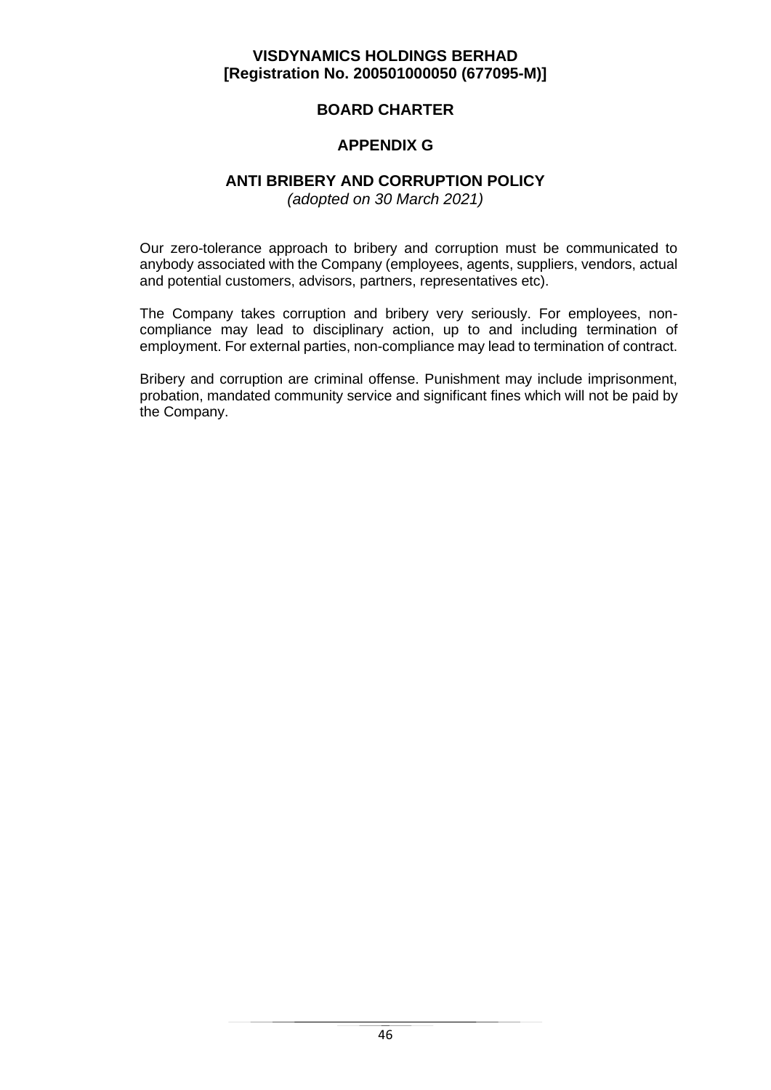## **BOARD CHARTER**

# **APPENDIX G**

## **ANTI BRIBERY AND CORRUPTION POLICY**

*(adopted on 30 March 2021)*

Our zero-tolerance approach to bribery and corruption must be communicated to anybody associated with the Company (employees, agents, suppliers, vendors, actual and potential customers, advisors, partners, representatives etc).

The Company takes corruption and bribery very seriously. For employees, noncompliance may lead to disciplinary action, up to and including termination of employment. For external parties, non-compliance may lead to termination of contract.

Bribery and corruption are criminal offense. Punishment may include imprisonment, probation, mandated community service and significant fines which will not be paid by the Company.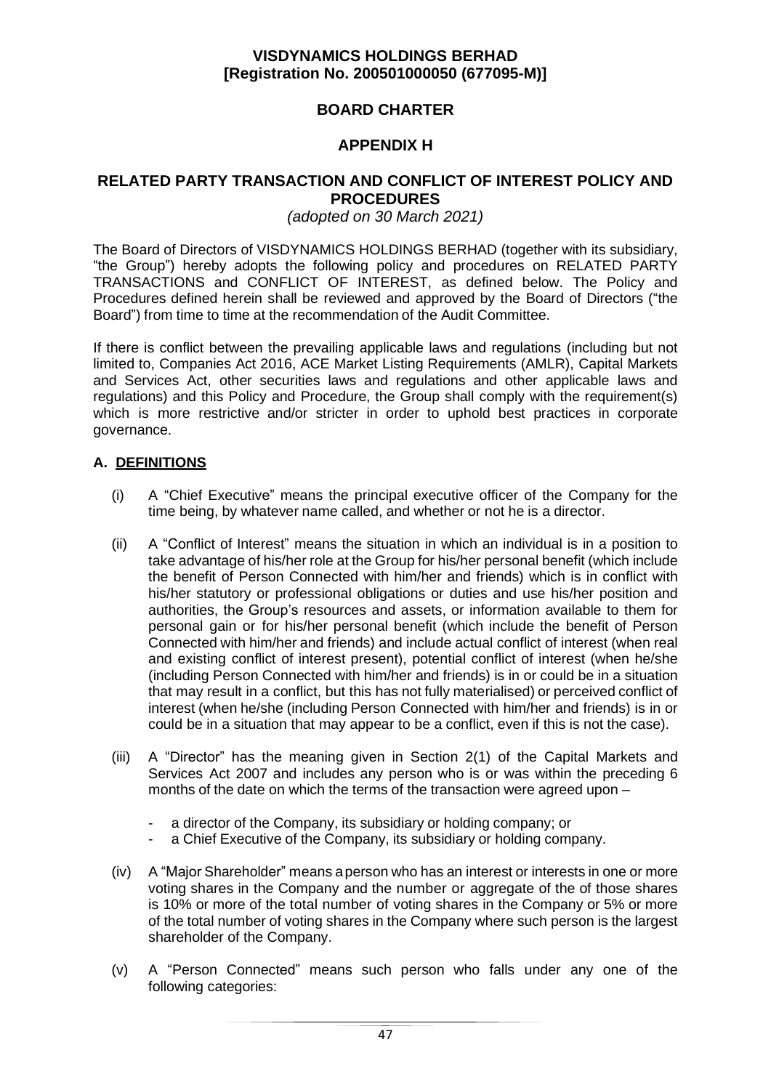# **BOARD CHARTER**

# **APPENDIX H**

### **RELATED PARTY TRANSACTION AND CONFLICT OF INTEREST POLICY AND PROCEDURES**

### *(adopted on 30 March 2021)*

The Board of Directors of VISDYNAMICS HOLDINGS BERHAD (together with its subsidiary, "the Group") hereby adopts the following policy and procedures on RELATED PARTY TRANSACTIONS and CONFLICT OF INTEREST, as defined below. The Policy and Procedures defined herein shall be reviewed and approved by the Board of Directors ("the Board") from time to time at the recommendation of the Audit Committee.

If there is conflict between the prevailing applicable laws and regulations (including but not limited to, Companies Act 2016, ACE Market Listing Requirements (AMLR), Capital Markets and Services Act, other securities laws and regulations and other applicable laws and regulations) and this Policy and Procedure, the Group shall comply with the requirement(s) which is more restrictive and/or stricter in order to uphold best practices in corporate governance.

## **A. DEFINITIONS**

- (i) A "Chief Executive" means the principal executive officer of the Company for the time being, by whatever name called, and whether or not he is a director.
- (ii) A "Conflict of Interest" means the situation in which an individual is in a position to take advantage of his/her role at the Group for his/her personal benefit (which include the benefit of Person Connected with him/her and friends) which is in conflict with his/her statutory or professional obligations or duties and use his/her position and authorities, the Group's resources and assets, or information available to them for personal gain or for his/her personal benefit (which include the benefit of Person Connected with him/her and friends) and include actual conflict of interest (when real and existing conflict of interest present), potential conflict of interest (when he/she (including Person Connected with him/her and friends) is in or could be in a situation that may result in a conflict, but this has not fully materialised) or perceived conflict of interest (when he/she (including Person Connected with him/her and friends) is in or could be in a situation that may appear to be a conflict, even if this is not the case).
- (iii) A "Director" has the meaning given in Section 2(1) of the Capital Markets and Services Act 2007 and includes any person who is or was within the preceding 6 months of the date on which the terms of the transaction were agreed upon –
	- a director of the Company, its subsidiary or holding company; or
	- a Chief Executive of the Company, its subsidiary or holding company.
- (iv) A "Major Shareholder" means a person who has an interest or interests in one or more voting shares in the Company and the number or aggregate of the of those shares is 10% or more of the total number of voting shares in the Company or 5% or more of the total number of voting shares in the Company where such person is the largest shareholder of the Company.
- (v) A "Person Connected" means such person who falls under any one of the following categories: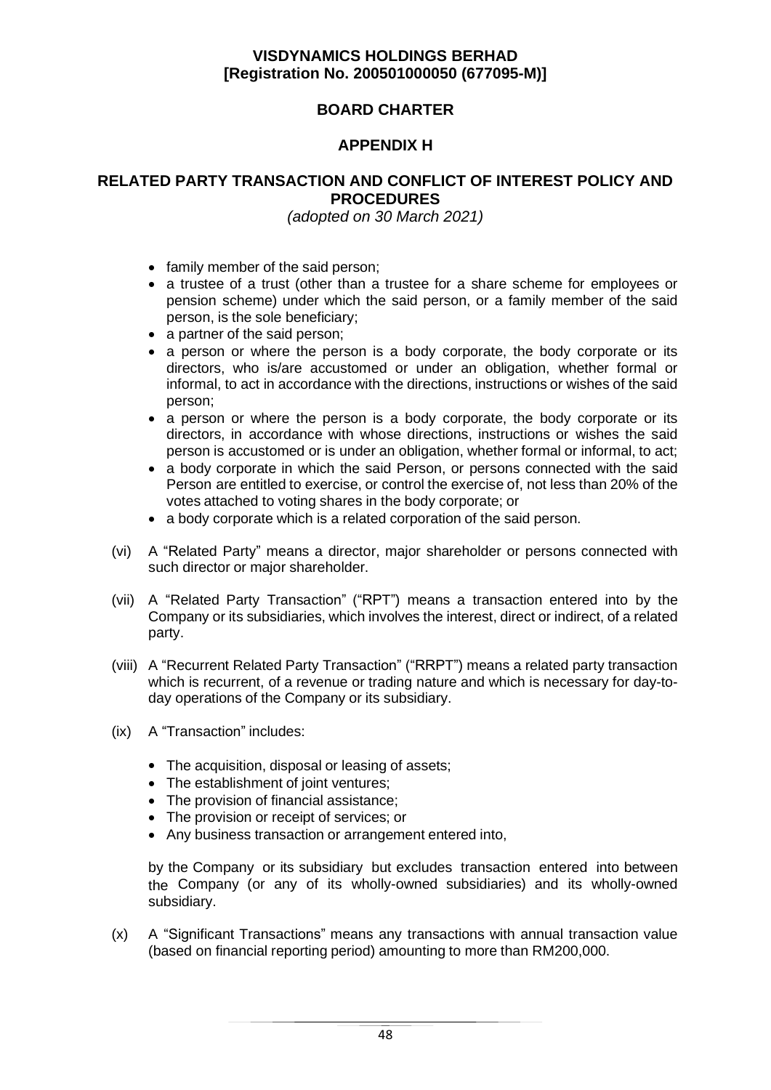# **BOARD CHARTER**

# **APPENDIX H**

## **RELATED PARTY TRANSACTION AND CONFLICT OF INTEREST POLICY AND PROCEDURES**

*(adopted on 30 March 2021)*

- family member of the said person;
- a trustee of a trust (other than a trustee for a share scheme for employees or pension scheme) under which the said person, or a family member of the said person, is the sole beneficiary;
- a partner of the said person:
- a person or where the person is a body corporate, the body corporate or its directors, who is/are accustomed or under an obligation, whether formal or informal, to act in accordance with the directions, instructions or wishes of the said person;
- a person or where the person is a body corporate, the body corporate or its directors, in accordance with whose directions, instructions or wishes the said person is accustomed or is under an obligation, whether formal or informal, to act;
- a body corporate in which the said Person, or persons connected with the said Person are entitled to exercise, or control the exercise of, not less than 20% of the votes attached to voting shares in the body corporate; or
- a body corporate which is a related corporation of the said person.
- (vi) A "Related Party" means a director, major shareholder or persons connected with such director or major shareholder.
- (vii) A "Related Party Transaction" ("RPT") means a transaction entered into by the Company or its subsidiaries, which involves the interest, direct or indirect, of a related party.
- (viii) A "Recurrent Related Party Transaction" ("RRPT") means a related party transaction which is recurrent, of a revenue or trading nature and which is necessary for day-today operations of the Company or its subsidiary.
- (ix) A "Transaction" includes:
	- The acquisition, disposal or leasing of assets;
	- The establishment of joint ventures;
	- The provision of financial assistance;
	- The provision or receipt of services; or
	- Any business transaction or arrangement entered into,

by the Company or its subsidiary but excludes transaction entered into between the Company (or any of its wholly-owned subsidiaries) and its wholly-owned subsidiary.

(x) A "Significant Transactions" means any transactions with annual transaction value (based on financial reporting period) amounting to more than RM200,000.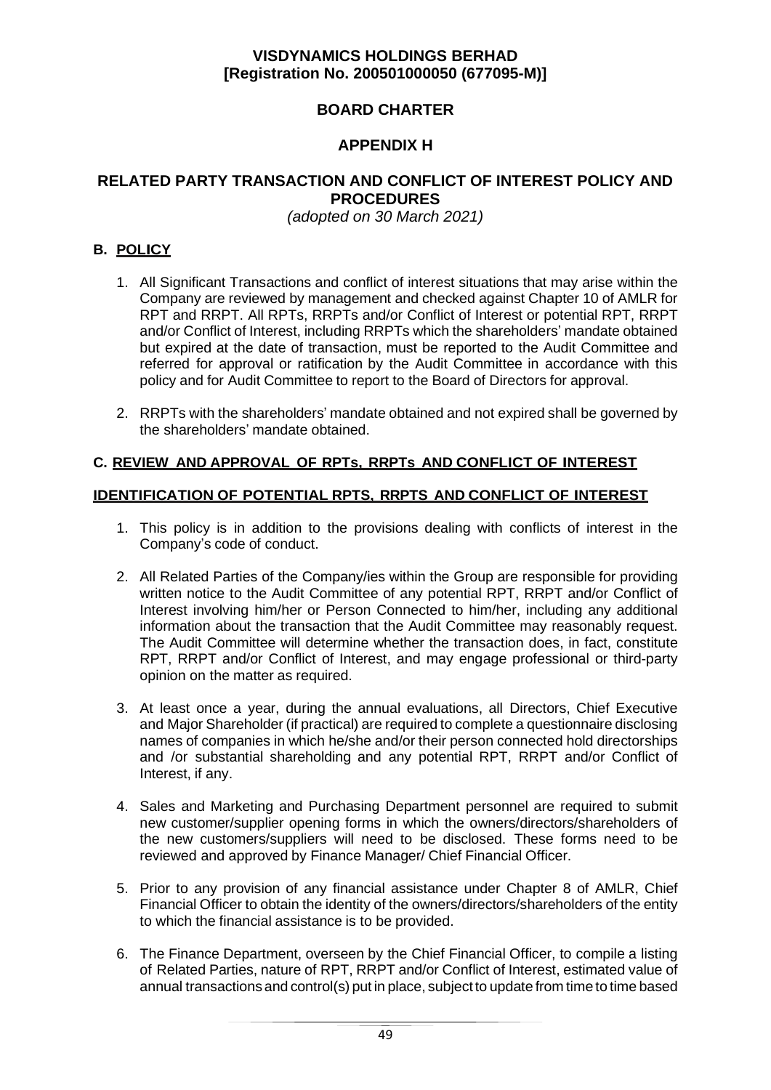# **BOARD CHARTER**

# **APPENDIX H**

## **RELATED PARTY TRANSACTION AND CONFLICT OF INTEREST POLICY AND PROCEDURES**

*(adopted on 30 March 2021)*

## **B. POLICY**

- 1. All Significant Transactions and conflict of interest situations that may arise within the Company are reviewed by management and checked against Chapter 10 of AMLR for RPT and RRPT. All RPTs, RRPTs and/or Conflict of Interest or potential RPT, RRPT and/or Conflict of Interest, including RRPTs which the shareholders' mandate obtained but expired at the date of transaction, must be reported to the Audit Committee and referred for approval or ratification by the Audit Committee in accordance with this policy and for Audit Committee to report to the Board of Directors for approval.
- 2. RRPTs with the shareholders' mandate obtained and not expired shall be governed by the shareholders' mandate obtained.

## **C. REVIEW AND APPROVAL OF RPTs, RRPTs AND CONFLICT OF INTEREST**

### **IDENTIFICATION OF POTENTIAL RPTS, RRPTS AND CONFLICT OF INTEREST**

- 1. This policy is in addition to the provisions dealing with conflicts of interest in the Company's code of conduct.
- 2. All Related Parties of the Company/ies within the Group are responsible for providing written notice to the Audit Committee of any potential RPT, RRPT and/or Conflict of Interest involving him/her or Person Connected to him/her, including any additional information about the transaction that the Audit Committee may reasonably request. The Audit Committee will determine whether the transaction does, in fact, constitute RPT, RRPT and/or Conflict of Interest, and may engage professional or third-party opinion on the matter as required.
- 3. At least once a year, during the annual evaluations, all Directors, Chief Executive and Major Shareholder (if practical) are required to complete a questionnaire disclosing names of companies in which he/she and/or their person connected hold directorships and /or substantial shareholding and any potential RPT, RRPT and/or Conflict of Interest, if any.
- 4. Sales and Marketing and Purchasing Department personnel are required to submit new customer/supplier opening forms in which the owners/directors/shareholders of the new customers/suppliers will need to be disclosed. These forms need to be reviewed and approved by Finance Manager/ Chief Financial Officer.
- 5. Prior to any provision of any financial assistance under Chapter 8 of AMLR, Chief Financial Officer to obtain the identity of the owners/directors/shareholders of the entity to which the financial assistance is to be provided.
- 6. The Finance Department, overseen by the Chief Financial Officer, to compile a listing of Related Parties, nature of RPT, RRPT and/or Conflict of Interest, estimated value of annual transactions and control(s) put in place, subject to update from time to time based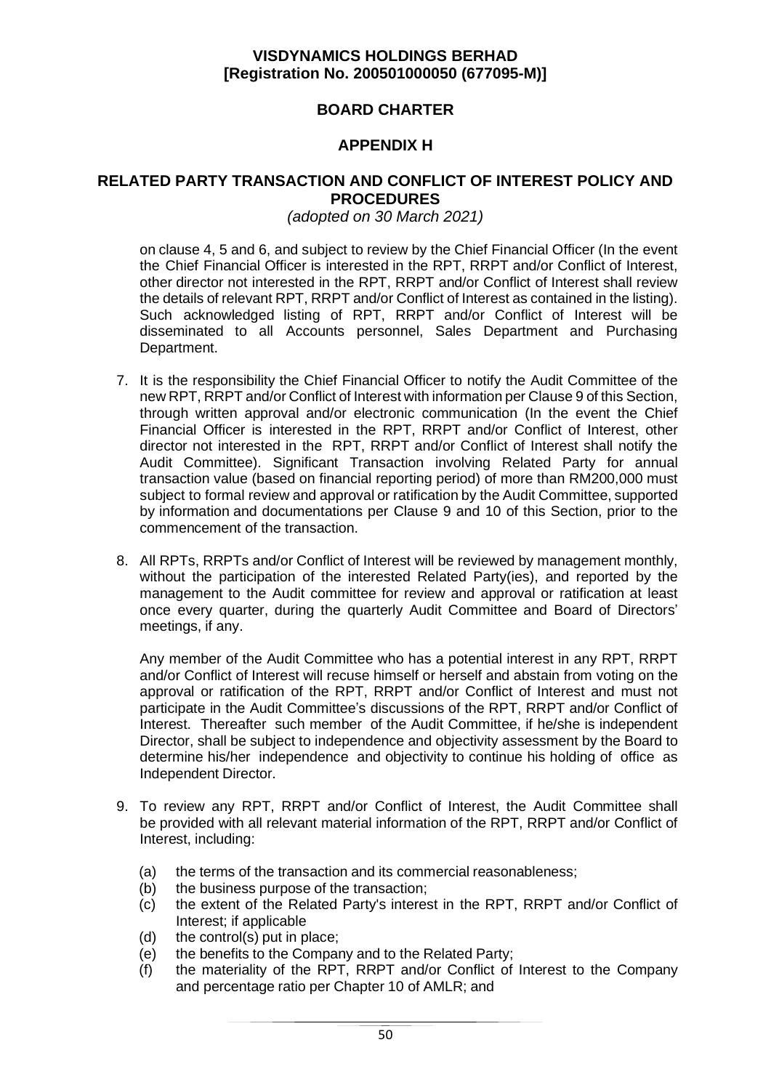# **BOARD CHARTER**

# **APPENDIX H**

### **RELATED PARTY TRANSACTION AND CONFLICT OF INTEREST POLICY AND PROCEDURES**

### *(adopted on 30 March 2021)*

on clause 4, 5 and 6, and subject to review by the Chief Financial Officer (In the event the Chief Financial Officer is interested in the RPT, RRPT and/or Conflict of Interest, other director not interested in the RPT, RRPT and/or Conflict of Interest shall review the details of relevant RPT, RRPT and/or Conflict of Interest as contained in the listing). Such acknowledged listing of RPT, RRPT and/or Conflict of Interest will be disseminated to all Accounts personnel, Sales Department and Purchasing Department.

- 7. It is the responsibility the Chief Financial Officer to notify the Audit Committee of the new RPT, RRPT and/or Conflict of Interest with information per Clause 9 of this Section, through written approval and/or electronic communication (In the event the Chief Financial Officer is interested in the RPT, RRPT and/or Conflict of Interest, other director not interested in the RPT, RRPT and/or Conflict of Interest shall notify the Audit Committee). Significant Transaction involving Related Party for annual transaction value (based on financial reporting period) of more than RM200,000 must subject to formal review and approval or ratification by the Audit Committee, supported by information and documentations per Clause 9 and 10 of this Section, prior to the commencement of the transaction.
- 8. All RPTs, RRPTs and/or Conflict of Interest will be reviewed by management monthly, without the participation of the interested Related Party(ies), and reported by the management to the Audit committee for review and approval or ratification at least once every quarter, during the quarterly Audit Committee and Board of Directors' meetings, if any.

Any member of the Audit Committee who has a potential interest in any RPT, RRPT and/or Conflict of Interest will recuse himself or herself and abstain from voting on the approval or ratification of the RPT, RRPT and/or Conflict of Interest and must not participate in the Audit Committee's discussions of the RPT, RRPT and/or Conflict of Interest. Thereafter such member of the Audit Committee, if he/she is independent Director, shall be subject to independence and objectivity assessment by the Board to determine his/her independence and objectivity to continue his holding of office as Independent Director.

- 9. To review any RPT, RRPT and/or Conflict of Interest, the Audit Committee shall be provided with all relevant material information of the RPT, RRPT and/or Conflict of Interest, including:
	- (a) the terms of the transaction and its commercial reasonableness;
	- (b) the business purpose of the transaction;
	- (c) the extent of the Related Party's interest in the RPT, RRPT and/or Conflict of Interest; if applicable
	- (d) the control(s) put in place;
	- (e) the benefits to the Company and to the Related Party;
	- (f) the materiality of the RPT, RRPT and/or Conflict of Interest to the Company and percentage ratio per Chapter 10 of AMLR; and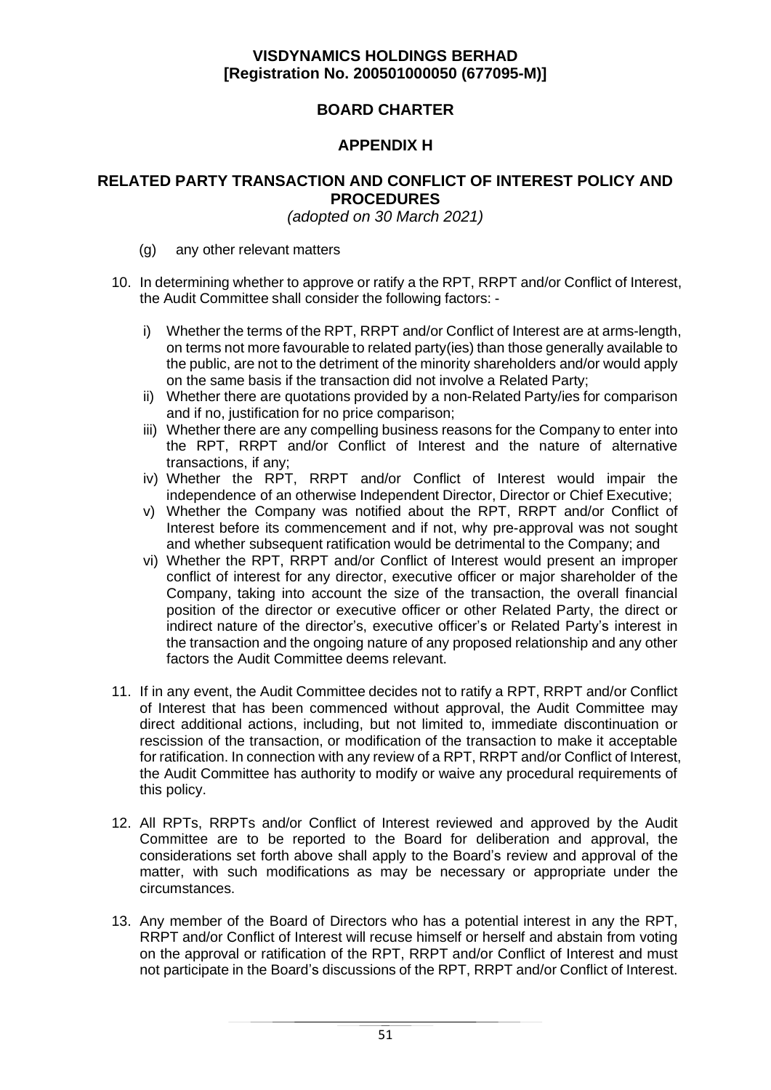# **BOARD CHARTER**

# **APPENDIX H**

## **RELATED PARTY TRANSACTION AND CONFLICT OF INTEREST POLICY AND PROCEDURES**

*(adopted on 30 March 2021)*

- (g) any other relevant matters
- 10. In determining whether to approve or ratify a the RPT, RRPT and/or Conflict of Interest, the Audit Committee shall consider the following factors:
	- i) Whether the terms of the RPT, RRPT and/or Conflict of Interest are at arms-length, on terms not more favourable to related party(ies) than those generally available to the public, are not to the detriment of the minority shareholders and/or would apply on the same basis if the transaction did not involve a Related Party;
	- ii) Whether there are quotations provided by a non-Related Party/ies for comparison and if no, justification for no price comparison;
	- iii) Whether there are any compelling business reasons for the Company to enter into the RPT, RRPT and/or Conflict of Interest and the nature of alternative transactions, if any;
	- iv) Whether the RPT, RRPT and/or Conflict of Interest would impair the independence of an otherwise Independent Director, Director or Chief Executive;
	- v) Whether the Company was notified about the RPT, RRPT and/or Conflict of Interest before its commencement and if not, why pre-approval was not sought and whether subsequent ratification would be detrimental to the Company; and
	- vi) Whether the RPT, RRPT and/or Conflict of Interest would present an improper conflict of interest for any director, executive officer or major shareholder of the Company, taking into account the size of the transaction, the overall financial position of the director or executive officer or other Related Party, the direct or indirect nature of the director's, executive officer's or Related Party's interest in the transaction and the ongoing nature of any proposed relationship and any other factors the Audit Committee deems relevant.
- 11. If in any event, the Audit Committee decides not to ratify a RPT, RRPT and/or Conflict of Interest that has been commenced without approval, the Audit Committee may direct additional actions, including, but not limited to, immediate discontinuation or rescission of the transaction, or modification of the transaction to make it acceptable for ratification. In connection with any review of a RPT, RRPT and/or Conflict of Interest, the Audit Committee has authority to modify or waive any procedural requirements of this policy.
- 12. All RPTs, RRPTs and/or Conflict of Interest reviewed and approved by the Audit Committee are to be reported to the Board for deliberation and approval, the considerations set forth above shall apply to the Board's review and approval of the matter, with such modifications as may be necessary or appropriate under the circumstances.
- 13. Any member of the Board of Directors who has a potential interest in any the RPT, RRPT and/or Conflict of Interest will recuse himself or herself and abstain from voting on the approval or ratification of the RPT, RRPT and/or Conflict of Interest and must not participate in the Board's discussions of the RPT, RRPT and/or Conflict of Interest.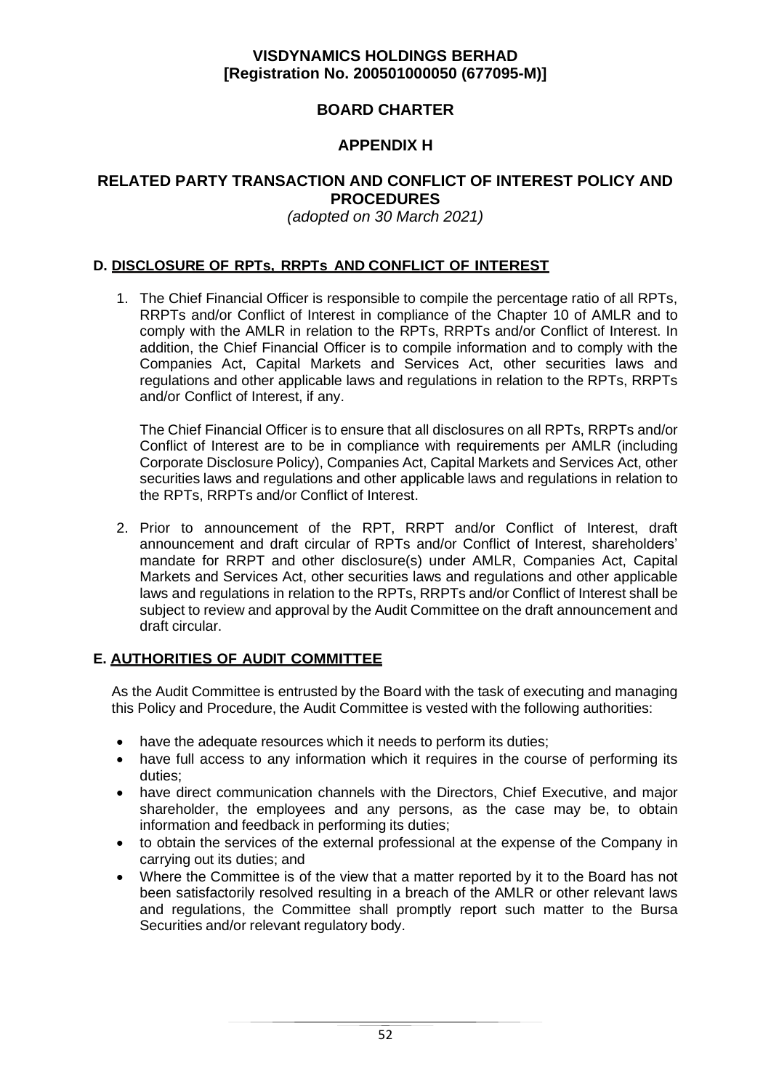# **BOARD CHARTER**

# **APPENDIX H**

## **RELATED PARTY TRANSACTION AND CONFLICT OF INTEREST POLICY AND PROCEDURES**

*(adopted on 30 March 2021)*

## **D. DISCLOSURE OF RPTs, RRPTs AND CONFLICT OF INTEREST**

1. The Chief Financial Officer is responsible to compile the percentage ratio of all RPTs, RRPTs and/or Conflict of Interest in compliance of the Chapter 10 of AMLR and to comply with the AMLR in relation to the RPTs, RRPTs and/or Conflict of Interest. In addition, the Chief Financial Officer is to compile information and to comply with the Companies Act, Capital Markets and Services Act, other securities laws and regulations and other applicable laws and regulations in relation to the RPTs, RRPTs and/or Conflict of Interest, if any.

The Chief Financial Officer is to ensure that all disclosures on all RPTs, RRPTs and/or Conflict of Interest are to be in compliance with requirements per AMLR (including Corporate Disclosure Policy), Companies Act, Capital Markets and Services Act, other securities laws and regulations and other applicable laws and regulations in relation to the RPTs, RRPTs and/or Conflict of Interest.

2. Prior to announcement of the RPT, RRPT and/or Conflict of Interest, draft announcement and draft circular of RPTs and/or Conflict of Interest, shareholders' mandate for RRPT and other disclosure(s) under AMLR, Companies Act, Capital Markets and Services Act, other securities laws and regulations and other applicable laws and regulations in relation to the RPTs, RRPTs and/or Conflict of Interest shall be subject to review and approval by the Audit Committee on the draft announcement and draft circular.

## **E. AUTHORITIES OF AUDIT COMMITTEE**

As the Audit Committee is entrusted by the Board with the task of executing and managing this Policy and Procedure, the Audit Committee is vested with the following authorities:

- have the adequate resources which it needs to perform its duties;
- have full access to any information which it requires in the course of performing its duties;
- have direct communication channels with the Directors, Chief Executive, and major shareholder, the employees and any persons, as the case may be, to obtain information and feedback in performing its duties;
- to obtain the services of the external professional at the expense of the Company in carrying out its duties; and
- Where the Committee is of the view that a matter reported by it to the Board has not been satisfactorily resolved resulting in a breach of the AMLR or other relevant laws and regulations, the Committee shall promptly report such matter to the Bursa Securities and/or relevant regulatory body.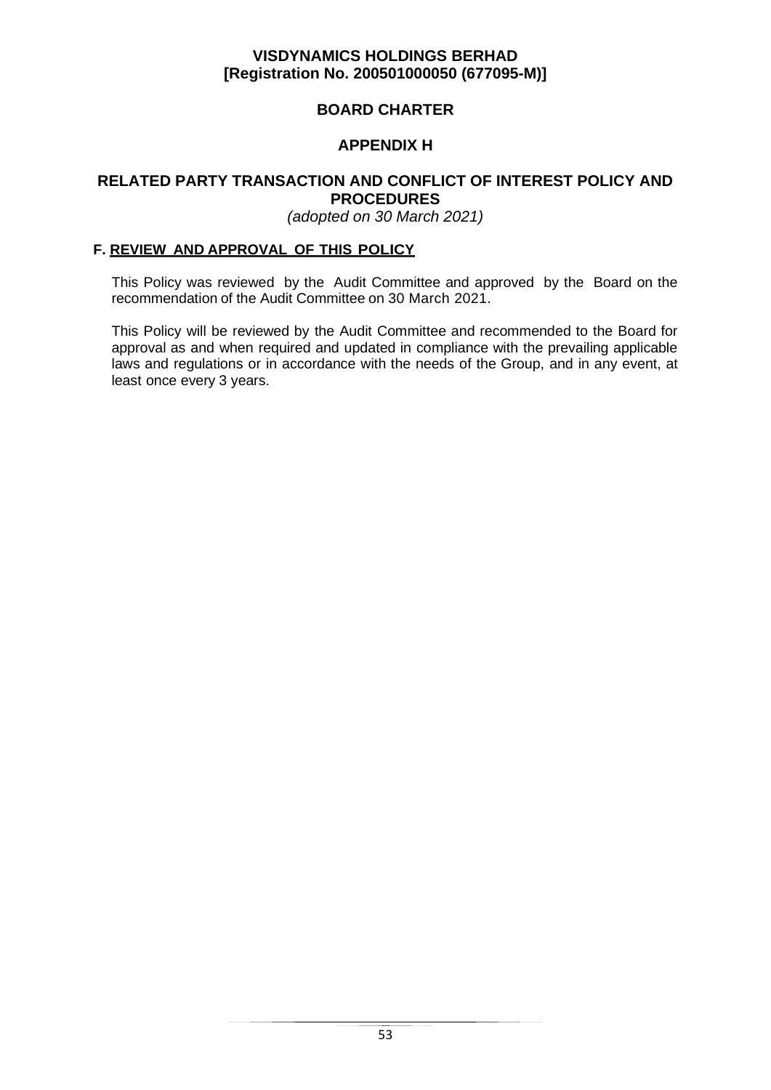# **BOARD CHARTER**

# **APPENDIX H**

## **RELATED PARTY TRANSACTION AND CONFLICT OF INTEREST POLICY AND PROCEDURES**

*(adopted on 30 March 2021)*

### **F. REVIEW AND APPROVAL OF THIS POLICY**

This Policy was reviewed by the Audit Committee and approved by the Board on the recommendation of the Audit Committee on 30 March 2021.

This Policy will be reviewed by the Audit Committee and recommended to the Board for approval as and when required and updated in compliance with the prevailing applicable laws and regulations or in accordance with the needs of the Group, and in any event, at least once every 3 years.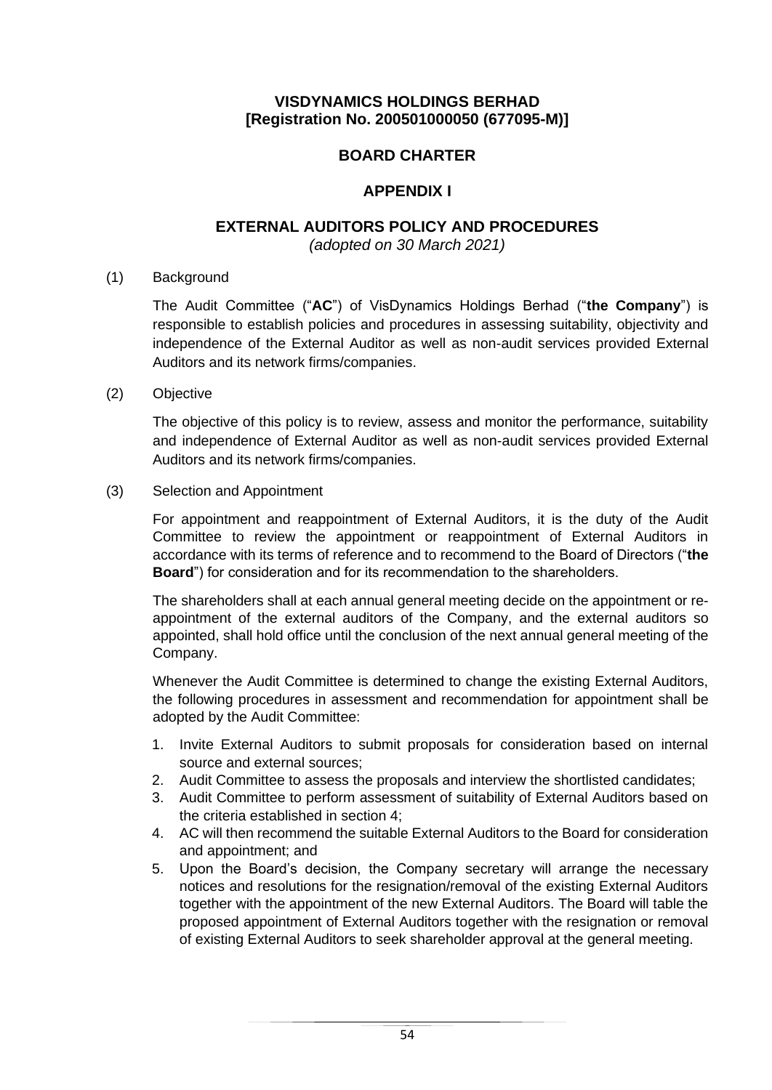# **BOARD CHARTER**

## **APPENDIX I**

## **EXTERNAL AUDITORS POLICY AND PROCEDURES**

*(adopted on 30 March 2021)*

(1) Background

The Audit Committee ("**AC**") of VisDynamics Holdings Berhad ("**the Company**") is responsible to establish policies and procedures in assessing suitability, objectivity and independence of the External Auditor as well as non-audit services provided External Auditors and its network firms/companies.

(2) Objective

The objective of this policy is to review, assess and monitor the performance, suitability and independence of External Auditor as well as non-audit services provided External Auditors and its network firms/companies.

### (3) Selection and Appointment

For appointment and reappointment of External Auditors, it is the duty of the Audit Committee to review the appointment or reappointment of External Auditors in accordance with its terms of reference and to recommend to the Board of Directors ("**the Board**") for consideration and for its recommendation to the shareholders.

The shareholders shall at each annual general meeting decide on the appointment or reappointment of the external auditors of the Company, and the external auditors so appointed, shall hold office until the conclusion of the next annual general meeting of the Company.

Whenever the Audit Committee is determined to change the existing External Auditors, the following procedures in assessment and recommendation for appointment shall be adopted by the Audit Committee:

- 1. Invite External Auditors to submit proposals for consideration based on internal source and external sources;
- 2. Audit Committee to assess the proposals and interview the shortlisted candidates;
- 3. Audit Committee to perform assessment of suitability of External Auditors based on the criteria established in section 4;
- 4. AC will then recommend the suitable External Auditors to the Board for consideration and appointment; and
- 5. Upon the Board's decision, the Company secretary will arrange the necessary notices and resolutions for the resignation/removal of the existing External Auditors together with the appointment of the new External Auditors. The Board will table the proposed appointment of External Auditors together with the resignation or removal of existing External Auditors to seek shareholder approval at the general meeting.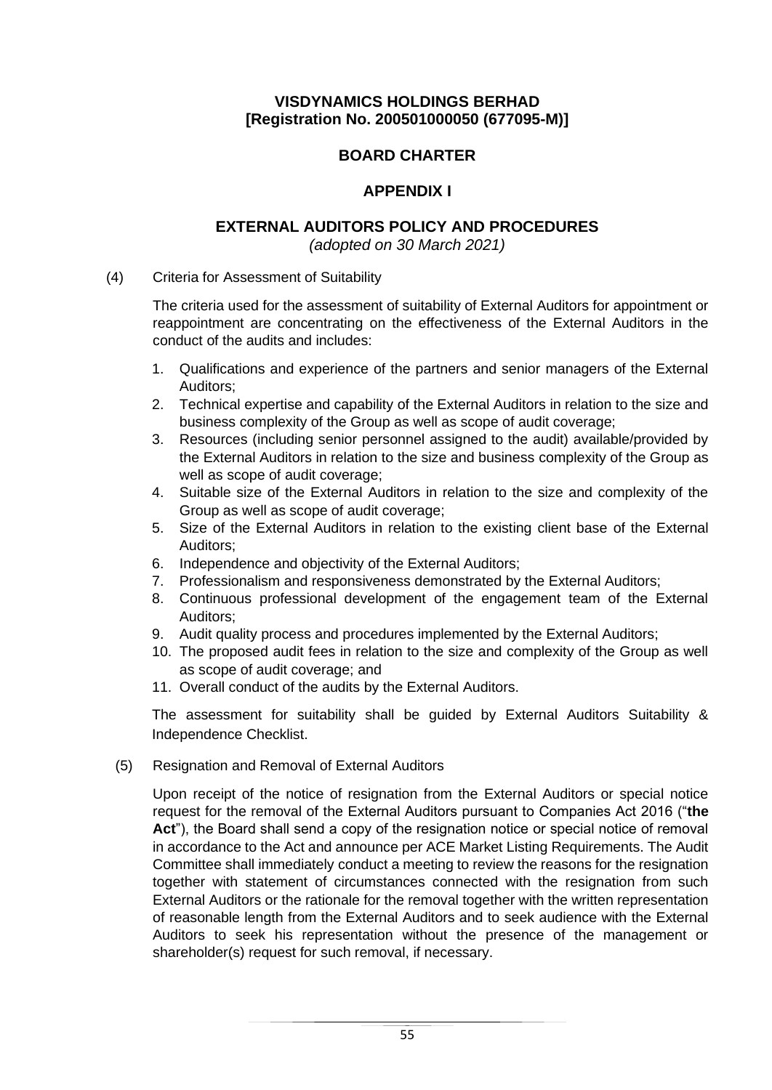# **BOARD CHARTER**

# **APPENDIX I**

# **EXTERNAL AUDITORS POLICY AND PROCEDURES**

*(adopted on 30 March 2021)*

(4) Criteria for Assessment of Suitability

The criteria used for the assessment of suitability of External Auditors for appointment or reappointment are concentrating on the effectiveness of the External Auditors in the conduct of the audits and includes:

- 1. Qualifications and experience of the partners and senior managers of the External Auditors;
- 2. Technical expertise and capability of the External Auditors in relation to the size and business complexity of the Group as well as scope of audit coverage;
- 3. Resources (including senior personnel assigned to the audit) available/provided by the External Auditors in relation to the size and business complexity of the Group as well as scope of audit coverage;
- 4. Suitable size of the External Auditors in relation to the size and complexity of the Group as well as scope of audit coverage;
- 5. Size of the External Auditors in relation to the existing client base of the External Auditors;
- 6. Independence and objectivity of the External Auditors;
- 7. Professionalism and responsiveness demonstrated by the External Auditors;
- 8. Continuous professional development of the engagement team of the External Auditors;
- 9. Audit quality process and procedures implemented by the External Auditors;
- 10. The proposed audit fees in relation to the size and complexity of the Group as well as scope of audit coverage; and
- 11. Overall conduct of the audits by the External Auditors.

The assessment for suitability shall be guided by External Auditors Suitability & Independence Checklist.

(5) Resignation and Removal of External Auditors

Upon receipt of the notice of resignation from the External Auditors or special notice request for the removal of the External Auditors pursuant to Companies Act 2016 ("**the**  Act"), the Board shall send a copy of the resignation notice or special notice of removal in accordance to the Act and announce per ACE Market Listing Requirements. The Audit Committee shall immediately conduct a meeting to review the reasons for the resignation together with statement of circumstances connected with the resignation from such External Auditors or the rationale for the removal together with the written representation of reasonable length from the External Auditors and to seek audience with the External Auditors to seek his representation without the presence of the management or shareholder(s) request for such removal, if necessary.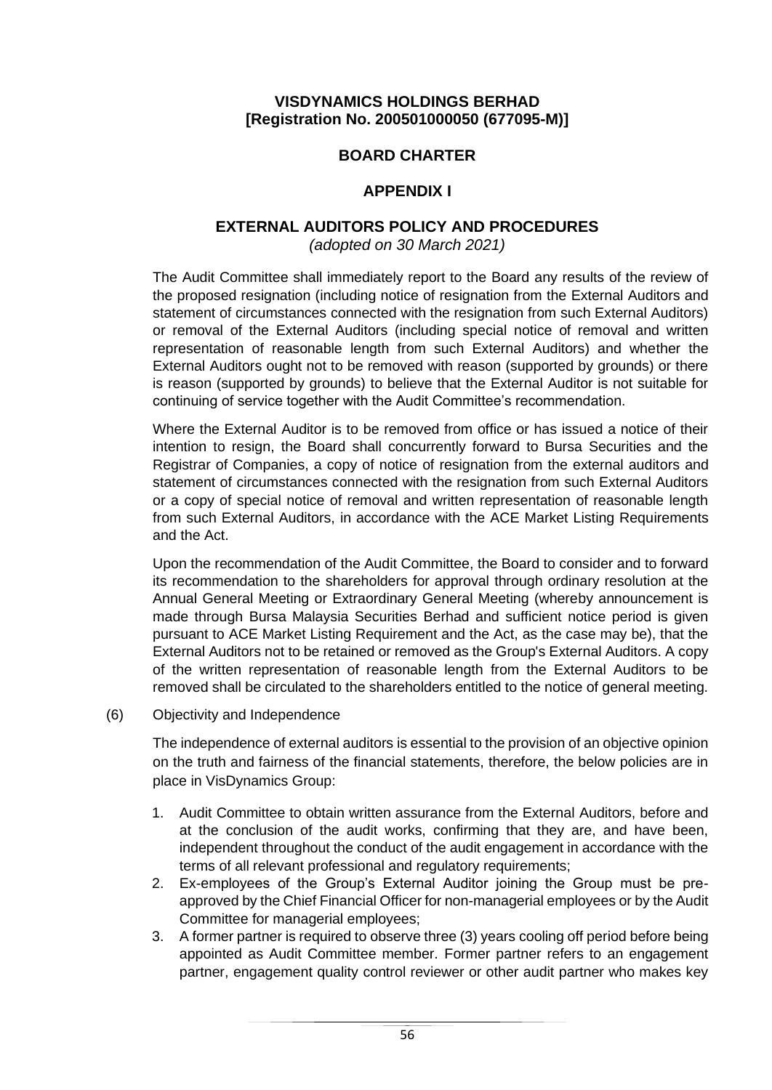# **BOARD CHARTER**

## **APPENDIX I**

## **EXTERNAL AUDITORS POLICY AND PROCEDURES**

*(adopted on 30 March 2021)*

The Audit Committee shall immediately report to the Board any results of the review of the proposed resignation (including notice of resignation from the External Auditors and statement of circumstances connected with the resignation from such External Auditors) or removal of the External Auditors (including special notice of removal and written representation of reasonable length from such External Auditors) and whether the External Auditors ought not to be removed with reason (supported by grounds) or there is reason (supported by grounds) to believe that the External Auditor is not suitable for continuing of service together with the Audit Committee's recommendation.

Where the External Auditor is to be removed from office or has issued a notice of their intention to resign, the Board shall concurrently forward to Bursa Securities and the Registrar of Companies, a copy of notice of resignation from the external auditors and statement of circumstances connected with the resignation from such External Auditors or a copy of special notice of removal and written representation of reasonable length from such External Auditors, in accordance with the ACE Market Listing Requirements and the Act.

Upon the recommendation of the Audit Committee, the Board to consider and to forward its recommendation to the shareholders for approval through ordinary resolution at the Annual General Meeting or Extraordinary General Meeting (whereby announcement is made through Bursa Malaysia Securities Berhad and sufficient notice period is given pursuant to ACE Market Listing Requirement and the Act, as the case may be), that the External Auditors not to be retained or removed as the Group's External Auditors. A copy of the written representation of reasonable length from the External Auditors to be removed shall be circulated to the shareholders entitled to the notice of general meeting.

(6) Objectivity and Independence

The independence of external auditors is essential to the provision of an objective opinion on the truth and fairness of the financial statements, therefore, the below policies are in place in VisDynamics Group:

- 1. Audit Committee to obtain written assurance from the External Auditors, before and at the conclusion of the audit works, confirming that they are, and have been, independent throughout the conduct of the audit engagement in accordance with the terms of all relevant professional and regulatory requirements;
- 2. Ex-employees of the Group's External Auditor joining the Group must be preapproved by the Chief Financial Officer for non-managerial employees or by the Audit Committee for managerial employees;
- 3. A former partner is required to observe three (3) years cooling off period before being appointed as Audit Committee member. Former partner refers to an engagement partner, engagement quality control reviewer or other audit partner who makes key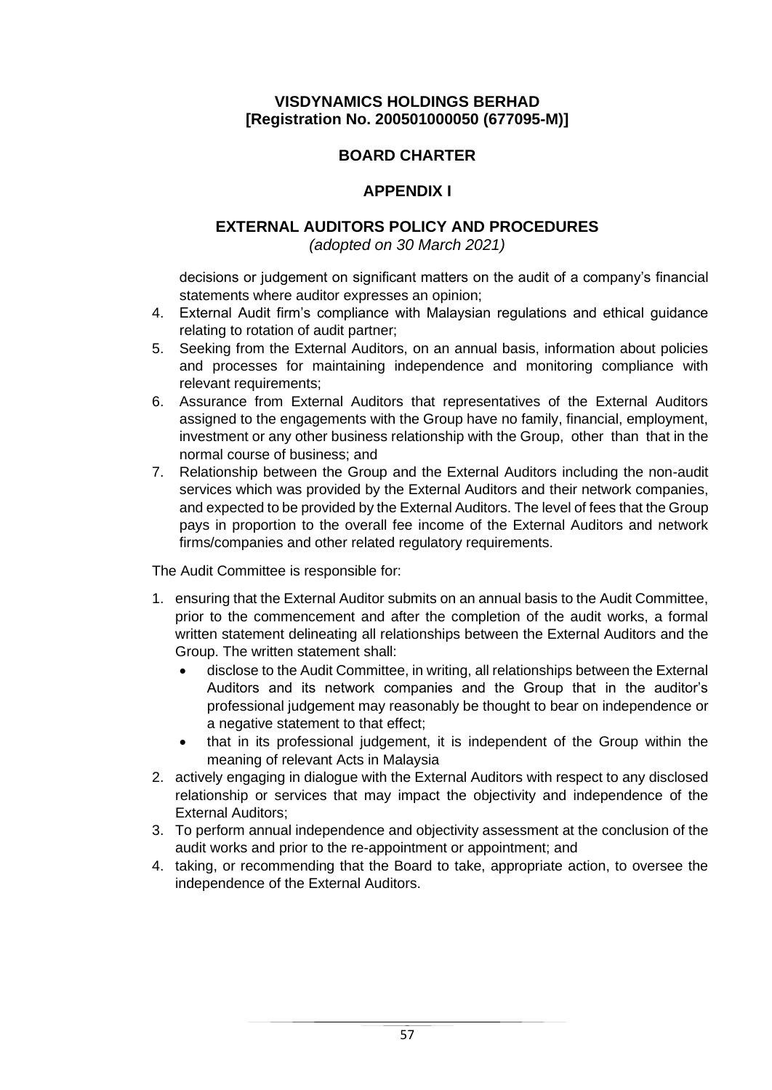# **BOARD CHARTER**

# **APPENDIX I**

## **EXTERNAL AUDITORS POLICY AND PROCEDURES**

*(adopted on 30 March 2021)*

decisions or judgement on significant matters on the audit of a company's financial statements where auditor expresses an opinion;

- 4. External Audit firm's compliance with Malaysian regulations and ethical guidance relating to rotation of audit partner;
- 5. Seeking from the External Auditors, on an annual basis, information about policies and processes for maintaining independence and monitoring compliance with relevant requirements;
- 6. Assurance from External Auditors that representatives of the External Auditors assigned to the engagements with the Group have no family, financial, employment, investment or any other business relationship with the Group, other than that in the normal course of business; and
- 7. Relationship between the Group and the External Auditors including the non-audit services which was provided by the External Auditors and their network companies, and expected to be provided by the External Auditors. The level of fees that the Group pays in proportion to the overall fee income of the External Auditors and network firms/companies and other related regulatory requirements.

The Audit Committee is responsible for:

- 1. ensuring that the External Auditor submits on an annual basis to the Audit Committee, prior to the commencement and after the completion of the audit works, a formal written statement delineating all relationships between the External Auditors and the Group. The written statement shall:
	- disclose to the Audit Committee, in writing, all relationships between the External Auditors and its network companies and the Group that in the auditor's professional judgement may reasonably be thought to bear on independence or a negative statement to that effect;
	- that in its professional judgement, it is independent of the Group within the meaning of relevant Acts in Malaysia
- 2. actively engaging in dialogue with the External Auditors with respect to any disclosed relationship or services that may impact the objectivity and independence of the External Auditors;
- 3. To perform annual independence and objectivity assessment at the conclusion of the audit works and prior to the re-appointment or appointment; and
- 4. taking, or recommending that the Board to take, appropriate action, to oversee the independence of the External Auditors.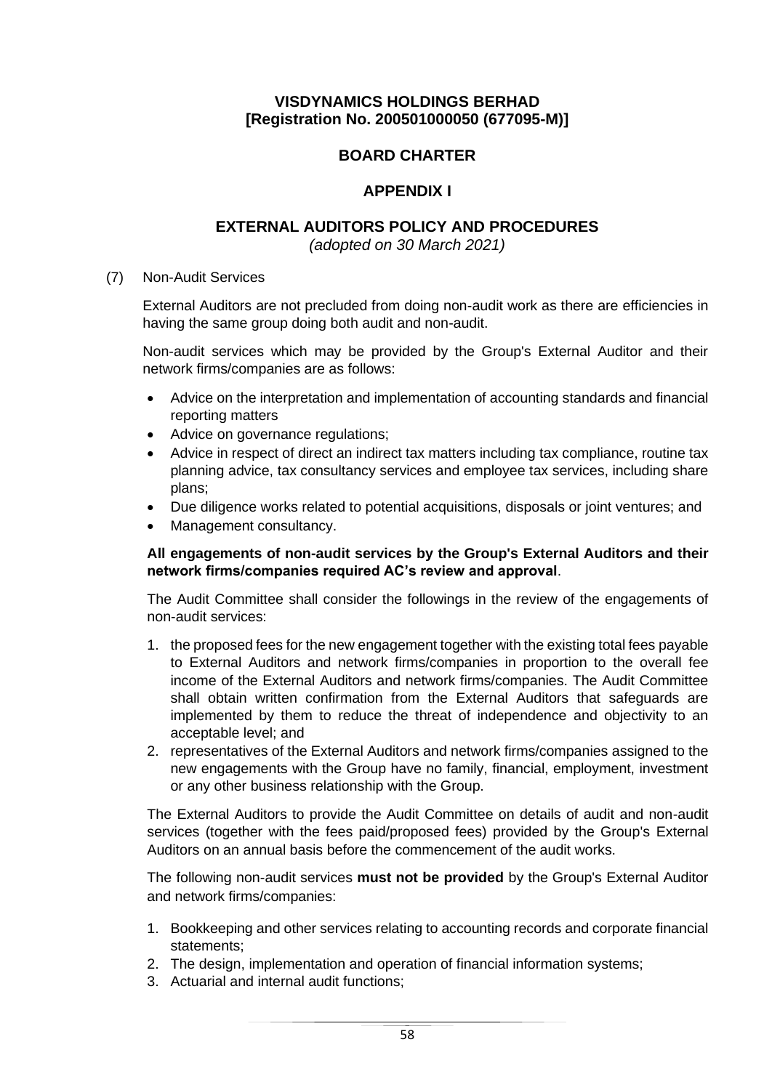# **BOARD CHARTER**

## **APPENDIX I**

## **EXTERNAL AUDITORS POLICY AND PROCEDURES**

*(adopted on 30 March 2021)*

### (7) Non-Audit Services

External Auditors are not precluded from doing non-audit work as there are efficiencies in having the same group doing both audit and non-audit.

Non-audit services which may be provided by the Group's External Auditor and their network firms/companies are as follows:

- Advice on the interpretation and implementation of accounting standards and financial reporting matters
- Advice on governance regulations;
- Advice in respect of direct an indirect tax matters including tax compliance, routine tax planning advice, tax consultancy services and employee tax services, including share plans;
- Due diligence works related to potential acquisitions, disposals or joint ventures; and
- Management consultancy.

## **All engagements of non-audit services by the Group's External Auditors and their network firms/companies required AC's review and approval**.

The Audit Committee shall consider the followings in the review of the engagements of non-audit services:

- 1. the proposed fees for the new engagement together with the existing total fees payable to External Auditors and network firms/companies in proportion to the overall fee income of the External Auditors and network firms/companies. The Audit Committee shall obtain written confirmation from the External Auditors that safeguards are implemented by them to reduce the threat of independence and objectivity to an acceptable level; and
- 2. representatives of the External Auditors and network firms/companies assigned to the new engagements with the Group have no family, financial, employment, investment or any other business relationship with the Group.

The External Auditors to provide the Audit Committee on details of audit and non-audit services (together with the fees paid/proposed fees) provided by the Group's External Auditors on an annual basis before the commencement of the audit works.

The following non-audit services **must not be provided** by the Group's External Auditor and network firms/companies:

- 1. Bookkeeping and other services relating to accounting records and corporate financial statements;
- 2. The design, implementation and operation of financial information systems;
- 3. Actuarial and internal audit functions;